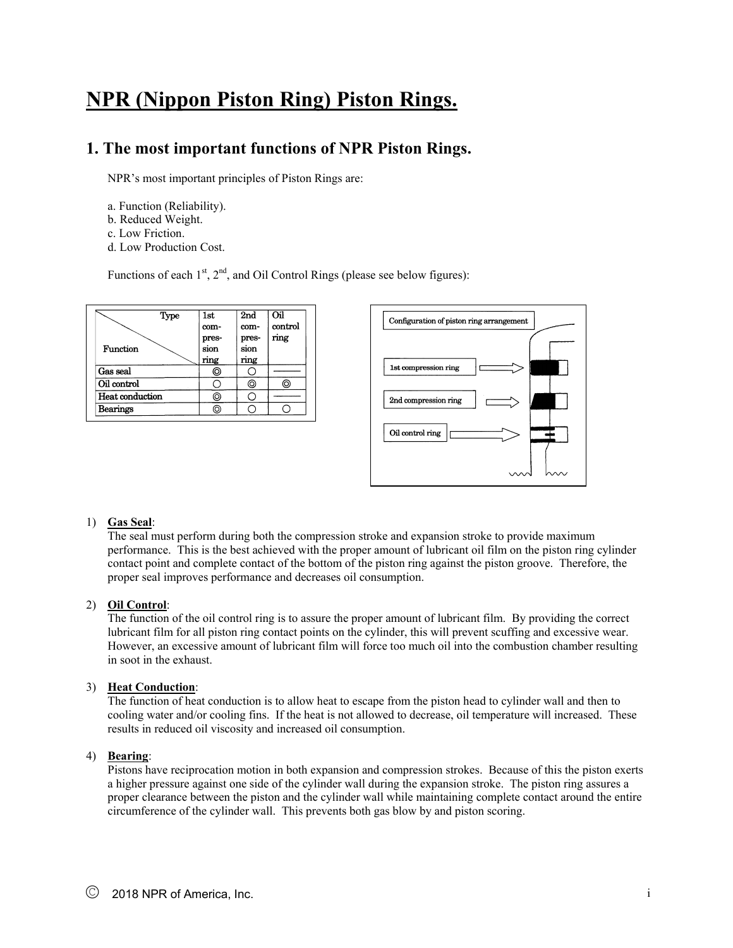# **NPR (Nippon Piston Ring) Piston Rings.**

### **1. The most important functions of NPR Piston Rings.**

NPR's most important principles of Piston Rings are:

- a. Function (Reliability).
- b. Reduced Weight.
- c. Low Friction.
- d. Low Production Cost.

Functions of each  $1<sup>st</sup>$ ,  $2<sup>nd</sup>$ , and Oil Control Rings (please see below figures):





#### 1) **Gas Seal**:

The seal must perform during both the compression stroke and expansion stroke to provide maximum performance. This is the best achieved with the proper amount of lubricant oil film on the piston ring cylinder contact point and complete contact of the bottom of the piston ring against the piston groove. Therefore, the proper seal improves performance and decreases oil consumption.

#### 2) **Oil Control**:

The function of the oil control ring is to assure the proper amount of lubricant film. By providing the correct lubricant film for all piston ring contact points on the cylinder, this will prevent scuffing and excessive wear. However, an excessive amount of lubricant film will force too much oil into the combustion chamber resulting in soot in the exhaust.

#### 3) **Heat Conduction**:

The function of heat conduction is to allow heat to escape from the piston head to cylinder wall and then to cooling water and/or cooling fins. If the heat is not allowed to decrease, oil temperature will increased. These results in reduced oil viscosity and increased oil consumption.

#### 4) **Bearing**:

Pistons have reciprocation motion in both expansion and compression strokes. Because of this the piston exerts a higher pressure against one side of the cylinder wall during the expansion stroke. The piston ring assures a proper clearance between the piston and the cylinder wall while maintaining complete contact around the entire circumference of the cylinder wall. This prevents both gas blow by and piston scoring.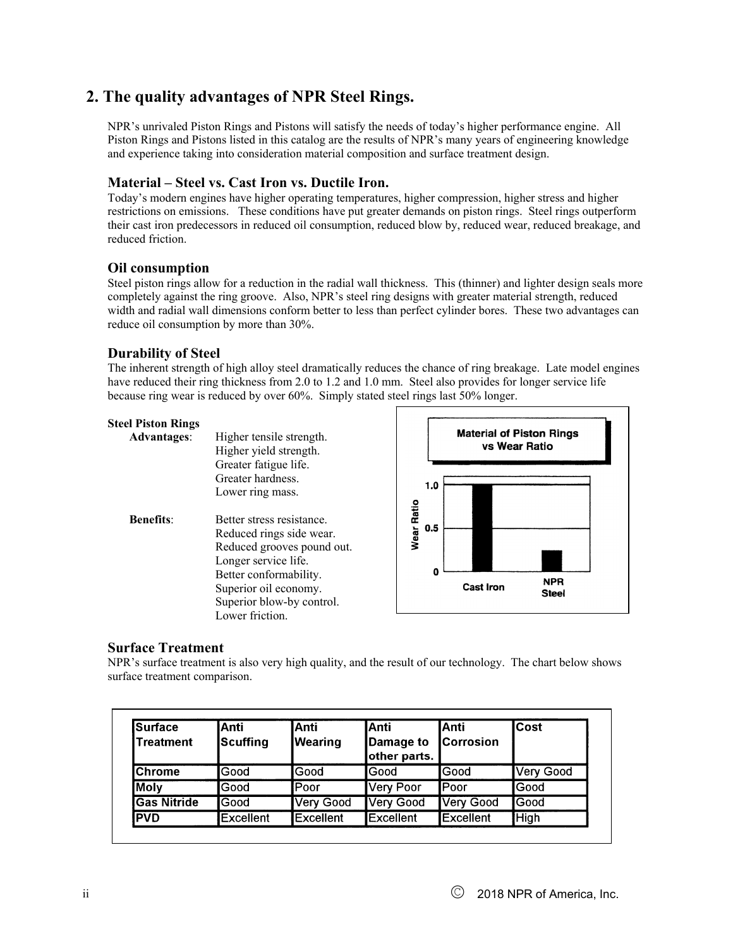### **2. The quality advantages of NPR Steel Rings.**

NPR's unrivaled Piston Rings and Pistons will satisfy the needs of today's higher performance engine. All Piston Rings and Pistons listed in this catalog are the results of NPR's many years of engineering knowledge and experience taking into consideration material composition and surface treatment design.

#### **Material – Steel vs. Cast Iron vs. Ductile Iron.**

Today's modern engines have higher operating temperatures, higher compression, higher stress and higher restrictions on emissions. These conditions have put greater demands on piston rings. Steel rings outperform their cast iron predecessors in reduced oil consumption, reduced blow by, reduced wear, reduced breakage, and reduced friction.

#### **Oil consumption**

Steel piston rings allow for a reduction in the radial wall thickness. This (thinner) and lighter design seals more completely against the ring groove. Also, NPR's steel ring designs with greater material strength, reduced width and radial wall dimensions conform better to less than perfect cylinder bores. These two advantages can reduce oil consumption by more than 30%.

#### **Durability of Steel**

The inherent strength of high alloy steel dramatically reduces the chance of ring breakage. Late model engines have reduced their ring thickness from 2.0 to 1.2 and 1.0 mm. Steel also provides for longer service life because ring wear is reduced by over 60%. Simply stated steel rings last 50% longer.

| Steel Piston Rings<br><b>Advantages:</b> | Higher tensile strength.<br>Higher yield strength.                                                                                                                                                             |            |          | <b>Material of Piston Rings</b><br>vs Wear Ratio |                     |
|------------------------------------------|----------------------------------------------------------------------------------------------------------------------------------------------------------------------------------------------------------------|------------|----------|--------------------------------------------------|---------------------|
|                                          | Greater fatigue life.<br>Greater hardness.<br>Lower ring mass.                                                                                                                                                 |            | 1.0      |                                                  |                     |
| <b>Benefits:</b>                         | Better stress resistance.<br>Reduced rings side wear.<br>Reduced grooves pound out.<br>Longer service life.<br>Better conformability.<br>Superior oil economy.<br>Superior blow-by control.<br>Lower friction. | Wear Ratio | 0.5<br>0 | <b>Cast Iron</b>                                 | <b>NPR</b><br>Steel |

#### **Surface Treatment**

NPR's surface treatment is also very high quality, and the result of our technology. The chart below shows surface treatment comparison.

| <b>Surface</b><br>Treatment | IAnti<br>Scuffing | <b>Anti</b><br>Wearing | lAnti<br>Damage to<br>other parts. | IAnti<br><b>Corrosion</b> | <b>Cost</b> |
|-----------------------------|-------------------|------------------------|------------------------------------|---------------------------|-------------|
| IChrome                     | lGood             | Good                   | lGood                              | lGood                     | Very Good   |
| Moly                        | lGood             | <b>Poor</b>            | Very Poor                          | <b>I</b> Poor             | lGood       |
| <b>I</b> Gas Nitride        | lGood             | <b>Very Good</b>       | Very Good                          | Very Good                 | Good        |
| <b>PVD</b>                  | <b>Excellent</b>  | <b>Excellent</b>       | <b>Excellent</b>                   | <b>IExcellent</b>         | <b>High</b> |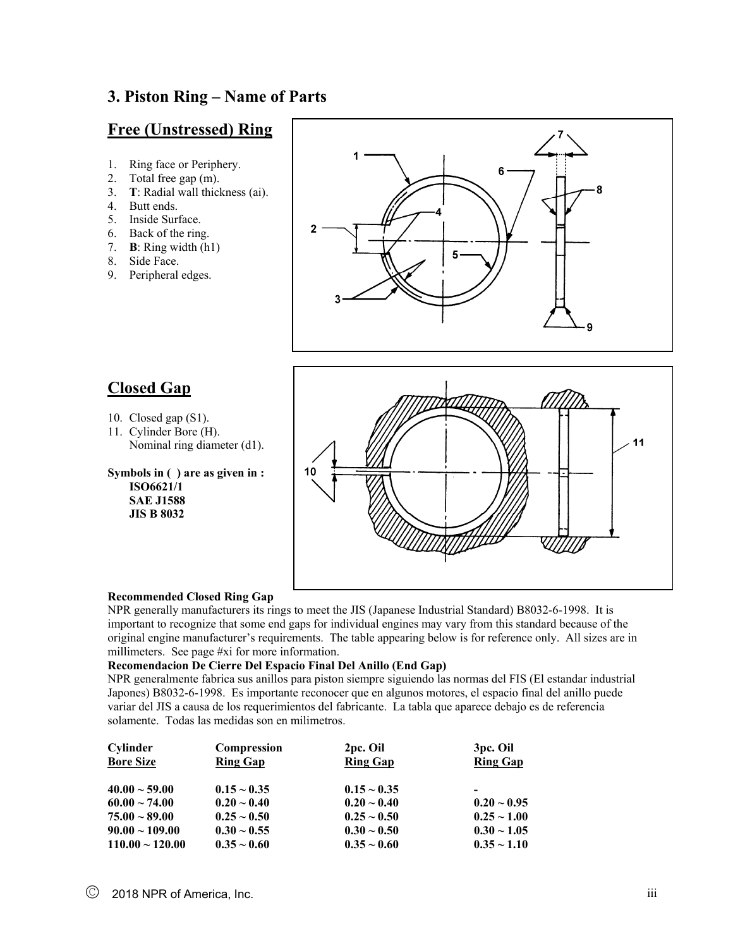### **3. Piston Ring – Name of Parts**

### **Free (Unstressed) Ring**

- 1. Ring face or Periphery.
- 2. Total free gap (m).
- 3. **T**: Radial wall thickness (ai).
- 4. Butt ends.
- 5. Inside Surface.
- 6. Back of the ring.
- 7. **B**: Ring width (h1)
- 8. Side Face.
- 9. Peripheral edges.



### **Closed Gap**

- 10. Closed gap (S1).
- 11. Cylinder Bore (H). Nominal ring diameter (d1).

**Symbols in ( ) are as given in : ISO6621/1 SAE J1588 JIS B 8032** 



#### **Recommended Closed Ring Gap**

NPR generally manufacturers its rings to meet the JIS (Japanese Industrial Standard) B8032-6-1998. It is important to recognize that some end gaps for individual engines may vary from this standard because of the original engine manufacturer's requirements. The table appearing below is for reference only. All sizes are in millimeters. See page #xi for more information.

#### **Recomendacion De Cierre Del Espacio Final Del Anillo (End Gap)**

NPR generalmente fabrica sus anillos para piston siempre siguiendo las normas del FIS (El estandar industrial Japones) B8032-6-1998. Es importante reconocer que en algunos motores, el espacio final del anillo puede variar del JIS a causa de los requerimientos del fabricante. La tabla que aparece debajo es de referencia solamente. Todas las medidas son en milimetros.

| Cylinder             | Compression      | 2pc. Oil         | 3 <sub>pc</sub> . Oil |
|----------------------|------------------|------------------|-----------------------|
| <b>Bore Size</b>     | <b>Ring Gap</b>  | <b>Ring Gap</b>  | <b>Ring Gap</b>       |
|                      |                  |                  |                       |
| $40.00 \sim 59.00$   | $0.15 \sim 0.35$ | $0.15 \sim 0.35$ |                       |
| $60.00 \sim 74.00$   | $0.20 \sim 0.40$ | $0.20 - 0.40$    | $0.20 \sim 0.95$      |
| $75.00 \sim 89.00$   | $0.25 - 0.50$    | $0.25 \sim 0.50$ | $0.25 - 1.00$         |
| $90.00 - 109.00$     | $0.30 \sim 0.55$ | $0.30 - 0.50$    | $0.30 \sim 1.05$      |
| $110.00 \sim 120.00$ | $0.35 - 0.60$    | $0.35 \sim 0.60$ | $0.35 - 1.10$         |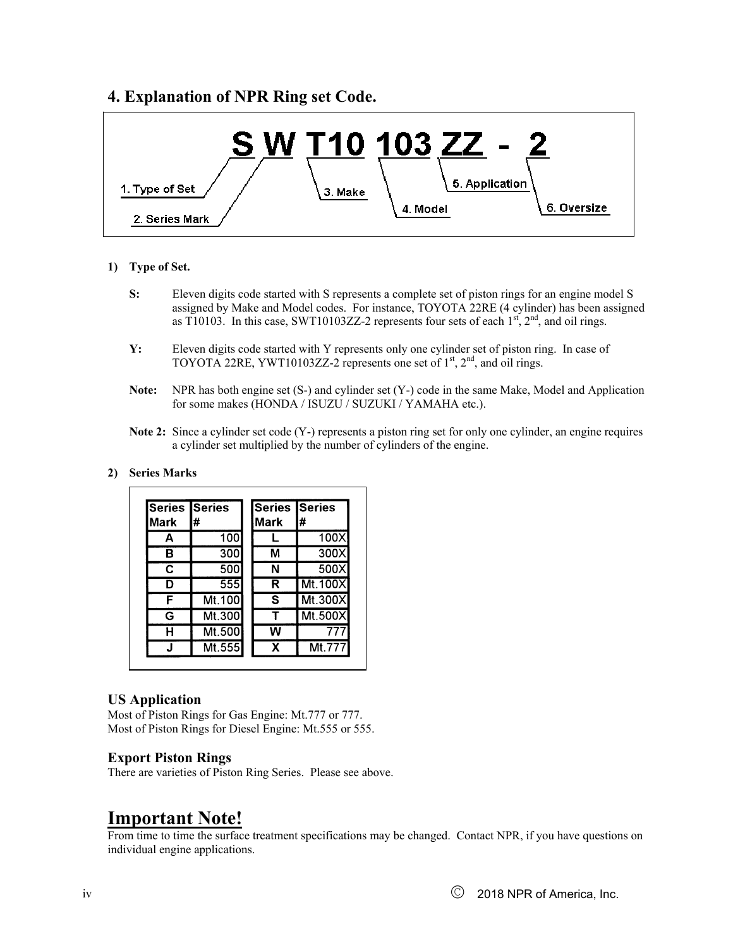### **4. Explanation of NPR Ring set Code.**



#### **1) Type of Set.**

- **S:** Eleven digits code started with S represents a complete set of piston rings for an engine model S assigned by Make and Model codes. For instance, TOYOTA 22RE (4 cylinder) has been assigned as T10103. In this case, SWT10103ZZ-2 represents four sets of each  $1<sup>st</sup>$ ,  $2<sup>nd</sup>$ , and oil rings.
- **Y:** Eleven digits code started with Y represents only one cylinder set of piston ring. In case of TOYOTA 22RE, YWT10103ZZ-2 represents one set of  $1<sup>st</sup>$ ,  $2<sup>nd</sup>$ , and oil rings.
- **Note:** NPR has both engine set (S-) and cylinder set (Y-) code in the same Make, Model and Application for some makes (HONDA / ISUZU / SUZUKI / YAMAHA etc.).
- **Note 2:** Since a cylinder set code (Y-) represents a piston ring set for only one cylinder, an engine requires a cylinder set multiplied by the number of cylinders of the engine.

#### **2) Series Marks**

| <b>Series Series</b> |        | <b>Series Series</b> |         |
|----------------------|--------|----------------------|---------|
| <b>Mark</b>          | #      | Mark                 | #       |
| A                    | 100    |                      | 100X    |
| в                    | 300    | М                    | 300X    |
| C                    | 500    | N                    | 500X    |
| D                    | 555    | R                    | Mt.100X |
| F                    | Mt.100 | S                    | Mt.300X |
| G                    | Mt.300 | т                    | Mt.500X |
| н                    | Mt.500 | W                    | 777     |
|                      | Mt.555 | x                    | Mt.777  |

#### **US Application**

Most of Piston Rings for Gas Engine: Mt.777 or 777. Most of Piston Rings for Diesel Engine: Mt.555 or 555.

#### **Export Piston Rings**

There are varieties of Piston Ring Series. Please see above.

## **Important Note!**

From time to time the surface treatment specifications may be changed. Contact NPR, if you have questions on individual engine applications.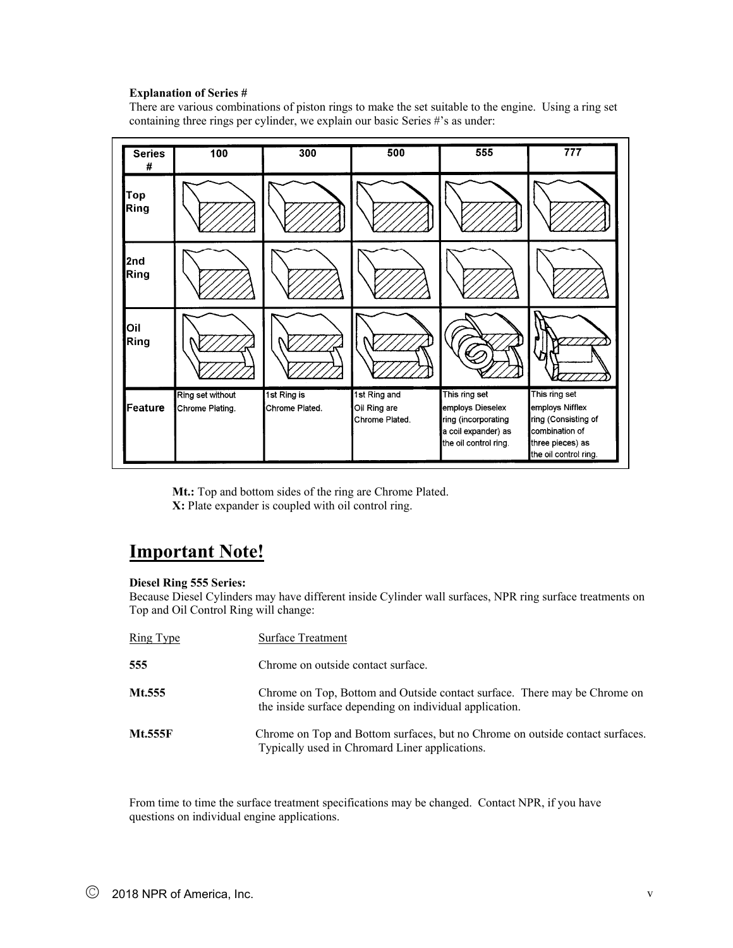#### **Explanation of Series #**

There are various combinations of piston rings to make the set suitable to the engine. Using a ring set containing three rings per cylinder, we explain our basic Series #'s as under:



 **Mt.:** Top and bottom sides of the ring are Chrome Plated.  **X:** Plate expander is coupled with oil control ring.

## **Important Note!**

#### **Diesel Ring 555 Series:**

Because Diesel Cylinders may have different inside Cylinder wall surfaces, NPR ring surface treatments on Top and Oil Control Ring will change:

| <u>Ring Type</u> | Surface Treatment                                                                                                                    |
|------------------|--------------------------------------------------------------------------------------------------------------------------------------|
| 555              | Chrome on outside contact surface.                                                                                                   |
| Mt.555           | Chrome on Top, Bottom and Outside contact surface. There may be Chrome on<br>the inside surface depending on individual application. |
| <b>Mt.555F</b>   | Chrome on Top and Bottom surfaces, but no Chrome on outside contact surfaces.<br>Typically used in Chromard Liner applications.      |

From time to time the surface treatment specifications may be changed. Contact NPR, if you have questions on individual engine applications.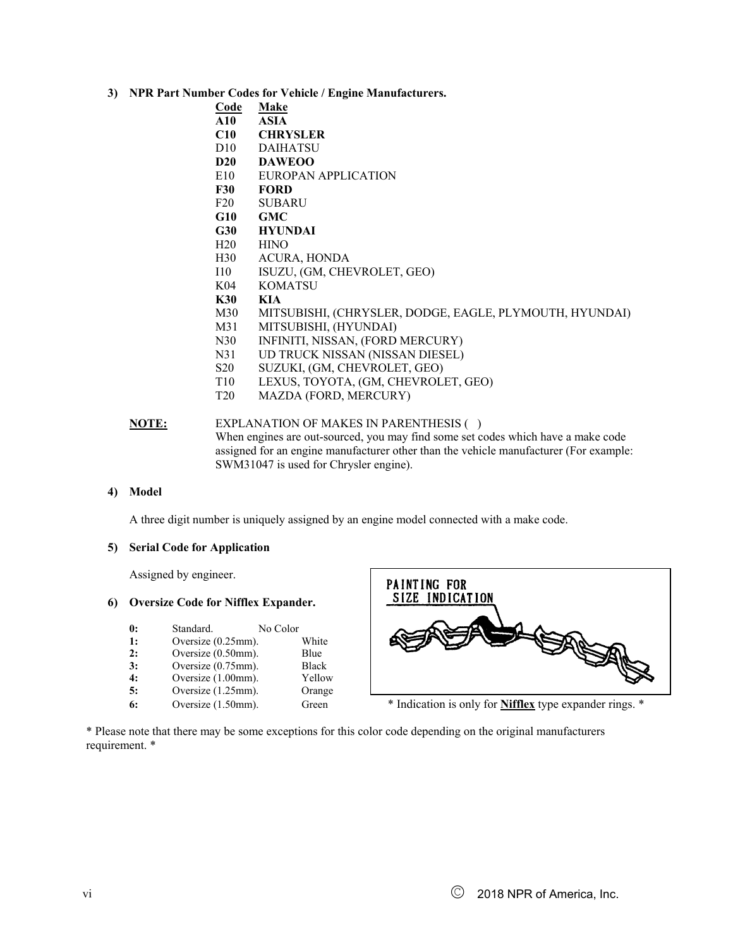- **3) NPR Part Number Codes for Vehicle / Engine Manufacturers.** 
	- **Code Make**
	- **A10 ASIA**
	- **C10 CHRYSLER**
	- D10 DAIHATSU
	- **D20 DAWEOO**
	- E10 EUROPAN APPLICATION
	- **F30 FORD**
	- F20 SUBARU
	- **G10 GMC**
	- **G30 HYUNDAI**
	- H20 HINO
	- H30 ACURA, HONDA
	- I10 ISUZU, (GM, CHEVROLET, GEO)
	- K04 KOMATSU
	- **K30 KIA**
	- M30 MITSUBISHI, (CHRYSLER, DODGE, EAGLE, PLYMOUTH, HYUNDAI)
	- M31 MITSUBISHI, (HYUNDAI)
	- N30 INFINITI, NISSAN, (FORD MERCURY)
	- N31 UD TRUCK NISSAN (NISSAN DIESEL)
	- S20 SUZUKI, (GM, CHEVROLET, GEO)
	- T10 LEXUS, TOYOTA, (GM, CHEVROLET, GEO)
	- T20 MAZDA (FORD, MERCURY)

#### **NOTE:** EXPLANATION OF MAKES IN PARENTHESIS ( ) When engines are out-sourced, you may find some set codes which have a make code assigned for an engine manufacturer other than the vehicle manufacturer (For example: SWM31047 is used for Chrysler engine).

#### **4) Model**

A three digit number is uniquely assigned by an engine model connected with a make code.

#### **5) Serial Code for Application**

Assigned by engineer.

#### **6) Oversize Code for Nifflex Expander.**

| $\mathbf{0}$ : | Standard.          | No Color |              |
|----------------|--------------------|----------|--------------|
| 1:             | Oversize (0.25mm). |          | White        |
| 2:             | Oversize (0.50mm). |          | Blue         |
| 3:             | Oversize (0.75mm). |          | <b>Black</b> |
| 4:             | Oversize (1.00mm). |          | Yellow       |
| 5:             | Oversize (1.25mm). |          | Orange       |
| 6:             | Oversize (1.50mm). |          | Green        |



\* Indication is only for **Nifflex** type expander rings. \*

\* Please note that there may be some exceptions for this color code depending on the original manufacturers requirement. \*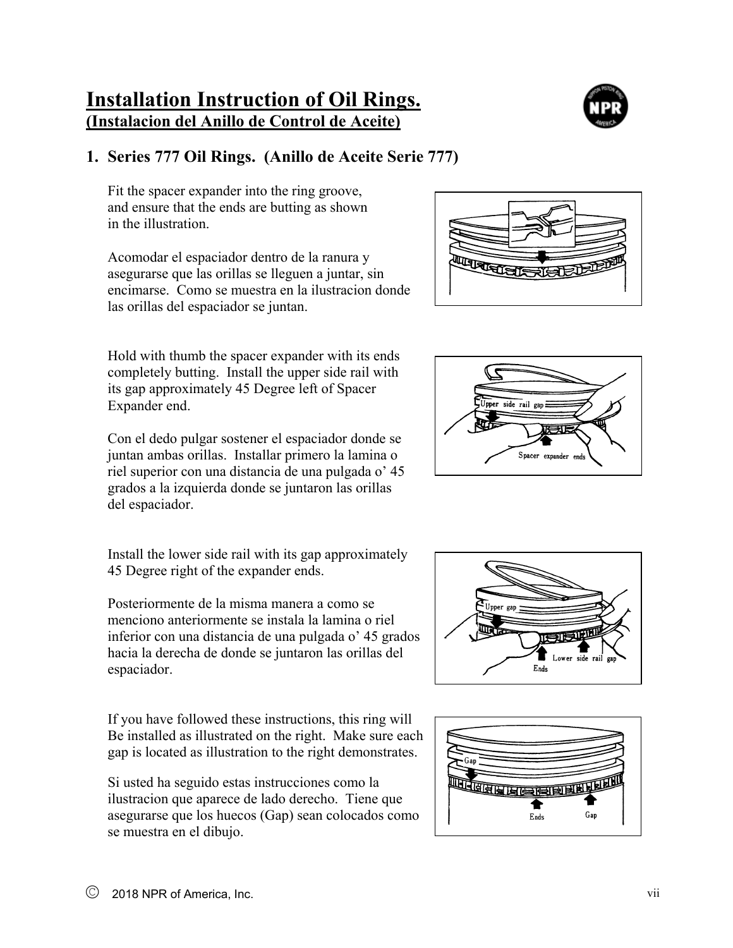## **Installation Instruction of Oil Rings. (Instalacion del Anillo de Control de Aceite)**

## **1. Series 777 Oil Rings. (Anillo de Aceite Serie 777)**

Fit the spacer expander into the ring groove, and ensure that the ends are butting as shown in the illustration.

Acomodar el espaciador dentro de la ranura y asegurarse que las orillas se lleguen a juntar, sin encimarse. Como se muestra en la ilustracion donde las orillas del espaciador se juntan.

Hold with thumb the spacer expander with its ends completely butting. Install the upper side rail with its gap approximately 45 Degree left of Spacer Expander end.

Con el dedo pulgar sostener el espaciador donde se juntan ambas orillas. Installar primero la lamina o riel superior con una distancia de una pulgada o' 45 grados a la izquierda donde se juntaron las orillas del espaciador.

Install the lower side rail with its gap approximately 45 Degree right of the expander ends.

Posteriormente de la misma manera a como se menciono anteriormente se instala la lamina o riel inferior con una distancia de una pulgada o' 45 grados hacia la derecha de donde se juntaron las orillas del espaciador.

If you have followed these instructions, this ring will Be installed as illustrated on the right. Make sure each gap is located as illustration to the right demonstrates.

Si usted ha seguido estas instrucciones como la ilustracion que aparece de lado derecho. Tiene que asegurarse que los huecos (Gap) sean colocados como se muestra en el dibujo.









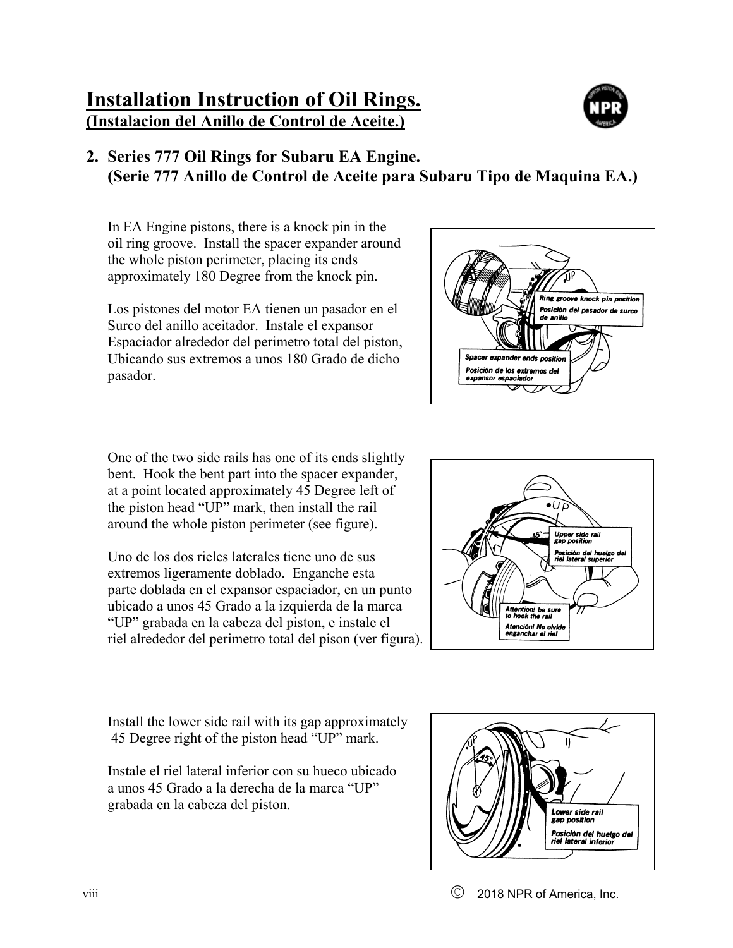## **Installation Instruction of Oil Rings. (Instalacion del Anillo de Control de Aceite.)**



## **2. Series 777 Oil Rings for Subaru EA Engine. (Serie 777 Anillo de Control de Aceite para Subaru Tipo de Maquina EA.)**

In EA Engine pistons, there is a knock pin in the oil ring groove. Install the spacer expander around the whole piston perimeter, placing its ends approximately 180 Degree from the knock pin.

Los pistones del motor EA tienen un pasador en el Surco del anillo aceitador. Instale el expansor Espaciador alrededor del perimetro total del piston, Ubicando sus extremos a unos 180 Grado de dicho pasador.



One of the two side rails has one of its ends slightly bent. Hook the bent part into the spacer expander, at a point located approximately 45 Degree left of the piston head "UP" mark, then install the rail around the whole piston perimeter (see figure).

Uno de los dos rieles laterales tiene uno de sus extremos ligeramente doblado. Enganche esta parte doblada en el expansor espaciador, en un punto ubicado a unos 45 Grado a la izquierda de la marca "UP" grabada en la cabeza del piston, e instale el riel alrededor del perimetro total del pison (ver figura).



Install the lower side rail with its gap approximately 45 Degree right of the piston head "UP" mark.

Instale el riel lateral inferior con su hueco ubicado a unos 45 Grado a la derecha de la marca "UP" grabada en la cabeza del piston.

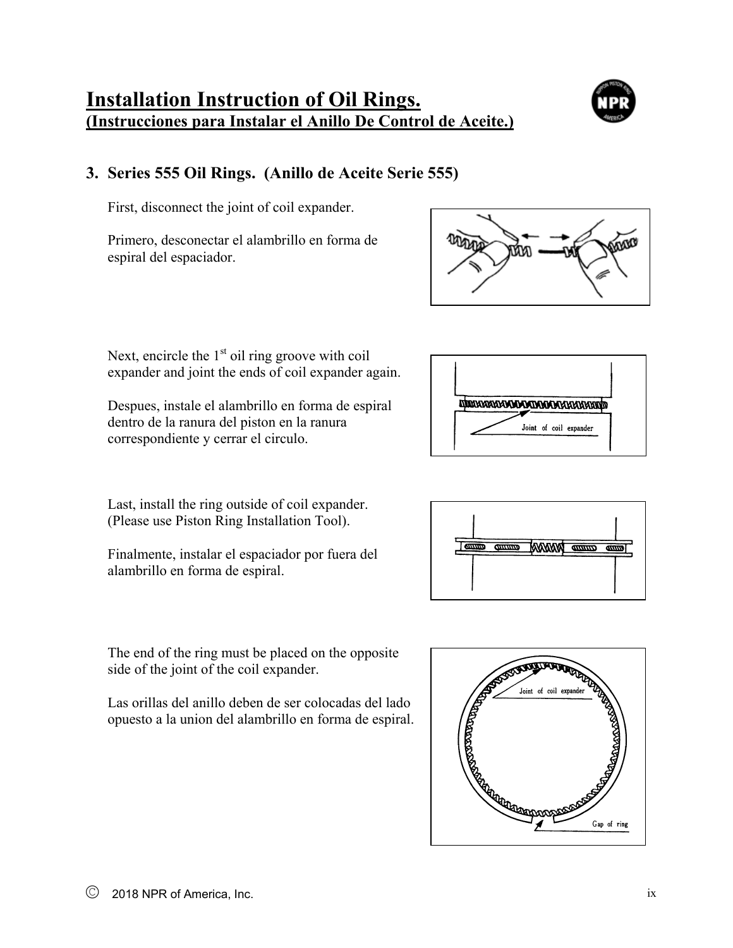## **Installation Instruction of Oil Rings. (Instrucciones para Instalar el Anillo De Control de Aceite.)**

## **3. Series 555 Oil Rings. (Anillo de Aceite Serie 555)**

First, disconnect the joint of coil expander.

Primero, desconectar el alambrillo en forma de espiral del espaciador.



Despues, instale el alambrillo en forma de espiral dentro de la ranura del piston en la ranura correspondiente y cerrar el circulo.

Last, install the ring outside of coil expander. (Please use Piston Ring Installation Tool).

Finalmente, instalar el espaciador por fuera del alambrillo en forma de espiral.

The end of the ring must be placed on the opposite side of the joint of the coil expander.

Las orillas del anillo deben de ser colocadas del lado opuesto a la union del alambrillo en forma de espiral.





**ANAWAT** 

 $\overline{a}$ 

 $\frac{1}{2}$ 

 $\overline{a}$ 

**TANA A MARA A MARA MARA A MARA A MARA A MARA** 



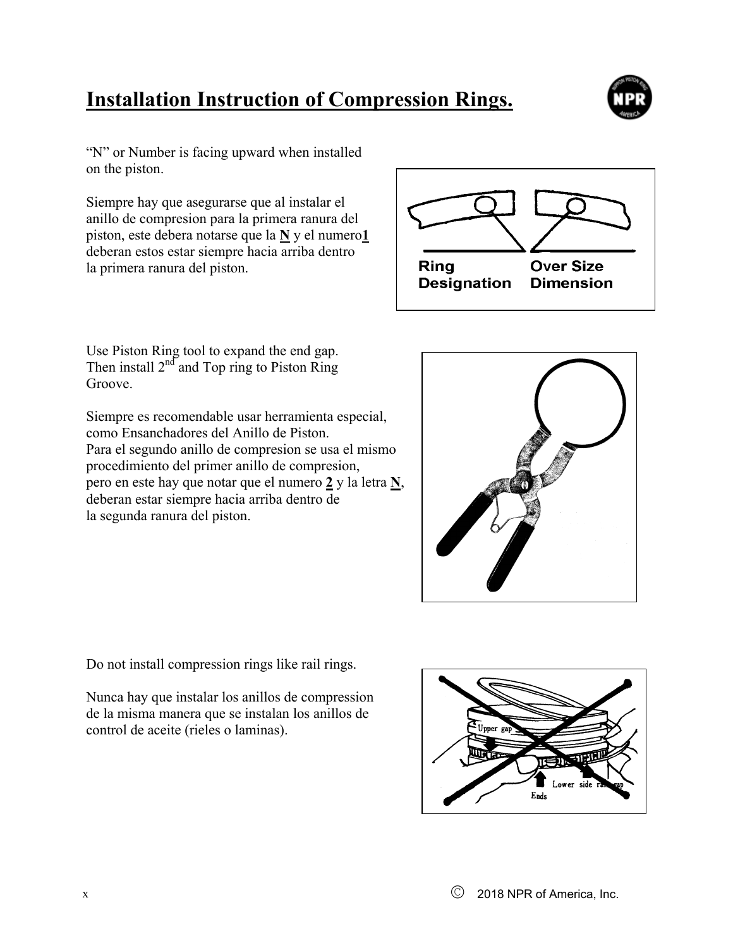# **Installation Instruction of Compression Rings.**



"N" or Number is facing upward when installed on the piston.

Siempre hay que asegurarse que al instalar el anillo de compresion para la primera ranura del piston, este debera notarse que la **N** y el numero**1** deberan estos estar siempre hacia arriba dentro la primera ranura del piston.



Use Piston Ring tool to expand the end gap. Then install  $2^{nd}$  and Top ring to Piston Ring Groove.

Siempre es recomendable usar herramienta especial, como Ensanchadores del Anillo de Piston. Para el segundo anillo de compresion se usa el mismo procedimiento del primer anillo de compresion, pero en este hay que notar que el numero **2** y la letra **N**, deberan estar siempre hacia arriba dentro de la segunda ranura del piston.



Do not install compression rings like rail rings.

Nunca hay que instalar los anillos de compression de la misma manera que se instalan los anillos de control de aceite (rieles o laminas).

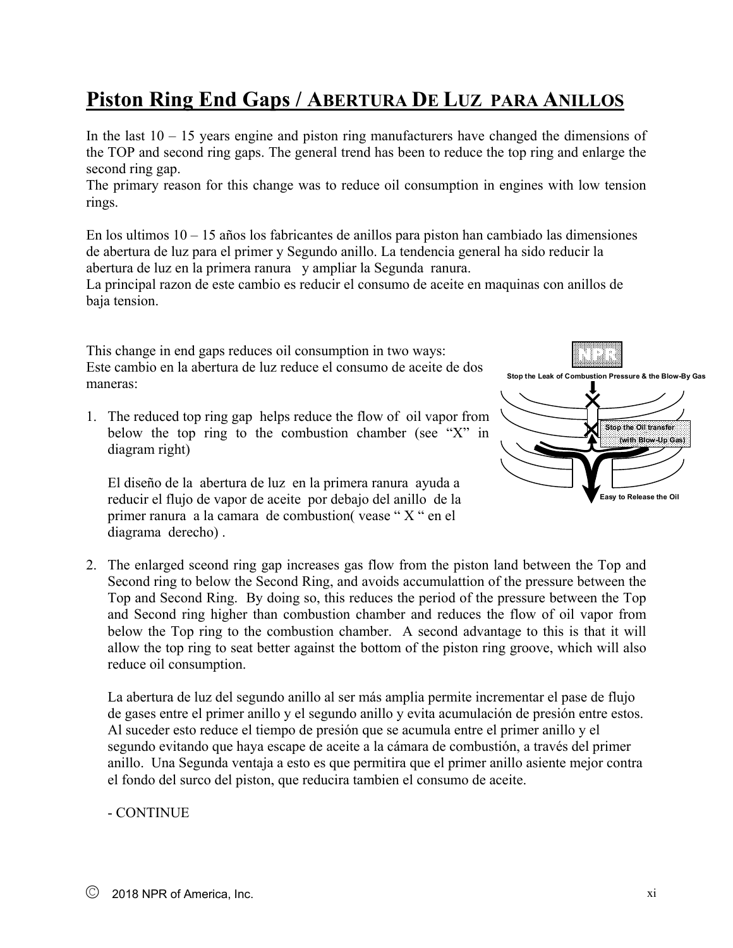# **Piston Ring End Gaps / ABERTURA DE LUZ PARA ANILLOS**

In the last  $10 - 15$  years engine and piston ring manufacturers have changed the dimensions of the TOP and second ring gaps. The general trend has been to reduce the top ring and enlarge the second ring gap.

The primary reason for this change was to reduce oil consumption in engines with low tension rings.

En los ultimos  $10 - 15$  años los fabricantes de anillos para piston han cambiado las dimensiones de abertura de luz para el primer y Segundo anillo. La tendencia general ha sido reducir la abertura de luz en la primera ranura y ampliar la Segunda ranura.

La principal razon de este cambio es reducir el consumo de aceite en maquinas con anillos de baja tension.

This change in end gaps reduces oil consumption in two ways: Este cambio en la abertura de luz reduce el consumo de aceite de dos maneras:

1. The reduced top ring gap helps reduce the flow of oil vapor from below the top ring to the combustion chamber (see "X" in diagram right)

El diseño de la abertura de luz en la primera ranura ayuda a reducir el flujo de vapor de aceite por debajo del anillo de la primer ranura a la camara de combustion( vease " X " en el diagrama derecho) .



2. The enlarged sceond ring gap increases gas flow from the piston land between the Top and Second ring to below the Second Ring, and avoids accumulattion of the pressure between the Top and Second Ring. By doing so, this reduces the period of the pressure between the Top and Second ring higher than combustion chamber and reduces the flow of oil vapor from below the Top ring to the combustion chamber. A second advantage to this is that it will allow the top ring to seat better against the bottom of the piston ring groove, which will also reduce oil consumption.

La abertura de luz del segundo anillo al ser más amplia permite incrementar el pase de flujo de gases entre el primer anillo y el segundo anillo y evita acumulación de presión entre estos. Al suceder esto reduce el tiempo de presión que se acumula entre el primer anillo y el segundo evitando que haya escape de aceite a la cámara de combustión, a través del primer anillo. Una Segunda ventaja a esto es que permitira que el primer anillo asiente mejor contra el fondo del surco del piston, que reducira tambien el consumo de aceite.

### - CONTINUE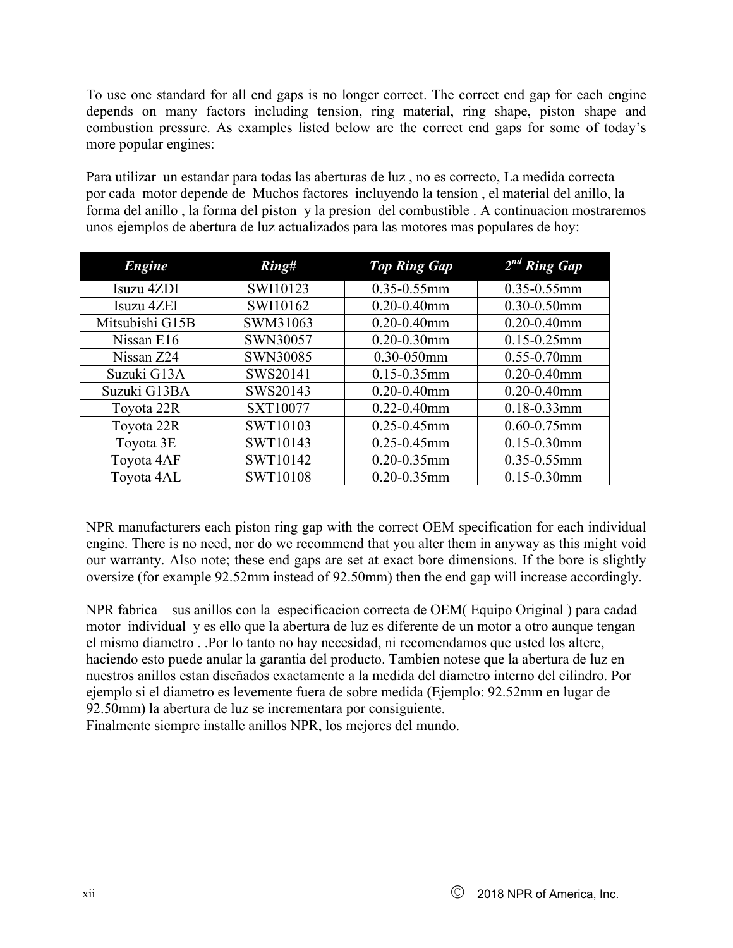To use one standard for all end gaps is no longer correct. The correct end gap for each engine depends on many factors including tension, ring material, ring shape, piston shape and combustion pressure. As examples listed below are the correct end gaps for some of today's more popular engines:

Para utilizar un estandar para todas las aberturas de luz , no es correcto, La medida correcta por cada motor depende de Muchos factores incluyendo la tension , el material del anillo, la forma del anillo , la forma del piston y la presion del combustible . A continuacion mostraremos unos ejemplos de abertura de luz actualizados para las motores mas populares de hoy:

| <b>Engine</b>   | Ring#           | <b>Top Ring Gap</b> | $2^{nd}$ Ring Gap |
|-----------------|-----------------|---------------------|-------------------|
| Isuzu 4ZDI      | SWI10123        | $0.35 - 0.55$ mm    | $0.35 - 0.55$ mm  |
| Isuzu 4ZEI      | SWI10162        | $0.20 - 0.40$ mm    | 0.30-0.50mm       |
| Mitsubishi G15B | SWM31063        | $0.20 - 0.40$ mm    | $0.20 - 0.40$ mm  |
| Nissan E16      | SWN30057        | $0.20 - 0.30$ mm    | $0.15 - 0.25$ mm  |
| Nissan Z24      | SWN30085        | 0.30-050mm          | $0.55 - 0.70$ mm  |
| Suzuki G13A     | SWS20141        | $0.15 - 0.35$ mm    | $0.20 - 0.40$ mm  |
| Suzuki G13BA    | SWS20143        | $0.20 - 0.40$ mm    | $0.20 - 0.40$ mm  |
| Toyota 22R      | SXT10077        | $0.22 - 0.40$ mm    | $0.18 - 0.33$ mm  |
| Toyota 22R      | SWT10103        | $0.25 - 0.45$ mm    | $0.60 - 0.75$ mm  |
| Toyota 3E       | SWT10143        | 0.25-0.45mm         | $0.15 - 0.30$ mm  |
| Toyota 4AF      | SWT10142        | $0.20 - 0.35$ mm    | $0.35 - 0.55$ mm  |
| Toyota 4AL      | <b>SWT10108</b> | $0.20 - 0.35$ mm    | $0.15 - 0.30$ mm  |

NPR manufacturers each piston ring gap with the correct OEM specification for each individual engine. There is no need, nor do we recommend that you alter them in anyway as this might void our warranty. Also note; these end gaps are set at exact bore dimensions. If the bore is slightly oversize (for example 92.52mm instead of 92.50mm) then the end gap will increase accordingly.

NPR fabrica sus anillos con la especificacion correcta de OEM( Equipo Original ) para cadad motor individual y es ello que la abertura de luz es diferente de un motor a otro aunque tengan el mismo diametro . .Por lo tanto no hay necesidad, ni recomendamos que usted los altere, haciendo esto puede anular la garantia del producto. Tambien notese que la abertura de luz en nuestros anillos estan diseñados exactamente a la medida del diametro interno del cilindro. Por ejemplo si el diametro es levemente fuera de sobre medida (Ejemplo: 92.52mm en lugar de 92.50mm) la abertura de luz se incrementara por consiguiente.

Finalmente siempre installe anillos NPR, los mejores del mundo.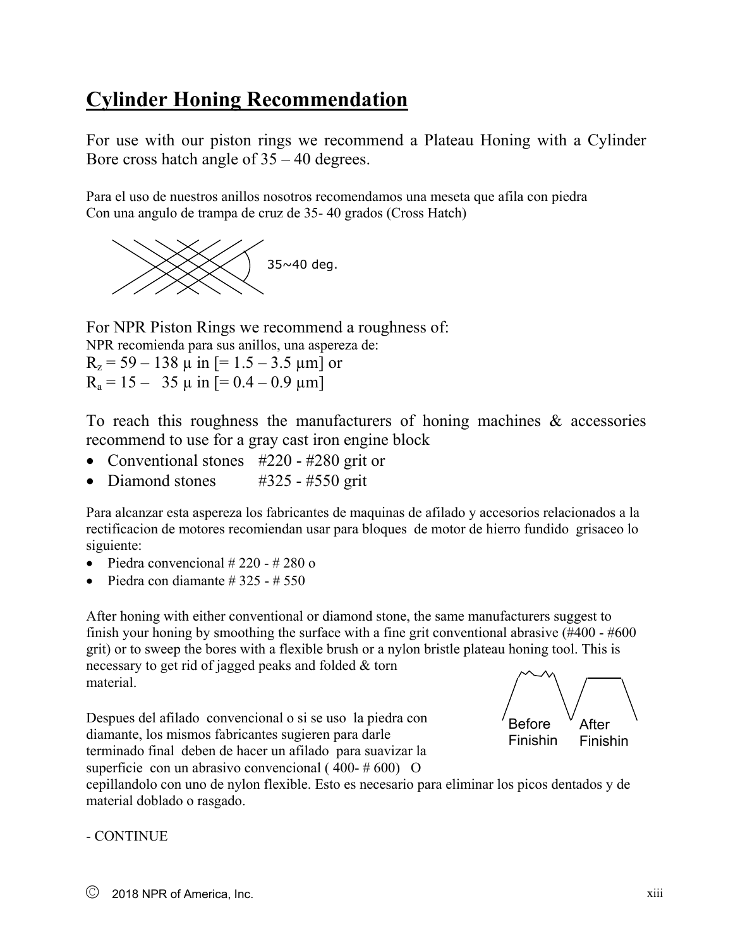# **Cylinder Honing Recommendation**

For use with our piston rings we recommend a Plateau Honing with a Cylinder Bore cross hatch angle of 35 – 40 degrees.

Para el uso de nuestros anillos nosotros recomendamos una meseta que afila con piedra Con una angulo de trampa de cruz de 35- 40 grados (Cross Hatch)



For NPR Piston Rings we recommend a roughness of: NPR recomienda para sus anillos, una aspereza de:  $R_z = 59 - 138 \mu$  in [= 1.5 – 3.5  $\mu$ m] or  $R_a = 15 - 35 \mu$  in  $[= 0.4 - 0.9 \mu m]$ 

To reach this roughness the manufacturers of honing machines & accessories recommend to use for a gray cast iron engine block

- Conventional stones #220 #280 grit or
- Diamond stones  $#325 #550$  grit

Para alcanzar esta aspereza los fabricantes de maquinas de afilado y accesorios relacionados a la rectificacion de motores recomiendan usar para bloques de motor de hierro fundido grisaceo lo siguiente:

- Piedra convencional  $\# 220 \# 280$  o
- Piedra con diamante  $\#$  325  $\#$  550

After honing with either conventional or diamond stone, the same manufacturers suggest to finish your honing by smoothing the surface with a fine grit conventional abrasive (#400 - #600 grit) or to sweep the bores with a flexible brush or a nylon bristle plateau honing tool. This is necessary to get rid of jagged peaks and folded & torn material.

Despues del afilado convencional o si se uso la piedra con diamante, los mismos fabricantes sugieren para darle terminado final deben de hacer un afilado para suavizar la superficie con un abrasivo convencional ( $400 - #600$ ) O



cepillandolo con uno de nylon flexible. Esto es necesario para eliminar los picos dentados y de material doblado o rasgado.

- CONTINUE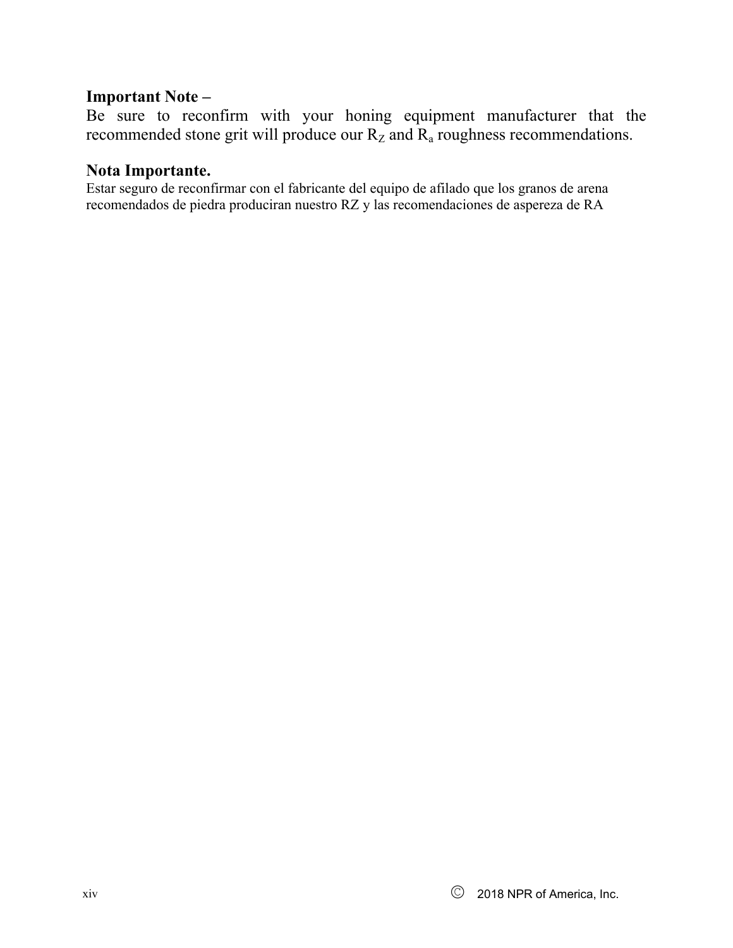### **Important Note –**

Be sure to reconfirm with your honing equipment manufacturer that the recommended stone grit will produce our  $R_z$  and  $R_a$  roughness recommendations.

### **Nota Importante.**

Estar seguro de reconfirmar con el fabricante del equipo de afilado que los granos de arena recomendados de piedra produciran nuestro RZ y las recomendaciones de aspereza de RA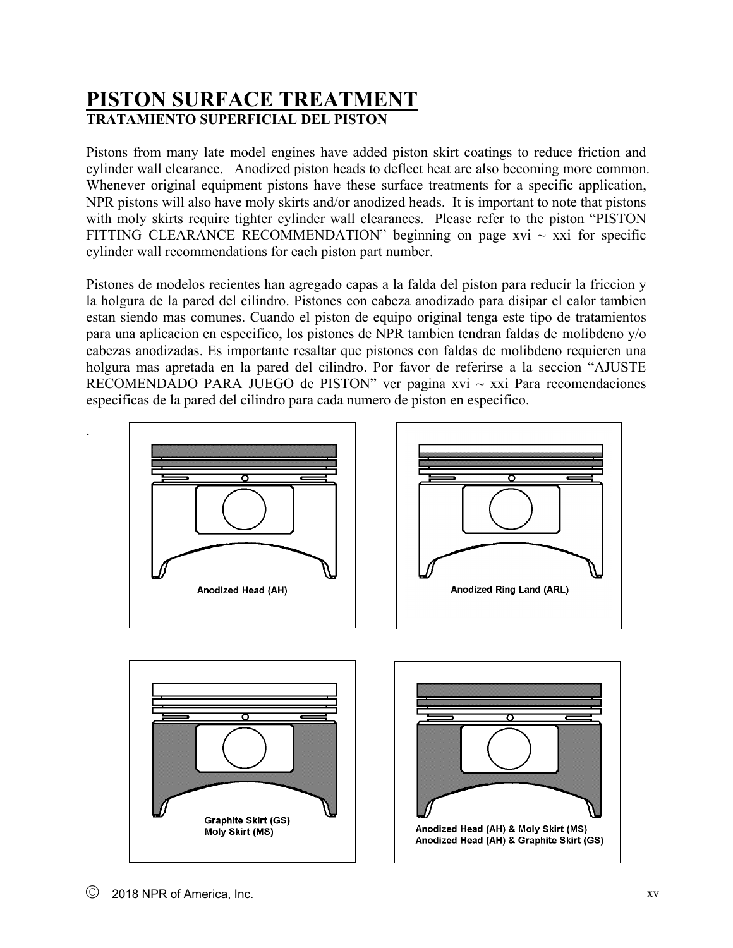## **PISTON SURFACE TREATMENT TRATAMIENTO SUPERFICIAL DEL PISTON**

Pistons from many late model engines have added piston skirt coatings to reduce friction and cylinder wall clearance. Anodized piston heads to deflect heat are also becoming more common. Whenever original equipment pistons have these surface treatments for a specific application, NPR pistons will also have moly skirts and/or anodized heads. It is important to note that pistons with moly skirts require tighter cylinder wall clearances. Please refer to the piston "PISTON FITTING CLEARANCE RECOMMENDATION" beginning on page xvi  $\sim$  xxi for specific cylinder wall recommendations for each piston part number.

Pistones de modelos recientes han agregado capas a la falda del piston para reducir la friccion y la holgura de la pared del cilindro. Pistones con cabeza anodizado para disipar el calor tambien estan siendo mas comunes. Cuando el piston de equipo original tenga este tipo de tratamientos para una aplicacion en especifico, los pistones de NPR tambien tendran faldas de molibdeno y/o cabezas anodizadas. Es importante resaltar que pistones con faldas de molibdeno requieren una holgura mas apretada en la pared del cilindro. Por favor de referirse a la seccion "AJUSTE RECOMENDADO PARA JUEGO de PISTON" ver pagina xvi  $\sim$  xxi Para recomendaciones especificas de la pared del cilindro para cada numero de piston en especifico.



.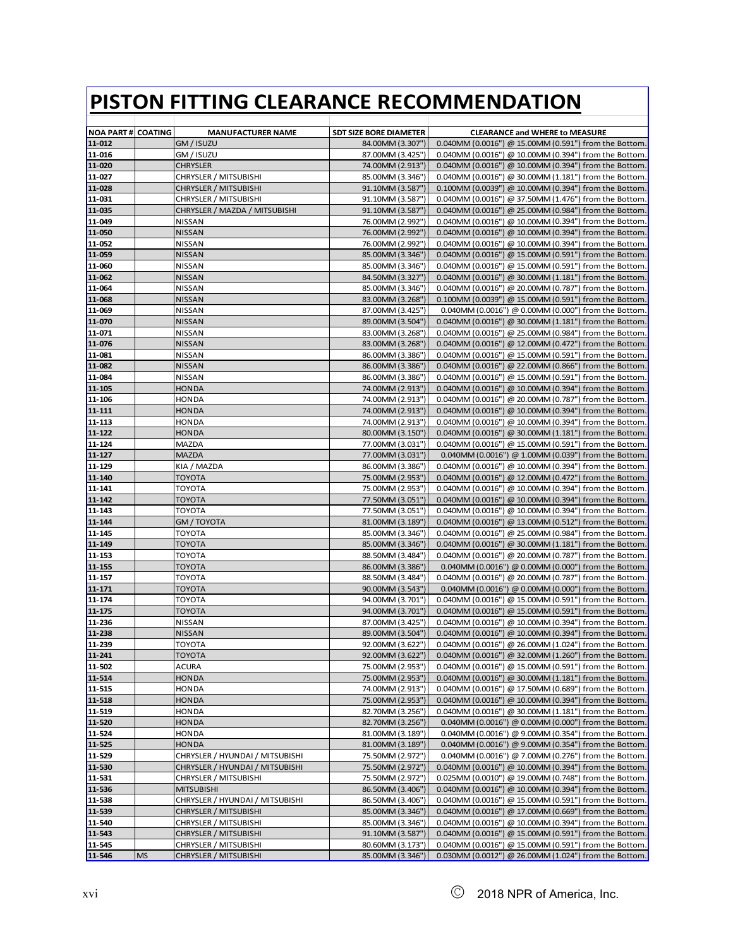| <b>NOA PART # COATING</b> |           | <b>MANUFACTURER NAME</b>                       | <b>SDT SIZE BORE DIAMETER</b>        | <b>CLEARANCE and WHERE to MEASURE</b>                                                                          |
|---------------------------|-----------|------------------------------------------------|--------------------------------------|----------------------------------------------------------------------------------------------------------------|
| 11-012                    |           | GM / ISUZU                                     | 84.00MM (3.307")                     | 0.040MM (0.0016") @ 15.00MM (0.591") from the Bottom.                                                          |
| 11-016                    |           | GM / ISUZU                                     | 87.00MM (3.425")                     | 0.040MM (0.0016") @ 10.00MM (0.394") from the Bottom.                                                          |
| 11-020                    |           | <b>CHRYSLER</b>                                | 74.00MM (2.913")                     | 0.040MM (0.0016") @ 10.00MM (0.394") from the Bottom.                                                          |
| 11-027                    |           | CHRYSLER / MITSUBISHI                          | 85.00MM (3.346")                     | 0.040MM (0.0016") @ 30.00MM (1.181") from the Bottom.                                                          |
| 11-028                    |           | CHRYSLER / MITSUBISHI                          | 91.10MM (3.587")                     | 0.100MM (0.0039") @ 10.00MM (0.394") from the Bottom.                                                          |
| 11-031                    |           | CHRYSLER / MITSUBISHI                          | 91.10MM (3.587")                     | 0.040MM (0.0016") @ 37.50MM (1.476") from the Bottom.                                                          |
| 11-035                    |           | CHRYSLER / MAZDA / MITSUBISHI                  | 91.10MM (3.587")                     | 0.040MM (0.0016") @ 25.00MM (0.984") from the Bottom.                                                          |
| 11-049                    |           | <b>NISSAN</b>                                  | 76.00MM (2.992")                     | 0.040MM (0.0016") @ 10.00MM (0.394") from the Bottom.                                                          |
| 11-050                    |           | <b>NISSAN</b>                                  | 76.00MM (2.992")                     | 0.040MM (0.0016") @ 10.00MM (0.394") from the Bottom.                                                          |
| 11-052                    |           | <b>NISSAN</b>                                  | 76.00MM (2.992")                     | 0.040MM (0.0016") @ 10.00MM (0.394") from the Bottom.                                                          |
| 11-059                    |           | <b>NISSAN</b>                                  | 85.00MM (3.346")                     | 0.040MM (0.0016") @ 15.00MM (0.591") from the Bottom.                                                          |
| 11-060                    |           | <b>NISSAN</b>                                  | 85.00MM (3.346")                     | 0.040MM (0.0016") @ 15.00MM (0.591") from the Bottom.                                                          |
| 11-062                    |           | <b>NISSAN</b>                                  | 84.50MM (3.327")                     | 0.040MM (0.0016") @ 30.00MM (1.181") from the Bottom.                                                          |
| 11-064                    |           | <b>NISSAN</b>                                  | 85.00MM (3.346")                     | 0.040MM (0.0016") @ 20.00MM (0.787") from the Bottom.                                                          |
| 11-068                    |           | <b>NISSAN</b>                                  | 83.00MM (3.268")                     | 0.100MM (0.0039") @ 15.00MM (0.591") from the Bottom.                                                          |
| 11-069                    |           | <b>NISSAN</b>                                  | 87.00MM (3.425")                     | 0.040MM (0.0016") @ 0.00MM (0.000") from the Bottom.                                                           |
| 11-070                    |           | <b>NISSAN</b>                                  | 89.00MM (3.504")                     | 0.040MM (0.0016") @ 30.00MM (1.181") from the Bottom.                                                          |
| 11-071                    |           | <b>NISSAN</b>                                  | 83.00MM (3.268")                     | 0.040MM (0.0016") @ 25.00MM (0.984") from the Bottom.                                                          |
| 11-076                    |           | <b>NISSAN</b>                                  | 83.00MM (3.268")                     | 0.040MM (0.0016") @ 12.00MM (0.472") from the Bottom.                                                          |
| 11-081                    |           | <b>NISSAN</b>                                  | 86.00MM (3.386")                     | 0.040MM (0.0016") @ 15.00MM (0.591") from the Bottom.                                                          |
| 11-082                    |           | <b>NISSAN</b>                                  | 86.00MM (3.386")                     | 0.040MM (0.0016") @ 22.00MM (0.866") from the Bottom.                                                          |
| 11-084                    |           | <b>NISSAN</b>                                  | 86.00MM (3.386")                     | 0.040MM (0.0016") @ 15.00MM (0.591") from the Bottom.                                                          |
| 11-105                    |           | <b>HONDA</b>                                   | 74.00MM (2.913")                     | 0.040MM (0.0016") @ 10.00MM (0.394") from the Bottom.                                                          |
| 11-106                    |           | <b>HONDA</b>                                   | 74.00MM (2.913")                     | 0.040MM (0.0016") @ 20.00MM (0.787") from the Bottom.                                                          |
| 11-111                    |           | <b>HONDA</b>                                   | 74.00MM (2.913")                     | 0.040MM (0.0016") @ 10.00MM (0.394") from the Bottom.                                                          |
| 11-113                    |           | <b>HONDA</b>                                   | 74.00MM (2.913")                     | 0.040MM (0.0016") @ 10.00MM (0.394") from the Bottom.                                                          |
| 11-122                    |           | <b>HONDA</b>                                   | 80.00MM (3.150")                     | 0.040MM (0.0016") @ 30.00MM (1.181") from the Bottom.                                                          |
| 11-124                    |           | MAZDA                                          | 77.00MM (3.031")                     | 0.040MM (0.0016") @ 15.00MM (0.591") from the Bottom.                                                          |
| 11-127                    |           | <b>MAZDA</b>                                   | 77.00MM (3.031")                     | 0.040MM (0.0016") @ 1.00MM (0.039") from the Bottom.                                                           |
| 11-129                    |           | KIA / MAZDA                                    | 86.00MM (3.386")                     | 0.040MM (0.0016") @ 10.00MM (0.394") from the Bottom.                                                          |
| 11-140                    |           | <b>TOYOTA</b>                                  | 75.00MM (2.953")                     | 0.040MM (0.0016") @ 12.00MM (0.472") from the Bottom.                                                          |
| 11-141                    |           | <b>TOYOTA</b>                                  | 75.00MM (2.953")                     | 0.040MM (0.0016") @ 10.00MM (0.394") from the Bottom.                                                          |
| 11-142                    |           | <b>TOYOTA</b>                                  | 77.50MM (3.051")                     | 0.040MM (0.0016") @ 10.00MM (0.394") from the Bottom.                                                          |
| 11-143                    |           | <b>TOYOTA</b>                                  | 77.50MM (3.051")                     | 0.040MM (0.0016") @ 10.00MM (0.394") from the Bottom.                                                          |
| 11-144                    |           | GM / TOYOTA                                    | 81.00MM (3.189")                     | 0.040MM (0.0016") @ 13.00MM (0.512") from the Bottom.                                                          |
| 11-145                    |           | <b>TOYOTA</b>                                  | 85.00MM (3.346")                     | 0.040MM (0.0016") @ 25.00MM (0.984") from the Bottom.                                                          |
| 11-149                    |           | <b>TOYOTA</b>                                  | 85.00MM (3.346")                     | 0.040MM (0.0016") @ 30.00MM (1.181") from the Bottom.                                                          |
| 11-153                    |           | <b>TOYOTA</b>                                  | 88.50MM (3.484")                     | 0.040MM (0.0016") @ 20.00MM (0.787") from the Bottom.                                                          |
| $11 - 155$                |           | <b>TOYOTA</b>                                  | 86.00MM (3.386")                     | 0.040MM (0.0016") @ 0.00MM (0.000") from the Bottom.                                                           |
| 11-157                    |           | <b>TOYOTA</b>                                  | 88.50MM (3.484")                     | 0.040MM (0.0016") @ 20.00MM (0.787") from the Bottom.                                                          |
| 11-171                    |           | <b>TOYOTA</b>                                  | 90.00MM (3.543")                     | 0.040MM (0.0016") @ 0.00MM (0.000") from the Bottom.                                                           |
| 11-174                    |           | <b>TOYOTA</b>                                  | 94.00MM (3.701")                     | 0.040MM (0.0016") @ 15.00MM (0.591") from the Bottom.                                                          |
| 11-175                    |           | <b>TOYOTA</b>                                  | 94.00MM (3.701")                     | 0.040MM (0.0016") @ 15.00MM (0.591") from the Bottom.                                                          |
| 11-236                    |           | <b>NISSAN</b>                                  | 87.00MM (3.425")<br>89.00MM (3.504") | 0.040MM (0.0016") @ 10.00MM (0.394") from the Bottom.                                                          |
| 11-238                    |           | <b>NISSAN</b><br><b>TOYOTA</b>                 | 92.00MM (3.622")                     | 0.040MM (0.0016") @ 10.00MM (0.394") from the Bottom.<br>0.040MM (0.0016") @ 26.00MM (1.024") from the Bottom. |
| 11-239<br>11-241          |           |                                                | 92.00MM (3.622")                     |                                                                                                                |
| 11-502                    |           | <b>TOYOTA</b>                                  |                                      | 0.040MM (0.0016") @ 32.00MM (1.260") from the Bottom.                                                          |
|                           |           | <b>ACURA</b>                                   | 75.00MM (2.953")                     | 0.040MM (0.0016") @ 15.00MM (0.591") from the Bottom.                                                          |
| 11-514<br>11-515          |           | <b>HONDA</b><br><b>HONDA</b>                   | 75.00MM (2.953")<br>74.00MM (2.913") | 0.040MM (0.0016") @ 30.00MM (1.181") from the Bottom.<br>0.040MM (0.0016") @ 17.50MM (0.689") from the Bottom. |
| 11-518                    |           | <b>HONDA</b>                                   | 75.00MM (2.953")                     | 0.040MM (0.0016") @ 10.00MM (0.394") from the Bottom.                                                          |
| 11-519                    |           | <b>HONDA</b>                                   | 82.70MM (3.256")                     | 0.040MM (0.0016") @ 30.00MM (1.181") from the Bottom.                                                          |
|                           |           | <b>HONDA</b>                                   |                                      |                                                                                                                |
| 11-520<br>11-524          |           | <b>HONDA</b>                                   | 82.70MM (3.256")<br>81.00MM (3.189") | 0.040MM (0.0016") @ 0.00MM (0.000") from the Bottom.<br>0.040MM (0.0016") @ 9.00MM (0.354") from the Bottom.   |
| 11-525                    |           | <b>HONDA</b>                                   | 81.00MM (3.189")                     | 0.040MM (0.0016") @ 9.00MM (0.354") from the Bottom.                                                           |
| 11-529                    |           | CHRYSLER / HYUNDAI / MITSUBISHI                | 75.50MM (2.972")                     | 0.040MM (0.0016") @ 7.00MM (0.276") from the Bottom.                                                           |
| 11-530                    |           | CHRYSLER / HYUNDAI / MITSUBISHI                | 75.50MM (2.972")                     | 0.040MM (0.0016") @ 10.00MM (0.394") from the Bottom.                                                          |
| 11-531                    |           | CHRYSLER / MITSUBISHI                          | 75.50MM (2.972")                     | 0.025MM (0.0010") @ 19.00MM (0.748") from the Bottom.                                                          |
| 11-536                    |           | <b>MITSUBISHI</b>                              | 86.50MM (3.406")                     | 0.040MM (0.0016") @ 10.00MM (0.394") from the Bottom.                                                          |
| 11-538                    |           | CHRYSLER / HYUNDAI / MITSUBISHI                | 86.50MM (3.406")                     | 0.040MM (0.0016") @ 15.00MM (0.591") from the Bottom.                                                          |
| 11-539                    |           | CHRYSLER / MITSUBISHI                          | 85.00MM (3.346")                     | 0.040MM (0.0016") @ 17.00MM (0.669") from the Bottom.                                                          |
|                           |           |                                                | 85.00MM (3.346")                     | 0.040MM (0.0016") @ 10.00MM (0.394") from the Bottom.                                                          |
| 11-540<br>11-543          |           | CHRYSLER / MITSUBISHI<br>CHRYSLER / MITSUBISHI | 91.10MM (3.587")                     | 0.040MM (0.0016") @ 15.00MM (0.591") from the Bottom.                                                          |
| 11-545                    |           | CHRYSLER / MITSUBISHI                          | 80.60MM (3.173")                     | 0.040MM (0.0016") @ 15.00MM (0.591") from the Bottom.                                                          |
| 11-546                    | <b>MS</b> | CHRYSLER / MITSUBISHI                          | 85.00MM (3.346")                     | 0.030MM (0.0012") @ 26.00MM (1.024") from the Bottom.                                                          |
|                           |           |                                                |                                      |                                                                                                                |

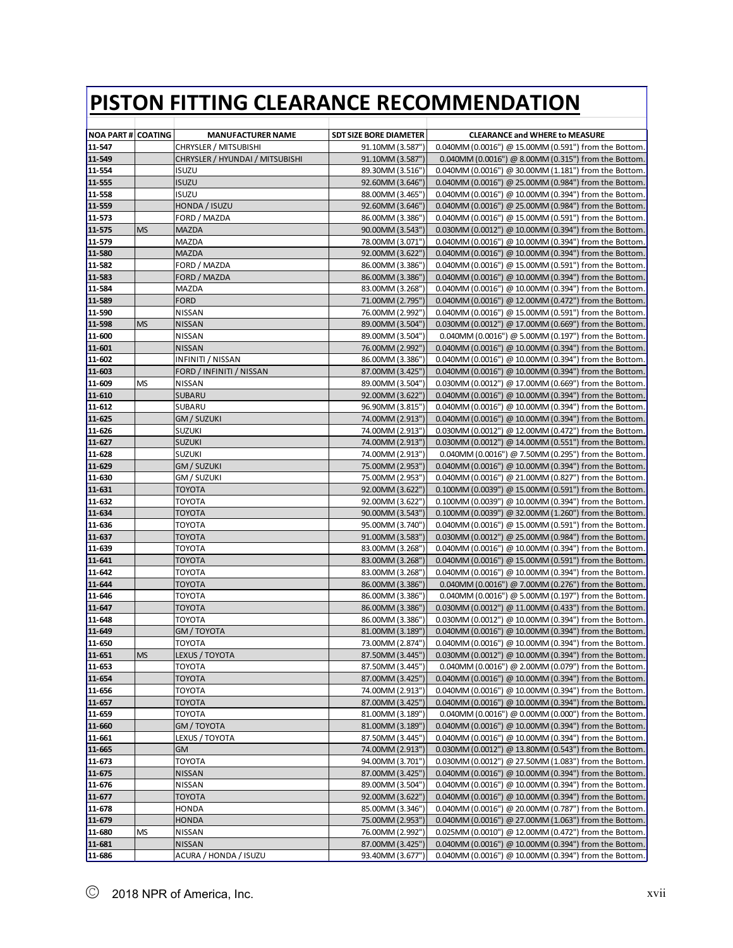| <b>NOA PART # COATING</b> |           | <b>MANUFACTURER NAME</b>        | <b>SDT SIZE BORE DIAMETER</b> | <b>CLEARANCE and WHERE to MEASURE</b>                          |
|---------------------------|-----------|---------------------------------|-------------------------------|----------------------------------------------------------------|
| 11-547                    |           | CHRYSLER / MITSUBISHI           | 91.10MM (3.587")              | $0.040$ MM (0.0016") @ 15.00MM (0.591") from the Bottom.       |
| 11-549                    |           | CHRYSLER / HYUNDAI / MITSUBISHI | 91.10MM (3.587")              | 0.040MM (0.0016") @ 8.00MM (0.315") from the Bottom.           |
| 11-554                    |           | <b>ISUZU</b>                    | 89.30MM (3.516")              | $0.040$ MM $(0.0016")$ @ 30.00MM $(1.181")$ from the Bottom.   |
| 11-555                    |           | <b>ISUZU</b>                    | 92.60MM (3.646")              | $0.040$ MM $(0.0016")$ @ 25.00MM $(0.984")$ from the Bottom.   |
| 11-558                    |           | <b>ISUZU</b>                    | 88.00MM (3.465")              | $0.040$ MM $(0.0016")$ @ 10.00MM $(0.394")$ from the Bottom.   |
| 11-559                    |           | HONDA / ISUZU                   | 92.60MM (3.646")              | $0.040$ MM $(0.0016")$ @ 25.00MM $(0.984")$ from the Bottom.   |
| 11-573                    |           | FORD / MAZDA                    | 86.00MM (3.386")              | $0.040$ MM $(0.0016")$ @ 15.00MM $(0.591")$ from the Bottom.   |
| 11-575                    | <b>MS</b> | MAZDA                           | 90.00MM (3.543")              | $0.030$ MM $(0.0012")$ @ 10.00MM $(0.394")$ from the Bottom.   |
| 11-579                    |           | MAZDA                           | 78.00MM (3.071")              | 0.040MM (0.0016") @ 10.00MM (0.394") from the Bottom.          |
| 11-580                    |           | <b>MAZDA</b>                    | 92.00MM (3.622")              | $0.040$ MM $(0.0016")$ @ 10.00MM $(0.394")$ from the Bottom.   |
| 11-582                    |           | FORD / MAZDA                    | 86.00MM (3.386")              | $0.040$ MM $(0.0016")$ @ 15.00MM $(0.591")$ from the Bottom.   |
| 11-583                    |           | FORD / MAZDA                    | 86.00MM (3.386")              | 0.040MM (0.0016") @ 10.00MM (0.394") from the Bottom.          |
| 11-584                    |           | MAZDA                           | 83.00MM (3.268")              | $0.040$ MM $(0.0016")$ @ 10.00MM $(0.394")$ from the Bottom.   |
| 11-589                    |           | FORD                            | 71.00MM (2.795")              | $0.040$ MM $(0.0016")$ @ 12.00MM $(0.472")$ from the Bottom.   |
| 11-590                    |           | NISSAN                          | 76.00MM (2.992")              | $0.040$ MM $(0.0016")$ @ 15.00MM $(0.591")$ from the Bottom.   |
| 11-598                    | <b>MS</b> | <b>NISSAN</b>                   | 89.00MM (3.504")              | 0.030MM (0.0012") @ 17.00MM (0.669") from the Bottom.          |
| 11-600                    |           | <b>NISSAN</b>                   | 89.00MM (3.504")              | 0.040MM (0.0016") @ 5.00MM (0.197") from the Bottom.           |
| 11-601                    |           | <b>NISSAN</b>                   | 76.00MM (2.992")              | 0.040MM (0.0016") @ 10.00MM (0.394") from the Bottom.          |
| 11-602                    |           | INFINITI / NISSAN               | 86.00MM (3.386")              | 0.040MM (0.0016") @ 10.00MM (0.394") from the Bottom.          |
| 11-603                    |           | FORD / INFINITI / NISSAN        | 87.00MM (3.425")              | 0.040MM (0.0016") @ 10.00MM (0.394") from the Bottom.          |
| 11-609                    | MS        | <b>NISSAN</b>                   | 89.00MM (3.504")              | 0.030MM (0.0012") @ 17.00MM (0.669") from the Bottom.          |
| 11-610                    |           | SUBARU                          | 92.00MM (3.622")              | $0.040$ MM $(0.0016")$ @ 10.00MM $(0.394")$ from the Bottom.   |
| 11-612                    |           | SUBARU                          | 96.90MM (3.815")              | 0.040MM (0.0016") @ 10.00MM (0.394") from the Bottom.          |
| 11-625                    |           | GM / SUZUKI                     | 74.00MM (2.913")              | $0.040$ MM $(0.0016")$ @ 10.00MM $(0.394")$ from the Bottom.   |
| 11-626                    |           | <b>SUZUKI</b>                   | 74.00MM (2.913")              | $0.030$ MM $(0.0012")$ @ 12.00MM $(0.472")$ from the Bottom.   |
| 11-627                    |           | <b>SUZUKI</b>                   | 74.00MM (2.913")              | 0.030MM (0.0012") @ 14.00MM (0.551") from the Bottom.          |
| 11-628                    |           | <b>SUZUKI</b>                   | 74.00MM (2.913")              | 0.040MM (0.0016") @ 7.50MM (0.295") from the Bottom.           |
| 11-629                    |           | GM / SUZUKI                     | 75.00MM (2.953")              | 0.040MM (0.0016") @ 10.00MM (0.394") from the Bottom.          |
| 11-630                    |           | GM / SUZUKI                     | 75.00MM (2.953")              | $0.040$ MM $(0.0016")$ @ 21.00MM $(0.827")$ from the Bottom.   |
| 11-631                    |           | TOYOTA                          | 92.00MM (3.622")              | $0.100$ MM $(0.0039")$ @ 15.00MM $(0.591")$ from the Bottom.   |
| 11-632                    |           | <b>TOYOTA</b>                   | 92.00MM (3.622")              | 0.100MM (0.0039") @ 10.00MM (0.394") from the Bottom           |
| 11-634                    |           | TOYOTA                          | 90.00MM (3.543")              | $0.100$ MM $(0.0039'')$ @ 32.00MM $(1.260'')$ from the Bottom. |
| 11-636                    |           | TOYOTA                          | 95.00MM (3.740")              | $0.040$ MM $(0.0016")$ @ 15.00MM $(0.591")$ from the Bottom.   |
| 11-637                    |           | TOYOTA                          | 91.00MM (3.583")              | $0.030$ MM $(0.0012")$ @ 25.00MM $(0.984")$ from the Bottom.   |
| 11-639                    |           | <b>TOYOTA</b>                   | 83.00MM (3.268")              | $0.040$ MM $(0.0016")$ @ 10.00MM $(0.394")$ from the Bottom.   |
| 11-641                    |           | <b>TOYOTA</b>                   | 83.00MM (3.268")              | 0.040MM (0.0016") @ 15.00MM (0.591") from the Bottom.          |
| 11-642                    |           | TOYOTA                          | 83.00MM (3.268")              | 0.040MM (0.0016") @ 10.00MM (0.394") from the Bottom.          |
| 11-644                    |           | <b>TOYOTA</b>                   | 86.00MM (3.386")              | 0.040MM (0.0016") @ 7.00MM (0.276") from the Bottom.           |
| 11-646                    |           | TOYOTA                          | 86.00MM (3.386")              | 0.040MM (0.0016") @ 5.00MM (0.197") from the Bottom.           |
| 11-647                    |           | TOYOTA                          | 86.00MM (3.386")              | $0.030$ MM $(0.0012")$ @ 11.00MM $(0.433")$ from the Bottom.   |
| 11-648                    |           | <b>TOYOTA</b>                   | 86.00MM (3.386")              | 0.030MM (0.0012") @ 10.00MM (0.394") from the Bottom.          |
| 11-649                    |           | GM / TOYOTA                     | 81.00MM (3.189")              | $0.040$ MM $(0.0016")$ @ 10.00MM $(0.394")$ from the Bottom.   |
| 11-650                    |           | <b>TOYOTA</b>                   | 73.00MM (2.874")              | 0.040MM (0.0016") @ 10.00MM (0.394") from the Bottom.          |
| 11-651                    | <b>MS</b> | LEXUS / TOYOTA                  | 87.50MM (3.445")              | 0.030MM (0.0012") @ 10.00MM (0.394") from the Bottom.          |
| 11-653                    |           | <b>TOYOTA</b>                   | 87.50MM (3.445")              | 0.040MM (0.0016") @ 2.00MM (0.079") from the Bottom.           |
| 11-654                    |           | TOYOTA                          | 87.00MM (3.425")              | 0.040MM (0.0016") @ 10.00MM (0.394") from the Bottom.          |
| 11-656                    |           | ТОҮОТА                          | 74.00MM (2.913")              | 0.040MM (0.0016") @ 10.00MM (0.394") from the Bottom.          |
| 11-657                    |           | <b>TOYOTA</b>                   | 87.00MM (3.425")              | 0.040MM (0.0016") @ 10.00MM (0.394") from the Bottom.          |
| 11-659                    |           | <b>TOYOTA</b>                   | 81.00MM (3.189")              | 0.040MM (0.0016") @ 0.00MM (0.000") from the Bottom.           |
| 11-660                    |           | GM / TOYOTA                     | 81.00MM (3.189")              | 0.040MM (0.0016") @ 10.00MM (0.394") from the Bottom.          |
| 11-661                    |           | LEXUS / TOYOTA                  | 87.50MM (3.445")              | 0.040MM (0.0016") @ 10.00MM (0.394") from the Bottom.          |
| 11-665                    |           | GМ                              | 74.00MM (2.913")              | 0.030MM (0.0012") @ 13.80MM (0.543") from the Bottom.          |
| 11-673                    |           | ТОҮОТА                          | 94.00MM (3.701")              | $0.030$ MM $(0.0012")$ @ 27.50MM $(1.083")$ from the Bottom.   |
| 11-675                    |           | <b>NISSAN</b>                   | 87.00MM (3.425")              | 0.040MM (0.0016") @ 10.00MM (0.394") from the Bottom.          |
| 11-676                    |           | <b>NISSAN</b>                   | 89.00MM (3.504")              | 0.040MM (0.0016") @ 10.00MM (0.394") from the Bottom.          |
| 11-677                    |           | TOYOTA                          | 92.00MM (3.622")              | 0.040MM (0.0016") @ 10.00MM (0.394") from the Bottom.          |
| 11-678                    |           | <b>HONDA</b>                    | 85.00MM (3.346")              | 0.040MM (0.0016") @ 20.00MM (0.787") from the Bottom.          |
| 11-679                    |           | <b>HONDA</b>                    | 75.00MM (2.953")              | 0.040MM (0.0016") @ 27.00MM (1.063") from the Bottom.          |
| 11-680                    | <b>MS</b> | <b>NISSAN</b>                   | 76.00MM (2.992")              | 0.025MM (0.0010") @ 12.00MM (0.472") from the Bottom.          |
| 11-681                    |           | <b>NISSAN</b>                   | 87.00MM (3.425")              | 0.040MM (0.0016") @ 10.00MM (0.394") from the Bottom.          |
| 11-686                    |           | ACURA / HONDA / ISUZU           | 93.40MM (3.677")              | 0.040MM (0.0016") @ 10.00MM (0.394") from the Bottom.          |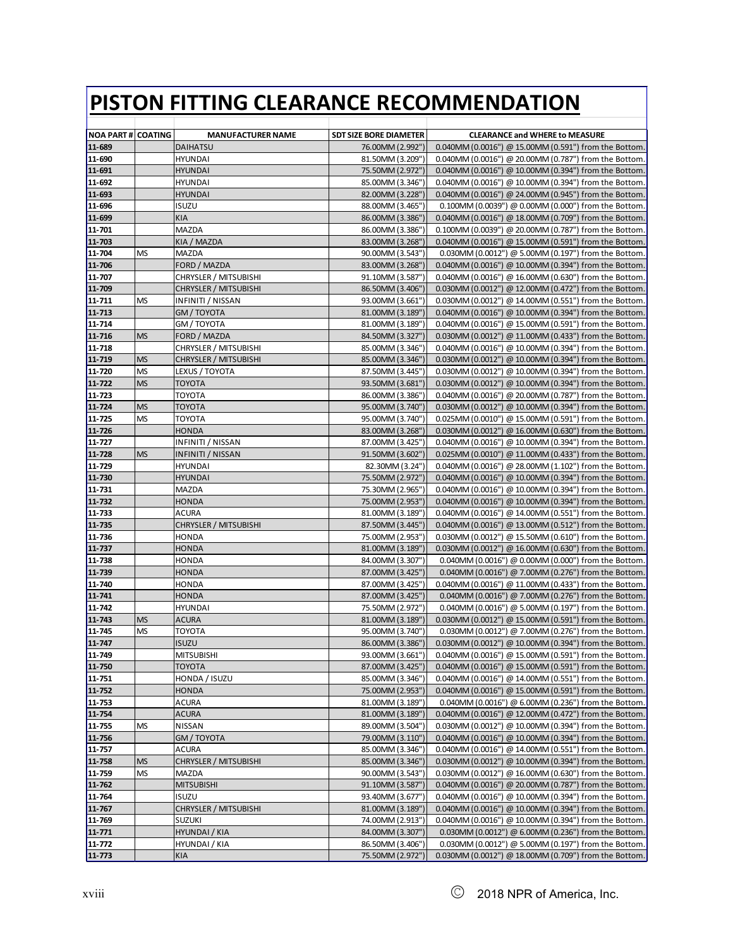| <b>NOA PART # COATING</b> |           |                                  | <b>SDT SIZE BORE DIAMETER</b>        | <b>CLEARANCE and WHERE to MEASURE</b>                                                                                |
|---------------------------|-----------|----------------------------------|--------------------------------------|----------------------------------------------------------------------------------------------------------------------|
|                           |           | <b>MANUFACTURER NAME</b>         |                                      |                                                                                                                      |
| 11-689                    |           | DAIHATSU                         | 76.00MM (2.992")                     | 0.040MM (0.0016") @ 15.00MM (0.591") from the Bottom.                                                                |
| 11-690                    |           | <b>HYUNDAI</b>                   | 81.50MM (3.209")                     | 0.040MM (0.0016") @ 20.00MM (0.787") from the Bottom.                                                                |
| 11-691<br>11-692          |           | <b>HYUNDAI</b><br><b>HYUNDAI</b> | 75.50MM (2.972")<br>85.00MM (3.346") | 0.040MM (0.0016") @ 10.00MM (0.394") from the Bottom.<br>0.040MM (0.0016") @ 10.00MM (0.394") from the Bottom.       |
| 11-693                    |           | HYUNDAI                          | 82.00MM (3.228")                     |                                                                                                                      |
| 11-696                    |           | <b>ISUZU</b>                     | 88.00MM (3.465")                     | $0.040$ MM $(0.0016")$ @ 24.00MM $(0.945")$ from the Bottom.<br>0.100MM (0.0039") @ 0.00MM (0.000") from the Bottom. |
| 11-699                    |           | <b>KIA</b>                       | 86.00MM (3.386")                     | $0.040$ MM $(0.0016")$ @ 18.00MM $(0.709")$ from the Bottom.                                                         |
| 11-701                    |           | <b>MAZDA</b>                     | 86.00MM (3.386")                     | 0.100MM (0.0039") @ 20.00MM (0.787") from the Bottom.                                                                |
| 11-703                    |           | KIA / MAZDA                      | 83.00MM (3.268")                     | 0.040MM (0.0016") @ 15.00MM (0.591") from the Bottom.                                                                |
| 11-704                    | MS        | MAZDA                            | 90.00MM (3.543")                     | 0.030MM (0.0012") @ 5.00MM (0.197") from the Bottom.                                                                 |
| 11-706                    |           | FORD / MAZDA                     | 83.00MM (3.268")                     | 0.040MM (0.0016") @ 10.00MM (0.394") from the Bottom.                                                                |
| 11-707                    |           | CHRYSLER / MITSUBISHI            | 91.10MM (3.587")                     | 0.040MM (0.0016") @ 16.00MM (0.630") from the Bottom.                                                                |
| 11-709                    |           | <b>CHRYSLER / MITSUBISHI</b>     | 86.50MM (3.406")                     | $0.030$ MM $(0.0012")$ @ 12.00MM $(0.472")$ from the Bottom.                                                         |
| 11-711                    | <b>MS</b> | INFINITI / NISSAN                | 93.00MM (3.661")                     | 0.030MM (0.0012") @ 14.00MM (0.551") from the Bottom.                                                                |
| 11-713                    |           | GM / TOYOTA                      | 81.00MM (3.189")                     | 0.040MM (0.0016") @ 10.00MM (0.394") from the Bottom.                                                                |
| 11-714                    |           | GM / TOYOTA                      | 81.00MM (3.189")                     | 0.040MM (0.0016") @ 15.00MM (0.591") from the Bottom.                                                                |
| 11-716                    | <b>MS</b> | FORD / MAZDA                     | 84.50MM (3.327")                     | 0.030MM (0.0012") @ 11.00MM (0.433") from the Bottom.                                                                |
| 11-718                    |           | CHRYSLER / MITSUBISHI            | 85.00MM (3.346")                     | $0.040$ MM $(0.0016")$ @ 10.00MM $(0.394")$ from the Bottom.                                                         |
| <b>11-719</b>             | <b>MS</b> | <b>CHRYSLER / MITSUBISHI</b>     | 85.00MM (3.346")                     | $0.030$ MM $(0.0012")$ @ 10.00MM $(0.394")$ from the Bottom.                                                         |
| 11-720                    | <b>MS</b> | LEXUS / TOYOTA                   | 87.50MM (3.445")                     | 0.030MM (0.0012") @ 10.00MM (0.394") from the Bottom.                                                                |
| 11-722                    | <b>MS</b> | TOYOTA                           | 93.50MM (3.681")                     | 0.030MM (0.0012") @ 10.00MM (0.394") from the Bottom.                                                                |
| 11-723                    |           | <b>TOYOTA</b>                    | 86.00MM (3.386")                     | 0.040MM (0.0016") @ 20.00MM (0.787") from the Bottom.                                                                |
| 11-724                    | MS        | <b>TOYOTA</b>                    | 95.00MM (3.740")                     | 0.030MM (0.0012") @ 10.00MM (0.394") from the Bottom.                                                                |
| 11-725                    | MS        | TOYOTA                           | 95.00MM (3.740")                     | 0.025MM (0.0010") @ 15.00MM (0.591") from the Bottom.                                                                |
| 11-726                    |           | <b>HONDA</b>                     | 83.00MM (3.268")                     | 0.030MM (0.0012") @ 16.00MM (0.630") from the Bottom                                                                 |
| 11-727                    |           | INFINITI / NISSAN                | 87.00MM (3.425")                     | 0.040MM (0.0016") @ 10.00MM (0.394") from the Bottom.                                                                |
| 11-728                    | <b>MS</b> | <b>INFINITI / NISSAN</b>         | 91.50MM (3.602")                     | 0.025MM (0.0010") @ 11.00MM (0.433") from the Bottom.                                                                |
| 11-729                    |           | <b>HYUNDAI</b>                   | 82.30MM (3.24")                      | 0.040MM (0.0016") @ 28.00MM (1.102") from the Bottom.                                                                |
| 11-730                    |           | <b>HYUNDAI</b>                   | 75.50MM (2.972")                     | $0.040$ MM $(0.0016")$ @ 10.00MM $(0.394")$ from the Bottom.                                                         |
| 11-731                    |           | MAZDA                            | 75.30MM (2.965")                     | 0.040MM (0.0016") @ 10.00MM (0.394") from the Bottom.                                                                |
| 11-732                    |           | <b>HONDA</b>                     | 75.00MM (2.953")                     | 0.040MM (0.0016") @ 10.00MM (0.394") from the Bottom.                                                                |
| 11-733                    |           | ACURA                            | 81.00MM (3.189")                     | $0.040$ MM $(0.0016")$ @ 14.00MM $(0.551")$ from the Bottom.                                                         |
| 11-735                    |           | CHRYSLER / MITSUBISHI            | 87.50MM (3.445")                     | $0.040$ MM $(0.0016")$ @ 13.00MM $(0.512")$ from the Bottom.                                                         |
| 11-736                    |           | HONDA                            | 75.00MM (2.953")                     | 0.030MM (0.0012") @ 15.50MM (0.610") from the Bottom.                                                                |
| 11-737                    |           | HONDA                            | 81.00MM (3.189")                     | $0.030$ MM $(0.0012")$ @ 16.00MM $(0.630")$ from the Bottom.                                                         |
| 11-738                    |           | <b>HONDA</b>                     | 84.00MM (3.307")                     | 0.040MM (0.0016") @ 0.00MM (0.000") from the Bottom.                                                                 |
| 11-739                    |           | HONDA                            | 87.00MM (3.425")                     | 0.040MM (0.0016") @ 7.00MM (0.276") from the Bottom.                                                                 |
| 11-740                    |           | <b>HONDA</b>                     | 87.00MM (3.425")                     | $0.040$ MM $(0.0016")$ @ 11.00MM $(0.433")$ from the Bottom.                                                         |
| 11-741                    |           | <b>HONDA</b>                     | 87.00MM (3.425")                     | 0.040MM (0.0016") @ 7.00MM (0.276") from the Bottom.                                                                 |
| 11-742                    |           | <b>HYUNDAI</b>                   | 75.50MM (2.972")                     | 0.040MM (0.0016") @ 5.00MM (0.197") from the Bottom.                                                                 |
| 11-743                    | <b>MS</b> | <b>ACURA</b>                     | 81.00MM (3.189")                     | 0.030MM (0.0012") @ 15.00MM (0.591") from the Bottom.                                                                |
| 11-745                    | MS        | TOYOTA                           | 95.00MM (3.740")                     | 0.030MM (0.0012") @ 7.00MM (0.276") from the Bottom.                                                                 |
| 11-747                    |           | <b>ISUZU</b>                     | 86.00MM (3.386")                     | 0.030MM (0.0012") @ 10.00MM (0.394") from the Bottom.                                                                |
| 11-749                    |           | <b>MITSUBISHI</b>                | 93.00MM (3.661")                     | 0.040MM (0.0016") @ 15.00MM (0.591") from the Bottom.                                                                |
| 11-750                    |           | <b>TOYOTA</b>                    | 87.00MM (3.425")                     | 0.040MM (0.0016") @ 15.00MM (0.591") from the Bottom.                                                                |
| 11-751                    |           | HONDA / ISUZU                    | 85.00MM (3.346")                     | 0.040MM (0.0016") @ 14.00MM (0.551") from the Bottom.                                                                |
| 11-752<br>11-753          |           | <b>HONDA</b>                     | 75.00MM (2.953")                     | 0.040MM (0.0016") @ 15.00MM (0.591") from the Bottom.                                                                |
|                           |           | <b>ACURA</b>                     | 81.00MM (3.189")                     | 0.040MM (0.0016") @ 6.00MM (0.236") from the Bottom.<br>0.040MM (0.0016") @ 12.00MM (0.472") from the Bottom.        |
| 11-754<br>11-755          | <b>MS</b> | <b>ACURA</b><br><b>NISSAN</b>    | 81.00MM (3.189")<br>89.00MM (3.504") | 0.030MM (0.0012") @ 10.00MM (0.394") from the Bottom.                                                                |
| 11-756                    |           | GM / TOYOTA                      | 79.00MM (3.110")                     | 0.040MM (0.0016") @ 10.00MM (0.394") from the Bottom.                                                                |
| 11-757                    |           | ACURA                            | 85.00MM (3.346")                     | 0.040MM (0.0016") @ 14.00MM (0.551") from the Bottom.                                                                |
| 11-758                    | <b>MS</b> | CHRYSLER / MITSUBISHI            | 85.00MM (3.346")                     | 0.030MM (0.0012") @ 10.00MM (0.394") from the Bottom.                                                                |
| 11-759                    | <b>MS</b> | <b>MAZDA</b>                     | 90.00MM (3.543")                     | 0.030MM (0.0012") @ 16.00MM (0.630") from the Bottom.                                                                |
| 11-762                    |           | <b>MITSUBISHI</b>                | 91.10MM (3.587")                     | 0.040MM (0.0016") @ 20.00MM (0.787") from the Bottom.                                                                |
| 11-764                    |           | <b>ISUZU</b>                     | 93.40MM (3.677")                     | 0.040MM (0.0016") @ 10.00MM (0.394") from the Bottom.                                                                |
| 11-767                    |           | <b>CHRYSLER / MITSUBISHI</b>     | 81.00MM (3.189")                     | 0.040MM (0.0016") @ 10.00MM (0.394") from the Bottom.                                                                |
| 11-769                    |           | <b>SUZUKI</b>                    | 74.00MM (2.913")                     | 0.040MM (0.0016") @ 10.00MM (0.394") from the Bottom.                                                                |
| 11-771                    |           | HYUNDAI / KIA                    | 84.00MM (3.307")                     | 0.030MM (0.0012") @ 6.00MM (0.236") from the Bottom.                                                                 |
| 11-772                    |           | HYUNDAI / KIA                    | 86.50MM (3.406")                     | 0.030MM (0.0012") @ 5.00MM (0.197") from the Bottom.                                                                 |
| 11-773                    |           | KIA                              | 75.50MM (2.972")                     | 0.030MM (0.0012") @ 18.00MM (0.709") from the Bottom.                                                                |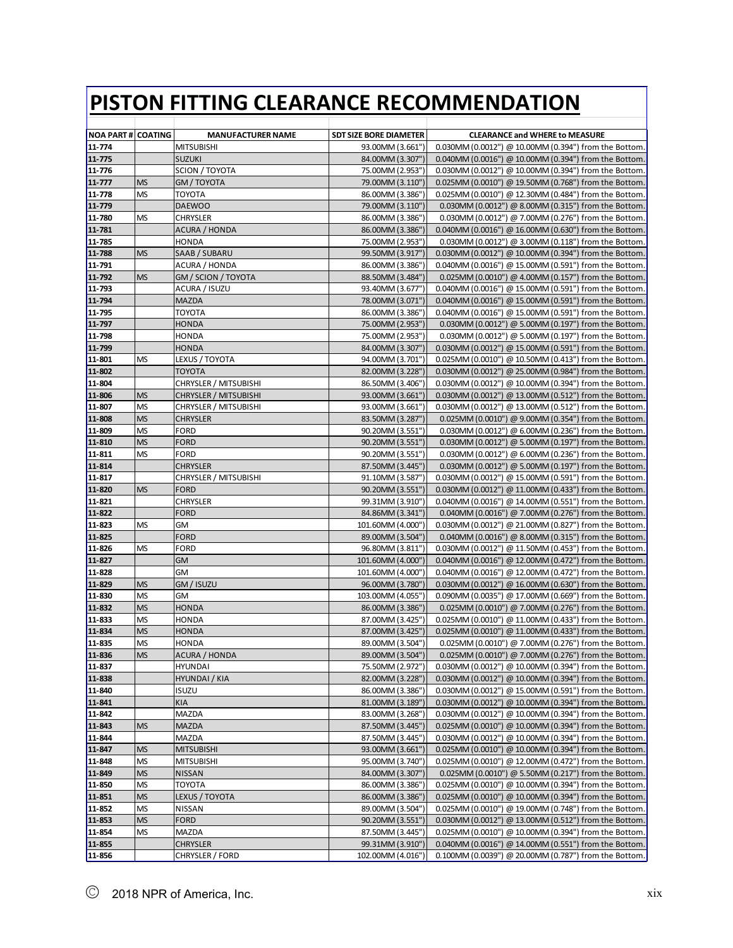|                           |                 |                                               | <b>SDT SIZE BORE DIAMETER</b>        |                                                                                                                       |
|---------------------------|-----------------|-----------------------------------------------|--------------------------------------|-----------------------------------------------------------------------------------------------------------------------|
| <b>NOA PART # COATING</b> |                 | <b>MANUFACTURER NAME</b><br><b>MITSUBISHI</b> |                                      | <b>CLEARANCE and WHERE to MEASURE</b>                                                                                 |
| 11-774<br>11-775          |                 | <b>SUZUKI</b>                                 | 93.00MM (3.661")<br>84.00MM (3.307") | $0.030$ MM $(0.0012")$ @ 10.00MM $(0.394")$ from the Bottom.<br>0.040MM (0.0016") @ 10.00MM (0.394") from the Bottom. |
| 11-776                    |                 | <b>SCION / TOYOTA</b>                         | 75.00MM (2.953")                     | 0.030MM (0.0012") @ 10.00MM (0.394") from the Bottom.                                                                 |
| 11-777                    | <b>MS</b>       | GM / TOYOTA                                   | 79.00MM (3.110")                     | 0.025MM (0.0010") @ 19.50MM (0.768") from the Bottom.                                                                 |
| 11-778                    | <b>MS</b>       | TOYOTA                                        | 86.00MM (3.386")                     | 0.025MM (0.0010") @ 12.30MM (0.484") from the Bottom.                                                                 |
| 11-779                    |                 | <b>DAEWOO</b>                                 | 79.00MM (3.110")                     | 0.030MM (0.0012") @ 8.00MM (0.315") from the Bottom.                                                                  |
| 11-780                    | MS              | CHRYSLER                                      | 86.00MM (3.386")                     | $0.030$ MM (0.0012") @ 7.00MM (0.276") from the Bottom.                                                               |
| 11-781                    |                 | <b>ACURA / HONDA</b>                          | 86.00MM (3.386")                     | 0.040MM (0.0016") @ 16.00MM (0.630") from the Bottom.                                                                 |
| 11-785                    |                 | <b>HONDA</b>                                  | 75.00MM (2.953")                     | 0.030MM (0.0012") @ 3.00MM (0.118") from the Bottom.                                                                  |
| 11-788                    | <b>MS</b>       | SAAB / SUBARU                                 | 99.50MM (3.917")                     | $0.030$ MM $(0.0012")$ @ 10.00MM $(0.394")$ from the Bottom.                                                          |
| 11-791                    |                 | ACURA / HONDA                                 | 86.00MM (3.386")                     | 0.040MM (0.0016") @ 15.00MM (0.591") from the Bottom.                                                                 |
| 11-792                    | <b>MS</b>       | GM / SCION / TOYOTA                           | 88.50MM (3.484")                     | 0.025MM (0.0010") @ 4.00MM (0.157") from the Bottom.                                                                  |
| 11-793                    |                 | ACURA / ISUZU                                 | 93.40MM (3.677")                     | $0.040$ MM $(0.0016")$ @ 15.00MM $(0.591")$ from the Bottom.                                                          |
| 11-794                    |                 | <b>MAZDA</b>                                  | 78.00MM (3.071")                     | $0.040$ MM $(0.0016")$ @ 15.00MM $(0.591")$ from the Bottom.                                                          |
| 11-795                    |                 | <b>TOYOTA</b>                                 | 86.00MM (3.386")                     | $0.040$ MM $(0.0016")$ @ 15.00MM $(0.591")$ from the Bottom.                                                          |
| 11-797                    |                 | HONDA                                         | 75.00MM (2.953")                     | 0.030MM (0.0012") @ 5.00MM (0.197") from the Bottom.                                                                  |
| 11-798                    |                 | <b>HONDA</b>                                  | 75.00MM (2.953")                     | 0.030MM (0.0012") @ 5.00MM (0.197") from the Bottom.                                                                  |
| 11-799                    |                 | <b>HONDA</b>                                  | 84.00MM (3.307")                     | $0.030$ MM $(0.0012")$ @ 15.00MM $(0.591")$ from the Bottom.                                                          |
| 11-801                    | <b>MS</b>       | LEXUS / TOYOTA                                | 94.00MM (3.701")                     | $0.025$ MM (0.0010") @ 10.50MM (0.413") from the Bottom.                                                              |
| 11-802                    |                 | <b>TOYOTA</b>                                 | 82.00MM (3.228")                     | $0.030$ MM $(0.0012")$ @ 25.00MM $(0.984")$ from the Bottom.                                                          |
| 11-804                    |                 | CHRYSLER / MITSUBISHI                         | 86.50MM (3.406")                     | $0.030$ MM $(0.0012")$ @ 10.00MM $(0.394")$ from the Bottom.                                                          |
| 11-806                    | <b>MS</b>       | <b>CHRYSLER / MITSUBISHI</b>                  | 93.00MM (3.661")                     | $0.030$ MM $(0.0012")$ @ 13.00MM $(0.512")$ from the Bottom.                                                          |
| 11-807                    | <b>MS</b>       | CHRYSLER / MITSUBISHI                         | 93.00MM (3.661")                     | 0.030MM (0.0012") @ 13.00MM (0.512") from the Bottom.                                                                 |
| 11-808                    | <b>MS</b>       | <b>CHRYSLER</b>                               | 83.50MM (3.287")                     | 0.025MM (0.0010") @ 9.00MM (0.354") from the Bottom.                                                                  |
| 11-809                    | <b>MS</b>       | <b>FORD</b>                                   | 90.20MM (3.551")                     | 0.030MM (0.0012") @ 6.00MM (0.236") from the Bottom.                                                                  |
| 11-810                    | <b>MS</b>       | <b>FORD</b>                                   | 90.20MM (3.551")                     | $0.030$ MM $(0.0012")$ @ 5.00MM $(0.197")$ from the Bottom.                                                           |
| 11-811                    | <b>MS</b>       | <b>FORD</b>                                   | 90.20MM (3.551")                     | 0.030MM (0.0012") @ 6.00MM (0.236") from the Bottom.                                                                  |
| 11-814                    |                 | <b>CHRYSLER</b>                               | 87.50MM (3.445")                     | $0.030$ MM $(0.0012")$ @ 5.00MM $(0.197")$ from the Bottom.                                                           |
| 11-817                    |                 | CHRYSLER / MITSUBISHI                         | 91.10MM (3.587")                     | $0.030$ MM $(0.0012")$ @ 15.00MM $(0.591")$ from the Bottom.                                                          |
| 11-820                    | <b>MS</b>       | <b>FORD</b>                                   | 90.20MM (3.551")                     | 0.030MM (0.0012") @ 11.00MM (0.433") from the Bottom.                                                                 |
| 11-821                    |                 | CHRYSLER                                      | 99.31MM (3.910")                     | 0.040MM (0.0016") @ 14.00MM (0.551") from the Bottom                                                                  |
| 11-822                    |                 | <b>FORD</b>                                   | 84.86MM (3.341")                     | 0.040MM (0.0016") @ 7.00MM (0.276") from the Bottom.                                                                  |
| 11-823                    | <b>MS</b>       | GM                                            | 101.60MM (4.000")                    | 0.030MM (0.0012") @ 21.00MM (0.827") from the Bottom.                                                                 |
| 11-825                    |                 | <b>FORD</b>                                   | 89.00MM (3.504")                     | 0.040MM (0.0016") @ 8.00MM (0.315") from the Bottom.                                                                  |
| 11-826                    | MS              | FORD                                          | 96.80MM (3.811")                     | $0.030$ MM $(0.0012")$ @ 11.50MM $(0.453")$ from the Bottom.                                                          |
| 11-827                    |                 | GM                                            | 101.60MM (4.000")                    | $0.040$ MM $(0.0016")$ @ 12.00MM $(0.472")$ from the Bottom.                                                          |
| 11-828                    |                 | GM                                            | 101.60MM (4.000")                    | 0.040MM (0.0016") @ 12.00MM (0.472") from the Bottom.                                                                 |
| 11-829                    | <b>MS</b>       | GM / ISUZU                                    | 96.00MM (3.780")                     | $0.030$ MM $(0.0012")$ @ 16.00MM $(0.630")$ from the Bottom.                                                          |
| 11-830                    | <b>MS</b>       | GМ                                            | 103.00MM (4.055")                    | $0.090$ MM $(0.0035")$ @ 17.00MM $(0.669")$ from the Bottom.                                                          |
| 11-832                    | <b>MS</b>       | <b>HONDA</b>                                  | 86.00MM (3.386")                     | $0.025$ MM (0.0010") @ 7.00MM (0.276") from the Bottom.                                                               |
| 11-833                    | <b>MS</b>       | <b>HONDA</b>                                  | 87.00MM (3.425")                     | 0.025MM (0.0010") @ 11.00MM (0.433") from the Bottom.                                                                 |
| 11-834                    | <b>MS</b>       | <b>HONDA</b>                                  | 87.00MM (3.425")                     | 0.025MM (0.0010") @ 11.00MM (0.433") from the Bottom.                                                                 |
| 11-835                    | <b>MS</b>       | <b>HONDA</b>                                  | 89.00MM (3.504")                     | 0.025MM (0.0010") @ 7.00MM (0.276") from the Bottom.                                                                  |
| 11-836                    | <b>MS</b>       | <b>ACURA / HONDA</b>                          | 89.00MM (3.504")                     | 0.025MM (0.0010") @ 7.00MM (0.276") from the Bottom.                                                                  |
| 11-837                    |                 | <b>HYUNDAI</b>                                | 75.50MM (2.972")                     | $0.030$ MM $(0.0012")$ @ 10.00MM $(0.394")$ from the Bottom.                                                          |
| 11-838                    |                 | <b>HYUNDAI / KIA</b>                          | 82.00MM (3.228")                     | 0.030MM (0.0012") @ 10.00MM (0.394") from the Bottom.                                                                 |
| 11-840                    |                 | <b>ISUZU</b>                                  | 86.00MM (3.386")                     | 0.030MM (0.0012") @ 15.00MM (0.591") from the Bottom.                                                                 |
| 11-841                    |                 | KIA                                           | 81.00MM (3.189")                     | 0.030MM (0.0012") @ 10.00MM (0.394") from the Bottom.                                                                 |
| 11-842                    |                 | <b>MAZDA</b>                                  | 83.00MM (3.268")                     | 0.030MM (0.0012") @ 10.00MM (0.394") from the Bottom.                                                                 |
| 11-843<br>11-844          | <b>MS</b>       | <b>MAZDA</b>                                  | 87.50MM (3.445")<br>87.50MM (3.445") | 0.025MM (0.0010") @ 10.00MM (0.394") from the Bottom.                                                                 |
|                           | <b>MS</b>       | MAZDA                                         | 93.00MM (3.661")                     | 0.030MM (0.0012") @ 10.00MM (0.394") from the Bottom.                                                                 |
| 11-847<br>11-848          | <b>MS</b>       | <b>MITSUBISHI</b>                             | 95.00MM (3.740")                     | 0.025MM (0.0010") @ 10.00MM (0.394") from the Bottom.                                                                 |
|                           |                 | <b>MITSUBISHI</b>                             | 84.00MM (3.307")                     | 0.025MM (0.0010") @ 12.00MM (0.472") from the Bottom.                                                                 |
| 11-849                    | <b>MS</b>       | <b>NISSAN</b>                                 |                                      | 0.025MM (0.0010") @ 5.50MM (0.217") from the Bottom.                                                                  |
| 11-850<br>11-851          | МS<br><b>MS</b> | ТОҮОТА<br>LEXUS / TOYOTA                      | 86.00MM (3.386")<br>86.00MM (3.386") | $0.025$ MM (0.0010") @ 10.00MM (0.394") from the Bottom.<br>0.025MM (0.0010") @ 10.00MM (0.394") from the Bottom.     |
| 11-852                    | MS              | NISSAN                                        | 89.00MM (3.504")                     | 0.025MM (0.0010") @ 19.00MM (0.748") from the Bottom.                                                                 |
| 11-853                    | <b>MS</b>       | <b>FORD</b>                                   | 90.20MM (3.551")                     | 0.030MM (0.0012") @ 13.00MM (0.512") from the Bottom.                                                                 |
| 11-854                    | MS              | MAZDA                                         | 87.50MM (3.445")                     | 0.025MM (0.0010") @ 10.00MM (0.394") from the Bottom.                                                                 |
| 11-855                    |                 | <b>CHRYSLER</b>                               | 99.31MM (3.910")                     | 0.040MM (0.0016") @ 14.00MM (0.551") from the Bottom.                                                                 |
| 11-856                    |                 | CHRYSLER / FORD                               | 102.00MM (4.016")                    | 0.100MM (0.0039") @ 20.00MM (0.787") from the Bottom.                                                                 |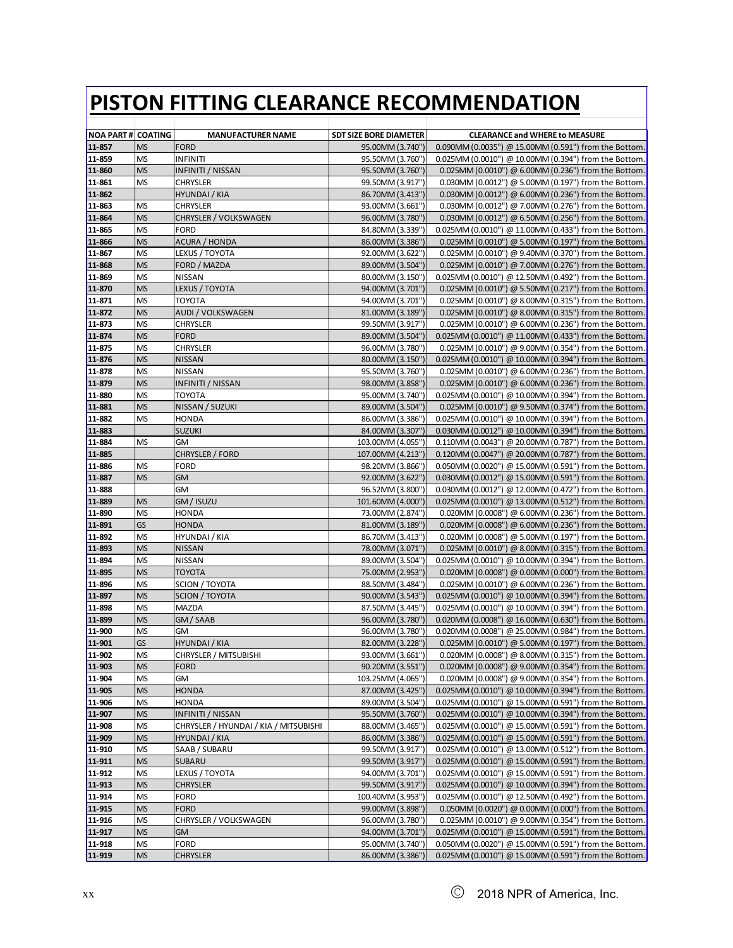| <b>NOA PART # COATING</b> |                 | <b>MANUFACTURER NAME</b>              | <b>SDT SIZE BORE DIAMETER</b>        | <b>CLEARANCE and WHERE to MEASURE</b>                                                                         |
|---------------------------|-----------------|---------------------------------------|--------------------------------------|---------------------------------------------------------------------------------------------------------------|
| 11-857                    | <b>MS</b>       | <b>FORD</b>                           | 95.00MM (3.740")                     | $0.090$ MM $(0.0035")$ @ 15.00MM $(0.591")$ from the Bottom.                                                  |
| 11-859                    | MS              | <b>INFINITI</b>                       | 95.50MM (3.760")                     | $0.025$ MM (0.0010") @ 10.00MM (0.394") from the Bottom.                                                      |
| 11-860                    | <b>MS</b>       | INFINITI / NISSAN                     | 95.50MM (3.760")                     | 0.025MM (0.0010") @ 6.00MM (0.236") from the Bottom.                                                          |
| 11-861                    | <b>MS</b>       | <b>CHRYSLER</b>                       | 99.50MM (3.917")                     | $0.030$ MM $(0.0012")$ @ 5.00MM $(0.197")$ from the Bottom.                                                   |
| 11-862<br>11-863          |                 | HYUNDAI / KIA                         | 86.70MM (3.413")                     | 0.030MM (0.0012") @ 6.00MM (0.236") from the Bottom.                                                          |
|                           | MS              | <b>CHRYSLER</b>                       | 93.00MM (3.661")                     | 0.030MM (0.0012") @ 7.00MM (0.276") from the Bottom.                                                          |
| 11-864                    | <b>MS</b>       | CHRYSLER / VOLKSWAGEN                 | 96.00MM (3.780")                     | 0.030MM (0.0012") @ 6.50MM (0.256") from the Bottom.                                                          |
| 11-865                    | <b>MS</b><br>MS | <b>FORD</b>                           | 84.80MM (3.339")                     | 0.025MM (0.0010") @ 11.00MM (0.433") from the Bottom.<br>0.025MM (0.0010") @ 5.00MM (0.197") from the Bottom. |
| 11-866<br>11-867          | MS              | ACURA / HONDA<br>LEXUS / TOYOTA       | 86.00MM (3.386")<br>92.00MM (3.622") |                                                                                                               |
| 11-868                    | <b>MS</b>       |                                       |                                      | 0.025MM (0.0010") @ 9.40MM (0.370") from the Bottom.<br>0.025MM (0.0010") @ 7.00MM (0.276") from the Bottom.  |
| 11-869                    | MS              | FORD / MAZDA<br><b>NISSAN</b>         | 89.00MM (3.504")<br>80.00MM (3.150") | 0.025MM (0.0010") @ 12.50MM (0.492") from the Bottom.                                                         |
| 11-870                    | <b>MS</b>       | LEXUS / TOYOTA                        | 94.00MM (3.701")                     | 0.025MM (0.0010") @ 5.50MM (0.217") from the Bottom.                                                          |
| 11-871                    | <b>MS</b>       | TOYOTA                                | 94.00MM (3.701")                     | 0.025MM (0.0010") @ 8.00MM (0.315") from the Bottom.                                                          |
| 11-872                    | <b>MS</b>       | AUDI / VOLKSWAGEN                     | 81.00MM (3.189")                     | 0.025MM (0.0010") @ 8.00MM (0.315") from the Bottom.                                                          |
| 11-873                    | MS              | <b>CHRYSLER</b>                       | 99.50MM (3.917")                     | 0.025MM (0.0010") @ 6.00MM (0.236") from the Bottom.                                                          |
| 11-874                    | <b>MS</b>       | <b>FORD</b>                           | 89.00MM (3.504")                     | 0.025MM (0.0010") @ 11.00MM (0.433") from the Bottom.                                                         |
| 11-875                    | <b>MS</b>       | <b>CHRYSLER</b>                       | 96.00MM (3.780")                     | 0.025MM (0.0010") @ 9.00MM (0.354") from the Bottom.                                                          |
| 11-876                    | <b>MS</b>       | <b>NISSAN</b>                         | 80.00MM (3.150")                     | $0.025$ MM (0.0010") @ 10.00MM (0.394") from the Bottom.                                                      |
| 11-878                    | MS              | <b>NISSAN</b>                         | 95.50MM (3.760")                     | 0.025MM (0.0010") @ 6.00MM (0.236") from the Bottom.                                                          |
| 11-879                    | <b>MS</b>       | <b>INFINITI / NISSAN</b>              | 98.00MM (3.858")                     | 0.025MM (0.0010") @ 6.00MM (0.236") from the Bottom.                                                          |
| 11-880                    | <b>MS</b>       | <b>TOYOTA</b>                         | 95.00MM (3.740")                     | $0.025$ MM (0.0010") @ 10.00MM (0.394") from the Bottom.                                                      |
| 11-881                    | <b>MS</b>       | NISSAN / SUZUKI                       | 89.00MM (3.504")                     | 0.025MM (0.0010") @ 9.50MM (0.374") from the Bottom.                                                          |
| 11-882                    | MS              | <b>HONDA</b>                          | 86.00MM (3.386")                     | $0.025$ MM (0.0010") @ 10.00MM (0.394") from the Bottom.                                                      |
| 11-883                    |                 | <b>SUZUKI</b>                         | 84.00MM (3.307")                     | 0.030MM (0.0012") @ 10.00MM (0.394") from the Bottom                                                          |
| 11-884                    | MS              | GM                                    | 103.00MM (4.055")                    | 0.110MM (0.0043") @ 20.00MM (0.787") from the Bottom.                                                         |
| 11-885                    |                 | <b>CHRYSLER / FORD</b>                | 107.00MM (4.213")                    | $0.120$ MM $(0.0047'')$ @ 20.00MM $(0.787'')$ from the Bottom.                                                |
| 11-886                    | MS              | <b>FORD</b>                           | 98.20MM (3.866")                     | 0.050MM (0.0020") @ 15.00MM (0.591") from the Bottom.                                                         |
| 11-887                    | <b>MS</b>       | <b>GM</b>                             | 92.00MM (3.622")                     | $0.030$ MM $(0.0012")$ @ 15.00MM $(0.591")$ from the Bottom.                                                  |
| 11-888                    |                 | GM                                    | 96.52MM (3.800")                     | $0.030$ MM $(0.0012")$ @ 12.00MM $(0.472")$ from the Bottom.                                                  |
| 11-889                    | <b>MS</b>       | GM / ISUZU                            | 101.60MM (4.000")                    | $0.025$ MM (0.0010") @ 13.00MM (0.512") from the Bottom.                                                      |
| 11-890                    | <b>MS</b>       | <b>HONDA</b>                          | 73.00MM (2.874")                     | 0.020MM (0.0008") @ 6.00MM (0.236") from the Bottom.                                                          |
| 11-891                    | GS              | HONDA                                 | 81.00MM (3.189")                     | 0.020MM (0.0008") @ 6.00MM (0.236") from the Bottom.                                                          |
| 11-892                    | MS              | HYUNDAI / KIA                         | 86.70MM (3.413")                     | $0.020$ MM $(0.0008")$ @ 5.00MM $(0.197")$ from the Bottom.                                                   |
| 11-893                    | <b>MS</b>       | <b>NISSAN</b>                         | 78.00MM (3.071")                     | 0.025MM (0.0010") @ 8.00MM (0.315") from the Bottom.                                                          |
| 11-894                    | <b>MS</b>       | <b>NISSAN</b>                         | 89.00MM (3.504")                     | $0.025$ MM (0.0010") @ 10.00MM (0.394") from the Bottom.                                                      |
| 11-895                    | <b>MS</b>       | <b>TOYOTA</b>                         | 75.00MM (2.953")                     | 0.020MM (0.0008") @ 0.00MM (0.000") from the Bottom.                                                          |
| 11-896                    | MS              | SCION / TOYOTA                        | 88.50MM (3.484")                     | 0.025MM (0.0010") @ 6.00MM (0.236") from the Bottom.                                                          |
| 11-897                    | <b>MS</b>       | <b>SCION / TOYOTA</b>                 | 90.00MM (3.543")                     | 0.025MM (0.0010") @ 10.00MM (0.394") from the Bottom.                                                         |
| 11-898                    | MS              | MAZDA                                 | 87.50MM (3.445")                     | $0.025$ MM (0.0010") @ 10.00MM (0.394") from the Bottom.                                                      |
| 11-899                    | <b>MS</b>       | GM / SAAB                             | 96.00MM (3.780")                     | $0.020$ MM $(0.0008")$ @ 16.00MM $(0.630")$ from the Bottom.                                                  |
| 11-900                    | <b>MS</b>       | GМ                                    | 96.00MM (3.780")                     | 0.020MM (0.0008") @ 25.00MM (0.984") from the Bottom.                                                         |
| 11-901                    | GS              | HYUNDAI / KIA                         | 82.00MM (3.228")                     | 0.025MM (0.0010") @ 5.00MM (0.197") from the Bottom.                                                          |
| 11-902                    | <b>MS</b>       | CHRYSLER / MITSUBISHI                 | 93.00MM (3.661")                     | 0.020MM (0.0008") @ 8.00MM (0.315") from the Bottom.                                                          |
| 11-903                    | <b>MS</b>       | <b>FORD</b>                           | 90.20MM (3.551")                     | 0.020MM (0.0008") @ 9.00MM (0.354") from the Bottom.                                                          |
| 11-904                    | <b>MS</b>       | GM                                    | 103.25MM (4.065")                    | 0.020MM (0.0008") @ 9.00MM (0.354") from the Bottom.                                                          |
| 11-905                    | <b>MS</b>       | <b>HONDA</b>                          | 87.00MM (3.425")                     | 0.025MM (0.0010") @ 10.00MM (0.394") from the Bottom.                                                         |
| 11-906                    | MS              | <b>HONDA</b>                          | 89.00MM (3.504")                     | 0.025MM (0.0010") @ 15.00MM (0.591") from the Bottom.                                                         |
| 11-907                    | <b>MS</b>       | <b>INFINITI / NISSAN</b>              | 95.50MM (3.760")                     | 0.025MM (0.0010") @ 10.00MM (0.394") from the Bottom.                                                         |
| 11-908                    | <b>MS</b>       | CHRYSLER / HYUNDAI / KIA / MITSUBISHI | 88.00MM (3.465")                     | 0.025MM (0.0010") @ 15.00MM (0.591") from the Bottom.                                                         |
| 11-909                    | <b>MS</b>       | HYUNDAI / KIA                         | 86.00MM (3.386")                     | 0.025MM (0.0010") @ 15.00MM (0.591") from the Bottom.                                                         |
| 11-910                    | MS              | SAAB / SUBARU                         | 99.50MM (3.917")                     | 0.025MM (0.0010") @ 13.00MM (0.512") from the Bottom.                                                         |
| 11-911                    | <b>MS</b>       | <b>SUBARU</b>                         | 99.50MM (3.917")                     | $0.025$ MM (0.0010") @ 15.00MM (0.591") from the Bottom.                                                      |
| 11-912                    | MS              | LEXUS / TOYOTA                        | 94.00MM (3.701")                     | 0.025MM (0.0010") @ 15.00MM (0.591") from the Bottom.                                                         |
| 11-913                    | <b>MS</b>       | <b>CHRYSLER</b>                       | 99.50MM (3.917")                     | 0.025MM (0.0010") @ 10.00MM (0.394") from the Bottom.                                                         |
| 11-914                    | <b>MS</b>       | <b>FORD</b>                           | 100.40MM (3.953")                    | 0.025MM (0.0010") @ 12.50MM (0.492") from the Bottom.                                                         |
| 11-915                    | <b>MS</b>       | <b>FORD</b>                           | 99.00MM (3.898")                     | 0.050MM (0.0020") @ 0.00MM (0.000") from the Bottom.                                                          |
| 11-916                    | MS              | CHRYSLER / VOLKSWAGEN                 | 96.00MM (3.780")                     | 0.025MM (0.0010") @ 9.00MM (0.354") from the Bottom.                                                          |
| 11-917                    | <b>MS</b>       | <b>GM</b>                             | 94.00MM (3.701")                     | 0.025MM (0.0010") @ 15.00MM (0.591") from the Bottom.                                                         |
| 11-918                    | <b>MS</b>       | <b>FORD</b>                           | 95.00MM (3.740")                     | 0.050MM (0.0020") @ 15.00MM (0.591") from the Bottom.                                                         |
| 11-919                    | <b>MS</b>       | <b>CHRYSLER</b>                       | 86.00MM (3.386")                     | 0.025MM (0.0010") @ 15.00MM (0.591") from the Bottom.                                                         |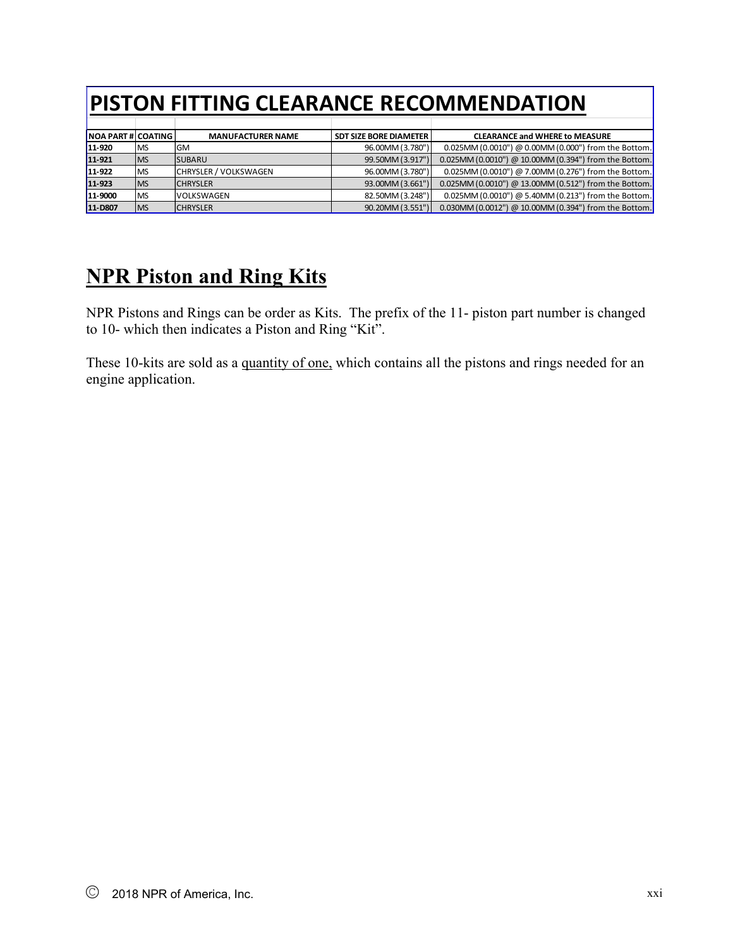| <b>NOA PART # COATING</b> |           | <b>MANUFACTURER NAME</b>     | l SDT SIZE BORE DIAMETER l | <b>CLEARANCE and WHERE to MEASURE</b>                 |
|---------------------------|-----------|------------------------------|----------------------------|-------------------------------------------------------|
| 11-920                    | <b>MS</b> | GM                           | 96.00MM (3.780")           | 0.025MM (0.0010") @ 0.00MM (0.000") from the Bottom.  |
| 11-921                    | <b>MS</b> | <b>ISUBARU</b>               | 99.50MM (3.917")           | 0.025MM (0.0010") @ 10.00MM (0.394") from the Bottom. |
| 11-922                    | <b>MS</b> | <b>CHRYSLER / VOLKSWAGEN</b> | 96.00MM (3.780")           | 0.025MM (0.0010") @ 7.00MM (0.276") from the Bottom.  |
| 11-923                    | <b>MS</b> | <b>CHRYSLER</b>              | 93.00MM (3.661")           | 0.025MM (0.0010") @ 13.00MM (0.512") from the Bottom. |
| 11-9000                   | <b>MS</b> | <b>VOLKSWAGEN</b>            | 82.50MM (3.248")           | 0.025MM (0.0010") @ 5.40MM (0.213") from the Bottom.  |
| 11-D807                   | <b>MS</b> | <b>CHRYSLER</b>              | 90.20MM (3.551")           | 0.030MM (0.0012") @ 10.00MM (0.394") from the Bottom. |

# **NPR Piston and Ring Kits**

NPR Pistons and Rings can be order as Kits. The prefix of the 11- piston part number is changed to 10- which then indicates a Piston and Ring "Kit".

These 10-kits are sold as a quantity of one, which contains all the pistons and rings needed for an engine application.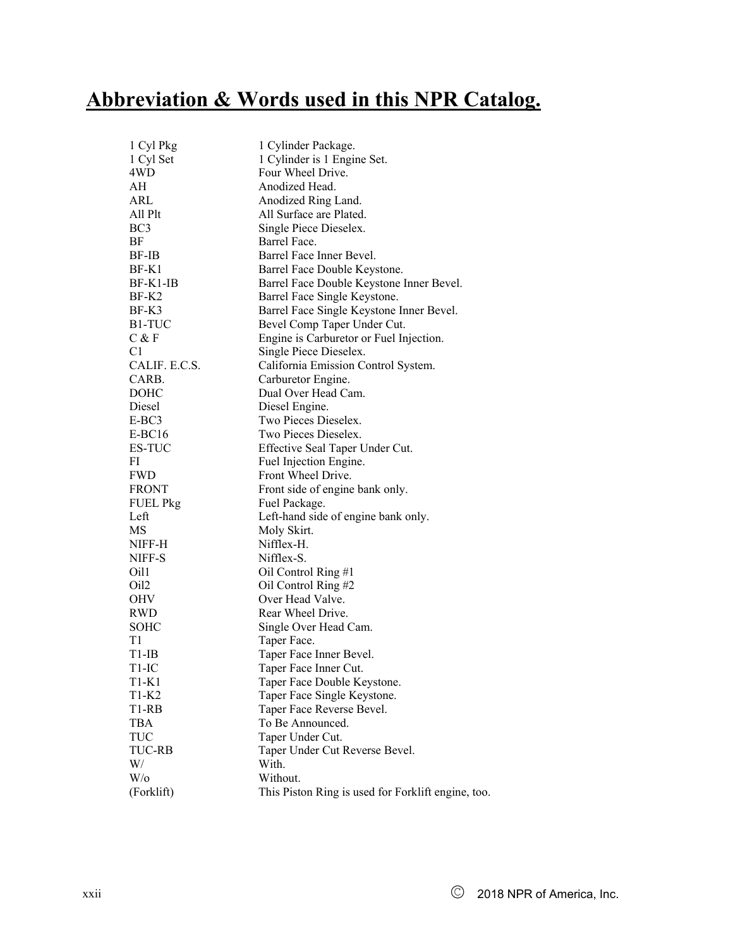# **Abbreviation & Words used in this NPR Catalog.**

| 1 Cyl Pkg           | 1 Cylinder Package.                                |
|---------------------|----------------------------------------------------|
| 1 Cyl Set           | 1 Cylinder is 1 Engine Set.                        |
| 4WD                 | Four Wheel Drive.                                  |
| АH                  | Anodized Head.                                     |
| ARL                 | Anodized Ring Land.                                |
| All Plt             | All Surface are Plated.                            |
| BC <sub>3</sub>     | Single Piece Dieselex.                             |
| BF                  | Barrel Face.                                       |
| BF-IB               | Barrel Face Inner Bevel.                           |
| BF-K1               | Barrel Face Double Keystone.                       |
| $BF-K1-IB$          | Barrel Face Double Keystone Inner Bevel.           |
| BF-K2               | Barrel Face Single Keystone.                       |
| BF-K3               | Barrel Face Single Keystone Inner Bevel.           |
| B <sub>1</sub> -TUC | Bevel Comp Taper Under Cut.                        |
| $C$ & $F$           | Engine is Carburetor or Fuel Injection.            |
| C1                  | Single Piece Dieselex.                             |
| CALIF. E.C.S.       | California Emission Control System.                |
| CARB.               | Carburetor Engine.                                 |
| DOHC                | Dual Over Head Cam.                                |
| Diesel              | Diesel Engine.                                     |
| E-BC3               | Two Pieces Dieselex.                               |
| $E-BC16$            | Two Pieces Dieselex.                               |
| ES-TUC              | Effective Seal Taper Under Cut.                    |
| FI                  | Fuel Injection Engine.                             |
| <b>FWD</b>          | Front Wheel Drive.                                 |
| <b>FRONT</b>        | Front side of engine bank only.                    |
| <b>FUEL Pkg</b>     | Fuel Package.                                      |
| Left                | Left-hand side of engine bank only.                |
| MS                  | Moly Skirt.                                        |
| NIFF-H              | Nifflex-H.                                         |
| NIFF-S              | Nifflex-S.                                         |
| Oil1                | Oil Control Ring #1                                |
| Oil2                | Oil Control Ring #2                                |
| OHV                 | Over Head Valve.                                   |
| <b>RWD</b>          | Rear Wheel Drive.                                  |
| SOHC                | Single Over Head Cam.                              |
| T1                  | Taper Face.                                        |
| $T1$ -IB            | Taper Face Inner Bevel.                            |
| T1-IC               | Taper Face Inner Cut.                              |
| T1-K1               | Taper Face Double Keystone.                        |
| $T1-K2$             | Taper Face Single Keystone.                        |
| T1-RB               | Taper Face Reverse Bevel.                          |
| <b>TBA</b>          | To Be Announced.                                   |
| <b>TUC</b>          | Taper Under Cut.                                   |
| <b>TUC-RB</b>       | Taper Under Cut Reverse Bevel.                     |
| W/                  | With.                                              |
| $W$ /0              | Without.                                           |
| (Forklift)          | This Piston Ring is used for Forklift engine, too. |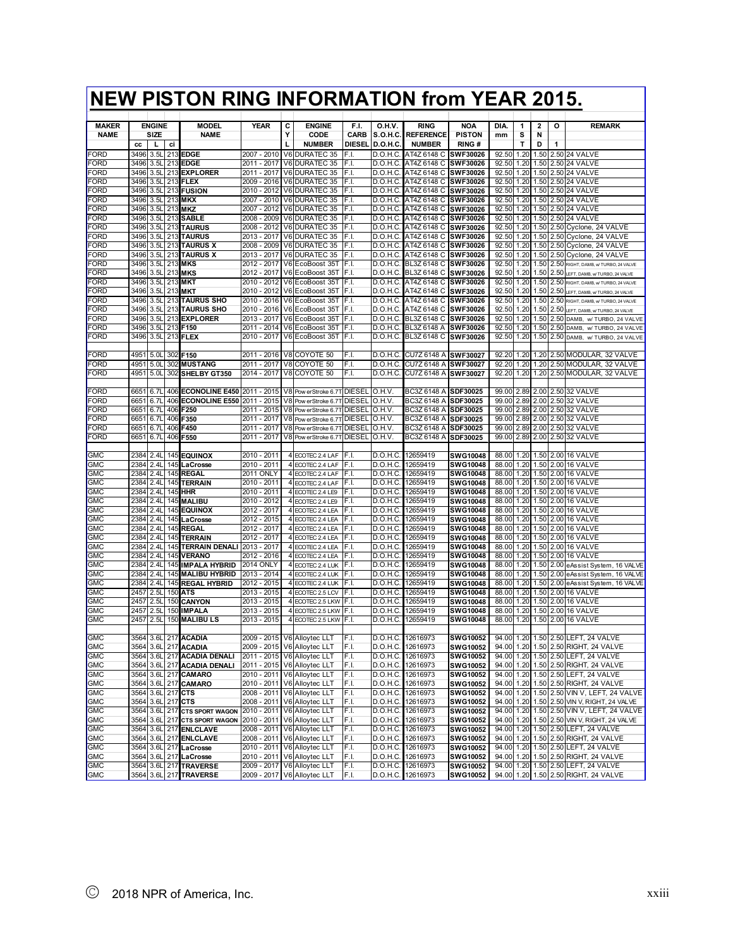|                          |              |                          |            | <b>NEW PISTON RING INFORMATION from YEAR 2015.</b> |                              |   |                                                            |               |                      |                                              |                                    |                |              |                |              |                                                                             |
|--------------------------|--------------|--------------------------|------------|----------------------------------------------------|------------------------------|---|------------------------------------------------------------|---------------|----------------------|----------------------------------------------|------------------------------------|----------------|--------------|----------------|--------------|-----------------------------------------------------------------------------|
| <b>MAKER</b>             |              | <b>ENGINE</b>            |            | <b>MODEL</b>                                       | <b>YEAR</b>                  | С | <b>ENGINE</b>                                              | F.I.          | 0.H.V.               | <b>RING</b>                                  | <b>NOA</b>                         | DIA.           | 1            | 2              | о            | <b>REMARK</b>                                                               |
| <b>NAME</b>              |              | SIZE                     |            | <b>NAME</b>                                        |                              | Υ | CODE                                                       | <b>CARB</b>   | <b>S.O.H.C.</b>      | <b>REFERENCE</b>                             | <b>PISTON</b>                      | mm             | s            | N              |              |                                                                             |
|                          | CC           | L                        | ci         |                                                    |                              | L | <b>NUMBER</b>                                              | <b>DIESEL</b> | D.O.H.C              | <b>NUMBER</b>                                | <b>RING#</b>                       |                | $\mathsf{T}$ | D              | 1            |                                                                             |
| FORD<br>FORD             | 3496<br>3496 | 3.5 <sub>l</sub>         | 213        | <b>EDGE</b><br><b>EDGE</b>                         | 2007 - 2010<br>2011 - 2017   |   | V6 DURATEC 35                                              | F.I.          | D.O.H.C.             | AT4Z 6148 C SWF30026<br>AT4Z 6148 C          |                                    | 92.50          | 1.20         | 1.50           |              | 2.50 24 VALVE                                                               |
| FORD                     | 3496         | 3.5L<br>3.5L             | 213<br>213 | <b>EXPLORER</b>                                    | 2011 - 2017                  |   | V6 DURATEC 35<br><b>V6 DURATEC 35</b>                      | F.I.<br>F.I.  | D.O.H.C.<br>D.O.H.C  | AT4Z 6148 C                                  | <b>SWF30026</b><br>SWF30026        | 92.50<br>92.50 | 1.20<br>1.20 | 1.50<br>1.50   |              | 2.50 24 VALVE<br>2.50 24 VALVE                                              |
| FORD                     | 3496         | 3.5L                     | 213        | FLEX                                               | 2009 - 2016                  |   | V6 DURATEC 35                                              | F.I.          | D.O.H.C.             | AT4Z 6148 C                                  | SWF30026                           | 92.50          | 1.20         | 1.50           |              | 2.50 24 VALVE                                                               |
| FORD                     | 3496         | 3.5 <sub>1</sub>         | 213        | <b>FUSION</b>                                      | 2010<br>- 2012               |   | V6 DURATEC 35                                              | F.I.          | D.O.H.C              | AT4Z 6148 C                                  | SWF30026                           | 92.50          | 1.20         | 1.50           | 2.50         | 24 VALVE                                                                    |
| FORD                     | 3496         | 3.5l                     | 213        | <b>MKX</b>                                         | 2007<br>- 2010               |   | V6 DURATEC 35                                              | F.I.          | D.O.H.C.             | AT4Z 6148 C                                  | <b>SWF30026</b>                    | 92.50          | 1.20         | 1.50           |              | 2.50 24 VALVE                                                               |
| FORD                     | 3496         | 3.5L                     |            | 213 MKZ                                            | 2007 - 2012                  |   | V6 DURATEC 35                                              | F.I.          | D.O.H.C.             | AT4Z 6148 C                                  | SWF30026                           | 92.50          | 1.20         |                |              | 1.50 2.50 24 VALVE                                                          |
| FORD                     | 3496         | 3.5L                     |            | 213 SABLE                                          | $-2009$<br>2008              |   | V6 DURATEC 35                                              | F.I.          | D.O.H.C.             | AT4Z 6148 C SWF30026                         |                                    | 92.50          | 1.20         |                |              | 1.50 2.50 24 VALVE                                                          |
| FORD<br>FORD             | 3496<br>3496 | 3.5L                     |            | 213 TAURUS<br>213 TAURUS                           | 2008 - 2012<br>2013 - 2017   |   | V6 DURATEC 35<br>V6 DURATEC 35                             | F.I.<br>F.I.  | D.O.H.C.             | AT4Z 6148 C SWF30026<br>AT4Z 6148 C SWF30026 |                                    | 92.50          | 1.20<br>1.20 |                |              | 1.50 2.50 Cyclone, 24 VALVE                                                 |
| FORD                     | 3496         | 3.5L<br>3.5L             |            | 213 TAURUS X                                       | 2008<br>- 2009               |   | V6 DURATEC 35                                              | F.I.          | D.O.H.C.<br>D.O.H.C. | AT4Z 6148 C SWF30026                         |                                    | 92.50<br>92.50 | 1.20         | 1.50           |              | 2.50 Cyclone, 24 VALVE<br>1.50 2.50 Cyclone, 24 VALVE                       |
| FORD                     | 3496         | 3.5 <sub>1</sub>         | 213        | <b>TAURUS X</b>                                    | - 2017<br>2013               |   | V6 DURATEC 35                                              | F.I.          | D.O.H.C.             | AT4Z 6148 C                                  | <b>SWF30026</b>                    | 92.50          | 1.20         | 1.50           | 2.50         | Cyclone, 24 VALVE                                                           |
| FORD                     | 3496         | 3.5 <sub>l</sub>         | 213        | <b>MKS</b>                                         | 2012 - 2017                  |   | V6 EcoBoost 35T                                            | F.I.          | D.O.H.C.             | BL3Z 6148 C                                  | <b>SWF30026</b>                    | 92.50          | 1.20         | 1.50           | 2.50         | RIGHT, DAMB, w TURBO, 24 VALVE                                              |
| FORD                     | 3496         | 3.5 <sub>l</sub>         |            | 213 MKS                                            | 2012 - 2017                  |   | V6 EcoBoost 35T                                            | F.I.          | D.O.H.C.             | BL3Z 6148 C                                  | <b>SWF30026</b>                    | 92.50          | 1.20         | 1.50           |              | 2.50 LEFT, DAMB, w TURBO, 24 VALVE                                          |
| FORD                     | 3496         | 3.5L                     |            | 213 MKT                                            | 2010 - 2012                  |   | V6 EcoBoost 35T                                            | F.I.          | D.O.H.C.             | AT4Z 6148 C                                  | SWF30026                           | 92.50          | 1.20         | 1.50           | 2.50         | RIGHT, DAMB, w TURBO, 24 VALVE                                              |
| FORD                     | 3496         | 3.5L                     |            | 213 MKT                                            | 2010 - 2012                  |   | V6 EcoBoost 35T                                            | F.I.          | D.O.H.C.             | AT4Z 6148 C                                  | SWF30026                           | 92.50          | 1.20         | 1.50           | 2.50         | LEFT, DAMB, w TURBO, 24 VALVE                                               |
| FORD                     | 3496         | 3.5L                     | 213        | <b>TAURUS SHO</b>                                  | 2010 - 2016                  |   | V6 EcoBoost 35T                                            | F.I.          | D.O.H.C.             | AT4Z 6148 C                                  | SWF30026                           | 92.50          | 1.20         | 1.50           |              | 2.50 RIGHT, DAMB, w TURBO, 24 VALVE                                         |
| FORD                     | 3496         | 3.5L                     |            | 213 TAURUS SHO                                     | 2010 - 2016                  |   | V6 EcoBoost 35T                                            | F.I.          | D.O.H.C.             | AT4Z 6148 C                                  | SWF30026                           | 92.50          |              | 1.20 1.50 2.50 |              | LEFT. DAMB. w/TURBO. 24 VALVE                                               |
| FORD<br>FORD             | 3496<br>3496 | 3.5L<br>3.5 <sub>1</sub> | 213<br>213 | <b>EXPLORER</b><br>F150                            | 2013 - 2017<br>$2011 - 2014$ |   | V6 EcoBoost 35T<br>V6 EcoBoost 35T                         | F.I.<br>F.I.  | D.O.H.C.<br>D.O.H.C  | BL3Z 6148 C<br>BL3Z 6148 A                   | SWF30026<br><b>SWF30026</b>        | 92.50<br>92.50 | 1.20<br>1.20 | 1.50<br>1.50   | 2.50<br>2.50 | DAMB, w/ TURBO, 24 VALVE<br>DAMB.<br>w/ TURBO, 24 VALVE                     |
| FORD                     | 3496         | 3.5L                     | 213        | <b>FLEX</b>                                        | 2010 - 2017                  |   | V6 EcoBoost 35T                                            | F.I.          | D.O.H.C.             | BL3Z 6148 C                                  | <b>SWF30026</b>                    | 92.50          | 1.20         | 1.50           |              | 2.50 DAMB, w/ TURBO, 24 VALVE                                               |
|                          |              |                          |            |                                                    |                              |   |                                                            |               |                      |                                              |                                    |                |              |                |              |                                                                             |
| FORD                     | 4951         | 5.0 <sub>l</sub>         | 302        | F150                                               | 2011 - 2016                  |   | V8 COYOTE 50                                               | F.I.          | D.O.H.C              | CU7Z 6148 A                                  | SWF30027                           | 92.20          | 1.20         | 1.20           |              | 2.50 MODULAR, 32 VALVE                                                      |
| FORD                     | 4951         | 5.0 <sub>l</sub>         | 302        | <b>MUSTANG</b>                                     | 2011 - 2017                  |   | V8 COYOTE 50                                               | F.I.          | D.O.H.C              | CU7Z 6148 A                                  | <b>SWF30027</b>                    | 92.20          | 1.20         |                |              | 1.20 2.50 MODULAR, 32 VALVE                                                 |
| FORD                     | 4951         | 5.0 <sub>L</sub>         | 302        | SHELBY GT350                                       | 2014 - 2017                  |   | V8 COYOTE 50                                               | F.I.          | D.O.H.C.             | CU7Z 6148 A                                  | SWF30027                           | 92.20          | 1.20         |                |              | 1.20 2.50 MODULAR, 32 VALVE                                                 |
|                          |              |                          |            |                                                    |                              |   |                                                            |               |                      |                                              |                                    |                |              |                |              |                                                                             |
| FORD                     | 6651         | 6.71                     | 406        | <b>ECONOLINE E450 2011 - 2015</b>                  |                              |   | V8 Pow erStroke 6.7T DIESEL O.H.V.                         |               |                      | BC3Z 6148 A                                  | SDF30025                           | 99.00          | 2.89         |                |              | 2.00 2.50 32 VALVE                                                          |
| FORD                     | 6651         | 6.71                     | 406        | ECONOLINE E550 2011 - 2015                         |                              |   | V8 Pow erStroke 6.7T DIESEL                                |               | O.H.V.               | BC3Z 6148 A                                  | SDF30025                           | 99.00          | 2.89         | 2.00           |              | 2.50 32 VALVE                                                               |
| FORD<br>FORD             | 665<br>6651  | 6.71<br>6.71             | 406<br>406 | F250<br>F350                                       | 2011 - 2015<br>2011 - 2017   |   | V8 Pow erStroke 6.7T DIESEL<br>V8 Pow erStroke 6.7T DIESEL |               | O.H.V<br>O.H.V       | BC3Z 6148 A<br>BC3Z 6148 A                   | SDF30025<br>SDF30025               | 99.00<br>99.00 | 2.89<br>2.89 | 2.00<br>2.00   | 2.50         | 32 VALVE<br>2.50 32 VALVE                                                   |
| FORD                     | 665          | 6.71                     | 406        | F450                                               | 2011 - 2017                  |   | V8 Pow erStroke 6.7T                                       | <b>DIESEL</b> | O.H.V.               | BC3Z 6148 A                                  | SDF30025                           | 99.00          | 2.89         | 2.00           | 2.50         | 32 VALVE                                                                    |
| FORD                     | 6651         | 6.71                     | 406        | F550                                               | 2011 - 2017                  |   | V8 Pow erStroke 6.7T                                       | <b>DIESEL</b> | O.H.V.               | BC3Z 6148 A                                  | SDF30025                           | 99.00          | 2.89         |                |              | 2.00 2.50 32 VALVE                                                          |
|                          |              |                          |            |                                                    |                              |   |                                                            |               |                      |                                              |                                    |                |              |                |              |                                                                             |
| GMC                      | 2384         | 2.4L                     | 145        | <b>EQUINOX</b>                                     | 2010 - 2011                  |   | 4 ECOTEC 2.4 LAF                                           | F.I.          | D.O.H.C              | 12659419                                     | <b>SWG10048</b>                    | 88.00          |              |                |              | 1.20 1.50 2.00 16 VALVE                                                     |
| <b>GMC</b>               | 2384         | 2.41                     | 145        | La Crosse                                          | 2010 - 2011                  |   | 4 ECOTEC 2.4 LAF                                           | F.I.          | D.O.H.C.             | 12659419                                     | <b>SWG10048</b>                    | 88.00          | 1.20         |                |              | 1.50 2.00 16 VALVE                                                          |
| GMC                      | 2384         | 2.41                     | 145        | <b>REGAL</b>                                       | 2011 ONLY                    |   | 4 ECOTEC 2.4 LAF                                           | F.I.          | D.O.H.C              | 12659419                                     | <b>SWG10048</b>                    | 88.00          | 1.20         | 1.50           | 2.00         | 16 VALVE                                                                    |
| GMC                      | 2384         | 2.4L                     | 145        | <b>TERRAIN</b>                                     | 2010 - 2011                  |   | 4 ECOTEC 2.4 LAF                                           | F.I.          | D.O.H.C              | 12659419                                     | <b>SWG10048</b>                    | 88.00          | 1.20         | 1.50           |              | 2.00 16 VALVE                                                               |
| GMC<br>GMC               | 2384<br>2384 | 2.41<br>2.4L             | 145<br>145 | <b>HHR</b><br><b>MALIBU</b>                        | 2010 - 2011<br>2010 - 2012   |   | 4 ECOTEC 2.4 LE9<br>4 ECOTEC 2.4 LE9                       | F.I.<br>F.I.  | D.O.H.C.<br>D.O.H.C  | 12659419<br>12659419                         | SWG10048<br><b>SWG10048</b>        | 88.00<br>88.00 | 1.20<br>1.20 | 1.50<br>1.50   | 2.00         | 16 VALVE<br>2.00 16 VALVE                                                   |
| GMC                      | 2384         | 2.41                     |            | 145 EQUINOX                                        | 2012 - 2017                  |   | 4 ECOTEC 2.4 LEA                                           | F.I.          | D.O.H.C              | 12659419                                     | <b>SWG10048</b>                    | 88.00          | 1.20         | 1.50           |              | 2.00 16 VALVE                                                               |
| GMC                      | 2384         | 2.4L                     | 145        | <b>LaCrosse</b>                                    | 2012 - 2015                  |   | 4 ECOTEC 2.4 LEA                                           | F.I           | D.O.H.C.             | 12659419                                     | <b>SWG10048</b>                    | 88.00          | 1.20         | 1.50           |              | 2.00 16 VALVE                                                               |
| <b>GMC</b>               | 2384         | 2.41                     |            | 145 REGAL                                          | 2012 - 2017                  |   | 4 ECOTEC 2.4 LEA                                           | F.I.          | D.O.H.C.             | 12659419                                     | <b>SWG10048</b>                    | 88.00          | 1.20         |                | 1.50 2.00    | 16 VALVE                                                                    |
| GMC                      | 2384         | 2.4L                     | 145        | <b>TERRAIN</b>                                     | 2012 - 2017                  |   | 4 ECOTEC 2.4 LEA                                           | F.I.          | D.O.H.C.             | 12659419                                     | <b>SWG10048</b>                    | 88.00          | 1.20         |                |              | 1.50 2.00 16 VALVE                                                          |
| <b>GMC</b>               | 2384         | 2.41                     |            | <b>145 TERRAIN DENALI</b>                          | 2013 - 2017                  |   | 4 ECOTEC 2.4 LEA                                           | F.I.          | D.O.H.C              | 12659419                                     | <b>SWG10048</b>                    | 88.00          | 1.20         |                |              | 1.50 2.00 16 VALVE                                                          |
| <b>GMC</b>               | 2384         | 2.41                     | 145        | <b>VERANO</b>                                      | 2012 - 2016                  |   | 4 ECOTEC 2.4 LEA                                           | F.I.          | D.O.H.C.             | 12659419                                     | <b>SWG10048</b>                    | 88.00          | 1.20         | 1.50           |              | 2.00 16 VALVE                                                               |
| GMC                      | 2384         | 2.41                     | 145        | IMPALA HYBRID                                      | <b>2014 ONLY</b>             |   | 4 ECOTEC 2.4 LUK                                           | F.I.          | D.O.H.C.             | 12659419                                     | <b>SWG10048</b>                    | 88.00          | 1.20         | 1.50           |              | 2.00 eAssist System, 16 VALVE                                               |
| GMC                      | 2384<br>2384 | 2.41                     | 145        | <b>MALIBU HYBRID</b><br><b>REGAL HYBRID</b>        | 2013 - 2014                  |   | 4 ECOTEC 2.4 LUK                                           | F.I.<br>F.I.  | D.O.H.C              | 12659419                                     | <b>SWG10048</b>                    | 88.00          | 1.20<br>1.20 | 1.50<br>1.50   |              | 2.00 eAssist System, 16 VALVE                                               |
| GMC<br>GMC               | 2457         | 2.4L<br>2.51             | 145<br>150 | <b>ATS</b>                                         | 2012 - 2015<br>2013 - 2015   |   | 4 ECOTEC 2.4 LUK<br>4 ECOTEC 2.5 LCV                       | F.I.          | D.O.H.C.<br>D.O.H.C. | 12659419<br>12659419                         | <b>SWG10048</b><br><b>SWG10048</b> | 88.00<br>88.00 | 1.20         | 1.50           | 2.00         | 2.00 eAssist System, 16 VALVE<br>16 VALVE                                   |
| <b>GMC</b>               | 2457         | 2.5L                     |            | 150 CANYON                                         | 2013 - 2015                  |   | 4 ECOTEC 2.5 LKW                                           | F.I.          | D.O.H.C              | 12659419                                     | <b>SWG10048</b>                    | 88.00          | 1.20         | 1.50           |              | 2.00 16 VALVE                                                               |
| <b>GMC</b>               | 2457         |                          |            | 2.5L 150 IMPALA                                    | 2013 - 2015                  |   | 4 ECOTEC 2.5 LKW                                           | F.I.          | D.O.H.C.             | 12659419                                     | SWG10048                           | 88.00 1.20     |              |                |              | 1.50 2.00 16 VALVE                                                          |
| <b>GMC</b>               | 2457         |                          |            | 2.5L 150 MALIBU LS                                 | 2013 - 2015                  |   | 4 ECOTEC 2.5 LKW F.I.                                      |               |                      | D.O.H.C. 12659419                            | <b>SWG10048</b>                    |                |              |                |              | 88.00 1.20 1.50 2.00 16 VALVE                                               |
|                          |              |                          |            |                                                    |                              |   |                                                            |               |                      |                                              |                                    |                |              |                |              |                                                                             |
| <b>GMC</b>               | 3564         | 3.6L                     |            | 217 ACADIA                                         | 2009 - 2015                  |   | V6 Alloytec LLT                                            | F.I.          | D.O.H.C.             | 12616973                                     | SWG10052                           | 94.00          | 1.20         |                |              | 1.50 2.50 LEFT, 24 VALVE                                                    |
| <b>GMC</b>               | 3564         |                          |            | 3.6L 217 ACADIA                                    | 2009 - 2015                  |   | V6 Alloytec LLT                                            | F.I.          | D.O.H.C.             | 12616973                                     | SWG10052                           |                |              |                |              | 94.00 1.20 1.50 2.50 RIGHT, 24 VALVE                                        |
| <b>GMC</b>               | 3564         | 3.6L                     | 217        | <b>ACADIA DENALI</b><br>3.6L 217 ACADIA DENALI     | $2011 - 2015$<br>2011 - 2015 |   | V6 Alloytec LLT<br>V6 Alloytec LLT                         | F.I.          | D.O.H.C.             | 12616973                                     | SWG10052                           | 94.00          | 1.20         | 1.50           |              | 2.50 LEFT, 24 VALVE                                                         |
| <b>GMC</b><br><b>GMC</b> | 3564<br>3564 |                          |            | 3.6L 217 CAMARO                                    | 2010 - 2011                  |   |                                                            | F.I.          | D.O.H.C.             | 12616973                                     | SWG10052                           |                |              |                |              | 94.00 1.20 1.50 2.50 RIGHT, 24 VALVE                                        |
| <b>GMC</b>               | 3564         |                          |            | 3.6L 217 CAMARO                                    | 2010 - 2011                  |   | V6 Alloytec LLT<br>V6 Alloytec LLT                         | F.I.<br>F.I.  | D.O.H.C.<br>D.O.H.C. | 12616973<br>12616973                         | SWG10052<br><b>SWG10052</b>        | 94.00<br>94.00 |              |                |              | 1.20 1.50 2.50 LEFT, 24 VALVE<br>1.20 1.50 2.50 RIGHT, 24 VALVE             |
| <b>GMC</b>               | 3564         |                          |            | 3.6L 217 CTS                                       | 2008 - 2011                  |   | V6 Alloytec LLT                                            | F.I.          | D.O.H.C.             | 12616973                                     | SWG10052                           | 94.00          | 1.20         | 1.50           |              | 2.50 VIN V, LEFT, 24 VALVE                                                  |
| <b>GMC</b>               | 3564         | 3.6L                     |            | 217 CTS                                            | 2008 - 2011                  |   | V6 Alloytec LLT                                            | F.I.          | D.O.H.C.             | 12616973                                     | <b>SWG10052</b>                    | 94.00          | 1.20         | 1.50           |              | 2.50 VIN V, RIGHT, 24 VALVE                                                 |
| <b>GMC</b>               | 3564         | 3.6L                     |            | 217 CTS SPORT WAGON                                | 2010 - 2011                  |   | V6 Alloytec LLT                                            | F.I.          | D.O.H.C.             | 12616973                                     | SWG10052                           | 94.00          | 1.20         |                |              | 1.50 2.50 VIN V, LEFT, 24 VALVE                                             |
| <b>GMC</b>               | 3564         | 3.6L                     |            | 217 CTS SPORT WAGON                                | 2010 - 2011                  |   | V6 Alloytec LLT                                            | F.I.          | D.O.H.C.             | 12616973                                     | SWG10052                           | 94.00          | 1.20         |                |              | 1.50 2.50 VIN V, RIGHT, 24 VALVE                                            |
| <b>GMC</b>               | 3564         |                          |            | 3.6L 217 ENLCLAVE                                  | 2008 - 2011                  |   | V6 Alloytec LLT                                            | F.I.          | D.O.H.C.             | 12616973                                     | SWG10052                           | 94.00          |              |                |              | 1.20 1.50 2.50 LEFT, 24 VALVE                                               |
| GMC                      | 3564         |                          |            | 3.6L 217 ENLCLAVE                                  | 2008 - 2011                  |   | V6 Alloytec LLT                                            | F.I.          | D.O.H.C.             | 12616973                                     | SWG10052                           | 94.00          |              |                |              | 1.20 1.50 2.50 RIGHT, 24 VALVE                                              |
| <b>GMC</b>               | 3564         |                          |            | 3.6L 217 LaCrosse                                  | 2010 - 2011                  |   | V6 Alloytec LLT                                            | F.I.          | D.O.H.C.             | 12616973                                     | SWG10052                           |                |              |                |              | 94.00 1.20 1.50 2.50 LEFT, 24 VALVE                                         |
| <b>GMC</b>               | 3564         |                          |            | 3.6L 217 LaCrosse                                  | 2010 - 2011                  |   | V6 Alloytec LLT                                            | F.I.          | D.O.H.C.             | 12616973                                     | SWG10052                           |                |              |                |              | 94.00 1.20 1.50 2.50 RIGHT, 24 VALVE<br>94.00 1.20 1.50 2.50 LEFT, 24 VALVE |
| <b>GMC</b>               | 3564         |                          |            | 3.6L 217 TRAVERSE<br>3564 3.6L 217 TRAVERSE        | 2009 - 2017                  |   | V6 Alloytec LLT<br>2009 - 2017   V6 Alloytec LLT           | F.I.<br>F.I.  | D.O.H.C.             | 12616973<br>D.O.H.C. 12616973                | SWG10052                           |                |              |                |              | 94.00 1.20 1.50 2.50 RIGHT, 24 VALVE                                        |
| <b>GMC</b>               |              |                          |            |                                                    |                              |   |                                                            |               |                      |                                              | <b>SWG10052</b>                    |                |              |                |              |                                                                             |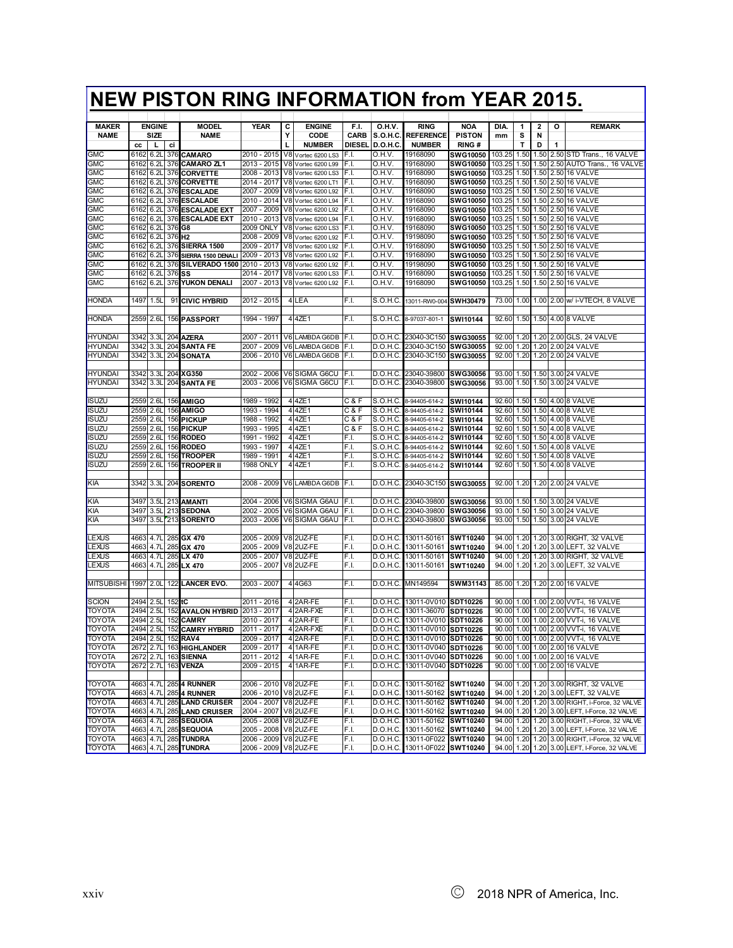# **NEW PISTON RING INFORMATION from YEAR 2015.**

| <b>MAKER</b>            |           | <b>ENGINE</b>    |                    | <b>MODEL</b>                  | YEAR                  | С | <b>ENGINE</b>        | F.I.          | 0.H.V.          | <b>RING</b>                   | <b>NOA</b>      | DIA.   | 1    | 2    | о         | <b>REMARK</b>                                 |
|-------------------------|-----------|------------------|--------------------|-------------------------------|-----------------------|---|----------------------|---------------|-----------------|-------------------------------|-----------------|--------|------|------|-----------|-----------------------------------------------|
| <b>NAME</b>             |           | SIZE             |                    | <b>NAME</b>                   |                       | Υ | CODE                 | CARB          | <b>S.O.H.C.</b> | <b>REFERENCE</b>              | <b>PISTON</b>   | mm     | s    | N    |           |                                               |
|                         | cc        | L                | ci                 |                               |                       | L | <b>NUMBER</b>        | <b>DIESEL</b> | <b>D.O.H.C.</b> | <b>NUMBER</b>                 | RING#           |        | T    | D    | 1         |                                               |
| <b>GMC</b>              | 6162      | 6.2L             |                    | 376 CAMARO                    | 2010 - 2015           |   | V8 Vortec 6200 LS3   | F.I.          | O.H.V.          | 19168090                      | SWG10050        | 103.25 | 1.50 | 1.50 |           | 2.50 STD Trans., 16 VALVE                     |
| <b>GMC</b>              | 6162      | 6.21             | 376                | <b>CAMARO ZL1</b>             | 2013 - 2015           |   | V8 Vortec 6200 L99   | F.I.          | O.H.V.          | 19168090                      | SWG10050        | 103.25 | 1.50 | 1.50 |           | 2.50 AUTO Trans., 16 VALVE                    |
| GMC                     | 6162      | 6.2L             |                    | 376 CORVETTE                  | 2008 - 2013           |   | V8 Vortec 6200 LS3   | F.I.          | O.H.V.          | 19168090                      | <b>SWG10050</b> | 103.25 | 1.50 | 1.50 |           | 2.50 16 VALVE                                 |
| GMC                     | 6162      | 6.2L             | 376                | <b>CORVETTE</b>               | 2014 - 2017           |   | V8 Vortec 6200 LT1   | F.I.          | O.H.V.          | 19168090                      | <b>SWG10050</b> | 103.25 | 1.50 |      |           | 1.50 2.50 16 VALVE                            |
| GMC                     | 6162      | 6.2L             |                    | 376 ESCALADE                  | 2007 - 2009           |   | V8 Vortec 6200 L92   | F.I.          | O.H.V.          | 19168090                      | <b>SWG10050</b> | 103.25 | 1.50 | 1.50 |           | 2.50 16 VALVE                                 |
| GMC                     | 6162      | 6.2L             |                    | 376 ESCALADE                  | 2010 - 2014           |   | V8 Vortec 6200 L94   | F.I.          | O.H.V.          | 19168090                      | SWG10050        | 103.25 | 1.50 |      |           | 1.50 2.50 16 VALVE                            |
| GMC                     | 6162      | 6.2L             |                    | 376 ESCALADE EXT              | 2007 - 2009           |   | V8 Vortec 6200 L92   | F.I.          | O.H.V.          | 19168090                      | <b>SWG10050</b> | 103.25 | 1.50 |      |           | 1.50 2.50 16 VALVE                            |
| <b>GMC</b>              | 6162      | 6.2L             | 376                | <b>ESCALADE EXT</b>           | 2010 - 2013           |   | V8 Vortec 6200 L94   | F.I.          | O.H.V.          | 19168090                      | SWG10050        | 103.25 | 1.50 |      |           | 1.50 2.50 16 VALVE                            |
| GMC                     | 6162      | 6.2L             | 376 G8             |                               | <b>2009 ONLY</b>      |   | V8 Vortec 6200 LS3   | F.I.          | O.H.V.          | 19168090                      | SWG10050        | 103.25 | 1.50 |      |           | 1.50 2.50 16 VALVE                            |
| <b>GMC</b>              | 6162      | 6.2L             | 376 H <sub>2</sub> |                               | 2008 - 2009           |   | V8 Vortec 6200 L92   | F.I.          | 0.H.V.          | 19198090                      | <b>SWG10050</b> | 103.25 | 1.50 | 1.50 |           | 2.50 16 VALVE                                 |
| GMC                     | 6162      | 6.2L             |                    | 376 SIERRA 1500               | 2009 - 2017           |   | V8 Vortec 6200 L92   | F.I.          | O.H.V.          | 19168090                      | <b>SWG10050</b> | 103.25 | 1.50 |      |           | 1.50 2.50 16 VALVE                            |
| GMC                     | 6162      | 6.2L             |                    | 376 SIERRA 1500 DENALI        | 2009 - 2013           |   | V8 Vortec 6200 L92   | F.I.          | 0.H.V.          | 19168090                      | SWG10050        | 103.25 | 1.50 |      |           | 1.50 2.50 16 VALVE                            |
| <b>GMC</b>              | 6162      | 6.2L             | 376                | SILVERADO 1500                | 2010 - 2013           |   | V8 Vortec 6200 L92   | F.I.          | O.H.V.          | 19198090                      | SWG10050        | 103.25 | 1.50 |      |           | 1.50 2.50 16 VALVE                            |
| <b>GMC</b>              | 6162      | 6.2L             | 376                | lSS                           | $2014 - 2017$         |   | V8 Vortec 6200 LS3   | F.I.          | O.H.V.          | 19168090                      | <b>SWG10050</b> | 103.25 | 1.50 | 1.50 |           | 2.50 16 VALVE                                 |
| <b>GMC</b>              | 6162      | 6.2L             |                    | 376 YUKON DENALI              | 2007 - 2013           |   | V8 Vortec 6200 L92   | F.I.          | O.H.V.          | 19168090                      | SWG10050        | 103.25 | 1.50 |      |           | 1.50 2.50 16 VALVE                            |
|                         |           |                  |                    |                               |                       |   |                      |               |                 |                               |                 |        |      |      |           |                                               |
|                         | 1497      |                  |                    |                               |                       |   | 4 LEA                | F.I.          |                 |                               | <b>SWH30479</b> |        |      |      |           |                                               |
| HONDA                   |           | 1.5L             |                    | 91 CIVIC HYBRID               | 2012 - 2015           |   |                      |               | S.O.H.C.        | 13011-RW0-004                 |                 | 73.00  |      |      |           | 1.00 1.00 2.00 w/ i-VTECH, 8 VALVE            |
|                         |           |                  |                    |                               |                       |   |                      |               |                 |                               |                 |        |      |      |           |                                               |
| honda                   | 2559      | 2.6L             |                    | 156 PASSPORT                  | 1994 - 1997           |   | 4 4 ZE1              | F.I.          | S.O.H.C.        | 8-97037-801-1                 | SWI10144        | 92.60  |      |      |           | 1.50 1.50 4.00 8 VALVE                        |
|                         |           |                  |                    |                               |                       |   |                      |               |                 |                               |                 |        |      |      |           |                                               |
| <b>HYUNDAI</b>          | 3342      | 3.3L             | 204                | <b>AZERA</b>                  | 2007 - 2011           |   | V6 LAMBDA G6DB       | F.I.          | D.O.H.C.        | 23040-3C150 SWG30055          |                 | 92.00  | 1.20 |      |           | 1.20 2.00 GLS, 24 VALVE                       |
| HYUNDAI                 | 3342      | 3.3L             |                    | 204 SANTA FE                  | 2007 - 2009           |   | V6 LAMBDA G6DB       | F.I.          | D.O.H.C.        | 23040-3C150 SWG30055          |                 | 92.00  | 1.20 |      |           | 1.20 2.00 24 VALVE                            |
| <b>HYUNDAI</b>          | 3342      | 3.3L             |                    | 204 SONATA                    | 2006 - 2010           |   | V6 LAMBDA G6DB       | JF.I.         | D.O.H.C.        | 23040-3C150 SWG30055          |                 | 92.00  | 1.20 |      |           | 1.20 2.00 24 VALVE                            |
|                         |           |                  |                    |                               |                       |   |                      |               |                 |                               |                 |        |      |      |           |                                               |
| <b>HYUNDAI</b>          | 3342      | 3.3L             |                    | 204 XG350                     | 2002 - 2006           |   | V6 SIGMA G6CU        | IF.I.         |                 | D.O.H.C. 23040-39800          | <b>SWG30056</b> | 93.00  |      |      |           | 1.50 1.50 3.00 24 VALVE                       |
| HYUNDAI                 | 3342      | 3.3L             | 204                | <b>SANTA FE</b>               | 2003 - 2006           |   | V6 SIGMA G6CU        | F.I.          | D.O.H.C.        | 23040-39800                   | SWG30056        | 93.00  | 1.50 | 1.50 |           | 3.00 24 VALVE                                 |
|                         |           |                  |                    |                               |                       |   |                      |               |                 |                               |                 |        |      |      |           |                                               |
| <b>ISUZU</b>            | 2559      | 2.6L             |                    | 156 AMIGO                     | 1989 - 1992           |   | 4 4 ZE1              | C & F         | S.O.H.C.        | 8-94405-614-2                 | SW110144        | 92.60  |      |      |           | 1.50 1.50 4.00 8 VALVE                        |
| ISUZU                   | 2559      | 2.6L             |                    | <b>156 AMIGO</b>              | 1993<br>1994          |   | 4 4 ZE1              | C & F         | S.O.H.C.        | 8-94405-614-2                 | SWI10144        | 92.60  | 1.50 |      |           | 1.50 4.00 8 VALVE                             |
| ISUZU                   | 2559      | 2.6L             |                    | 156 PICKUP                    | 1988<br>$-1992$       |   | 4 4 ZE1              | C & F         | S.O.H.C.        | 8-94405-614-2                 | SW110144        | 92.60  | 1.50 |      |           | 1.50 4.00 8 VALVE                             |
| isuzu                   | 2559      | 2.6L             |                    | 156 PICKUP                    | 1993 - 1995           |   | 4 4 ZE1              | C & F         | S.O.H.C.        | 8-94405-614-2                 | SWI10144        | 92.60  | 1.50 |      |           | 1.50 4.00 8 VALVE                             |
| ISUZU                   | 2559      | 2.6L             |                    | 156 RODEO                     | 1991 - 1992           |   | 4 4 ZE1              | F.I.          | S.O.H.C.        | 8-94405-614-2                 | SWI10144        | 92.60  | 1.50 |      |           | 1.50 4.00 8 VALVE                             |
| <b>ISUZU</b>            | 2559      | 2.61             |                    | 156 RODEO                     | 1993 - 1997           |   | 4 4 ZE1              | F.I.          | S.O.H.C.        | 8-94405-614-2                 | SWI10144        | 92.60  | 1.50 |      |           | 1.50 4.00 8 VALVE                             |
| isuzu                   | 2559      | 2.6L             | 156                | <b>TROOPER</b>                | 1989 - 1991           |   | 4 4 ZE1              | F.I.          | S.O.H.C.        | 8-94405-614-2                 | SWI10144        | 92.60  | 1.50 |      |           | 1.50 4.00 8 VALVE                             |
| ISUZU                   | 2559      | 2.6L             | 156                | <b>TROOPER II</b>             | <b>1988 ONLY</b>      |   | 4 4 ZE1              | F.I.          | S.O.H.C.        | 8-94405-614-2                 | SW110144        | 92.60  | 1.50 |      |           | 1.50 4.00 8 VALVE                             |
|                         |           |                  |                    |                               |                       |   |                      |               |                 |                               |                 |        |      |      |           |                                               |
| KIA                     | 3342      | 3.3L             |                    | 204 SORENTO                   | 2008 - 2009           |   | V6 LAMBDA G6DB       | F.I.          | D.O.H.C.        | 23040-3C150 SWG30055          |                 | 92.00  | 1.20 |      |           | 1.20 2.00 24 VALVE                            |
|                         |           |                  |                    |                               |                       |   |                      |               |                 |                               |                 |        |      |      |           |                                               |
| КIА                     | 3497      | 3.5L             |                    | 213 AMANTI                    | 2004 - 2006           |   | V6 SIGMA G6AU        | F.I.          | D.O.H.C.        | 23040-39800                   | <b>SWG30056</b> | 93.00  | 1.50 |      |           | 1.50 3.00 24 VALVE                            |
| KІA                     | 3497      | 3.5L             |                    | 213 SEDONA                    | 2002 - 2005           |   | V6 SIGMA G6AU        | F.I.          | D.O.H.C.        | 23040-39800                   | SWG30056        | 93.00  | 1.50 |      |           | 1.50 3.00 24 VALVE                            |
| ΚIΑ                     | 3497      | 3.5L             |                    | 213 SORENTO                   | 2003 - 2006           |   | V6 SIGMA G6AU        | F.I.          | D.O.H.C.        | 23040-39800                   | SWG30056        | 93.00  | 1.50 |      |           | 1.50 3.00 24 VALVE                            |
|                         |           |                  |                    |                               |                       |   |                      |               |                 |                               |                 |        |      |      |           |                                               |
| LEXUS                   | 4663      | 4.7L             |                    | 285 GX 470                    | 2005 - 2009           |   | V8 2UZ-FE            | F.I.          | D.O.H.C.        | 13011-50161                   | SWT10240        | 94.00  | 1.20 |      |           | 1.20 3.00 RIGHT, 32 VALVE                     |
| LEXUS                   | 4663      | 4.7L             |                    | 285 GX 470                    | 2005 - 2009           |   | V8 2UZ-FE            | F.I.          | D.O.H.C.        | 13011-50161                   | SWT10240        | 94.00  | 1.20 |      |           | 1.20 3.00 LEFT, 32 VALVE                      |
| _EXUS                   | 4663      | 4.7L             |                    | 285 LX 470                    | 2005 - 2007           |   | V8 2UZ-FE            | F.I.          | D.O.H.C.        | 13011-50161                   | SWT10240        | 94.00  | 1.20 | 1.20 |           | 3.00 RIGHT, 32 VALVE                          |
| _EXUS                   | 4663 4.7L |                  |                    | 285 LX 470                    | 2005 - 2007           |   | V8 2UZ-FE            | F.I.          | D.O.H.C.        | 13011-50161                   | SWT10240        | 94.00  | 1.20 |      |           | 1.20 3.00 LEFT, 32 VALVE                      |
|                         |           |                  |                    |                               |                       |   |                      |               |                 |                               |                 |        |      |      |           |                                               |
| <b>MITSUBISHI</b>       | 1997      | 2.0 <sub>L</sub> | 122                | <b>LANCER EVO.</b>            | 2003 - 2007           |   | 44G63                | F.I.          | D.O.H.C.        | MN149594                      | SWM31143        | 85.00  | 1.20 |      |           | 1.20 2.00 16 VALVE                            |
|                         |           |                  |                    |                               |                       |   |                      |               |                 |                               |                 |        |      |      |           |                                               |
| SCION                   | 2494      | 2.5L             | 152                | łС                            | 2011 - 2016           |   | 4 2AR-FE             | F.I.          | D.O.H.C.        | 13011-0V010 SDT10226          |                 | 90.00  | 1.00 |      |           | 1.00 2.00 VVT-i, 16 VALVE                     |
|                         | 2494      |                  |                    |                               |                       |   |                      |               |                 |                               |                 | 90.00  | 1.00 |      |           |                                               |
| TOYOTA<br><b>TOYOTA</b> |           | 2.5L             |                    | 152 AVALON HYBRID 2013 - 2017 |                       |   | 4 2AR-FXE<br>42AR-FE | F.I.          | D.O.H.C.        | 13011-36070                   | SDT10226        |        |      |      |           | 1.00 2.00 VVT-i, 16 VALVE                     |
|                         | 2494      | 2.5L             | 152                | <b>CAMRY</b>                  | 2010 - 2017           |   |                      | F.I.          | D.O.H.C.        | 13011-0V010 SDT10226          |                 | 90.00  | 1.00 |      |           | 1.00 2.00 VVT-i, 16 VALVE                     |
| TOYOTA                  | 2494      | 2.5L             | 152                | <b>CAMRY HYBRID</b>           | 2011 - 2017           |   | 4 2AR-FXE            | F.I.          | D.O.H.C.        | 13011-0V010 SDT10226          |                 | 90.00  | 1.00 |      | 1.00 2.00 | VVT-i, 16 VALVE                               |
| TOYOTA                  | 2494      | 2.5L             | 152                | RAV4                          | 2009 - 2017           |   | 42AR-FE              | F.I.          | D.O.H.C.        | 13011-0V010 SDT10226          |                 | 90.00  | 1.00 |      |           | 1.00 2.00 VVT-i, 16 VALVE                     |
| <b>TOYOTA</b>           | 2672 2.7L |                  |                    | 163 HIGHLANDER                | 2009 - 2017           |   | 4 1AR-FE             | F.I.          |                 | D.O.H.C. 13011-0V040 SDT10226 |                 | 90.00  |      |      |           | 1.00 1.00 2.00 16 VALVE                       |
| <b>TOYOTA</b>           |           |                  |                    | 2672 2.7L 163 SIENNA          | 2011 - 2012           |   | 4 1AR-FE             | F.I.          |                 | D.O.H.C. 13011-0V040 SDT10226 |                 |        |      |      |           | 90.00 1.00 1.00 2.00 16 VALVE                 |
| <b>TOYOTA</b>           |           |                  |                    | 2672 2.7L 163 VENZA           | 2009 - 2015           |   | 4 1AR-FE             | F.I.          |                 | D.O.H.C. 13011-0V040 SDT10226 |                 |        |      |      |           | 90.00 1.00 1.00 2.00 16 VALVE                 |
|                         |           |                  |                    |                               |                       |   |                      |               |                 |                               |                 |        |      |      |           |                                               |
| <b>TOYOTA</b>           |           |                  |                    | 4663 4.7L 285 4 RUNNER        | 2006 - 2010 V8 2UZ-FE |   |                      | F.I.          |                 | D.O.H.C. 13011-50162 SWT10240 |                 | 94.00  |      |      |           | 1.20 1.20 3.00 RIGHT, 32 VALVE                |
| <b>TOYOTA</b>           | 4663 4.7L |                  |                    | 2854 RUNNER                   | 2006 - 2010 V8 2UZ-FE |   |                      | F.I.          |                 | D.O.H.C. 13011-50162 SWT10240 |                 |        |      |      |           | 94.00 1.20 1.20 3.00 LEFT, 32 VALVE           |
| <b>TOYOTA</b>           | 4663 4.7L |                  |                    | <b>285 LAND CRUISER</b>       | 2004 - 2007           |   | V8 2UZ-FE            | F.I.          |                 | D.O.H.C. 13011-50162 SWT10240 |                 |        |      |      |           | 94.00 1.20 1.20 3.00 RIGHT, i-Force, 32 VALVE |
| <b>TOYOTA</b>           | 4663 4.7L |                  |                    | 285 LAND CRUISER              | 2004 - 2007           |   | V8 2UZ-FE            | F.I.          |                 | D.O.H.C. 13011-50162 SWT10240 |                 |        |      |      |           | 94.00 1.20 1.20 3.00 LEFT, I-Force, 32 VALVE  |
| <b>TOYOTA</b>           | 4663 4.7L |                  |                    | 285 SEQUOIA                   | 2005 - 2008           |   | V8 2UZ-FE            | F.I.          |                 | D.O.H.C. 13011-50162 SWT10240 |                 |        |      |      |           | 94.00 1.20 1.20 3.00 RIGHT, i-Force, 32 VALVE |
| TOYOTA                  | 4663 4.7L |                  |                    | 285 SEQUOIA                   | 2005 - 2008 V8 2UZ-FE |   |                      | F.I.          |                 | D.O.H.C. 13011-50162 SWT10240 |                 |        |      |      |           | 94.00 1.20 1.20 3.00 LEFT, I-Force, 32 VALVE  |
| <b>TOYOTA</b>           | 4663 4.7L |                  |                    | 285 TUNDRA                    | 2006 - 2009 V8 2UZ-FE |   |                      | F.I.          |                 | D.O.H.C. 13011-0F022 SWT10240 |                 |        |      |      |           | 94.00 1.20 1.20 3.00 RIGHT, i-Force, 32 VALVE |
| TOYOTA                  |           |                  |                    | 4663 4.7L 285 TUNDRA          | 2006 - 2009 V8 2UZ-FE |   |                      | F.I.          |                 | D.O.H.C. 13011-0F022 SWT10240 |                 |        |      |      |           | 94.00 1.20 1.20 3.00 LEFT, I-Force, 32 VALVE  |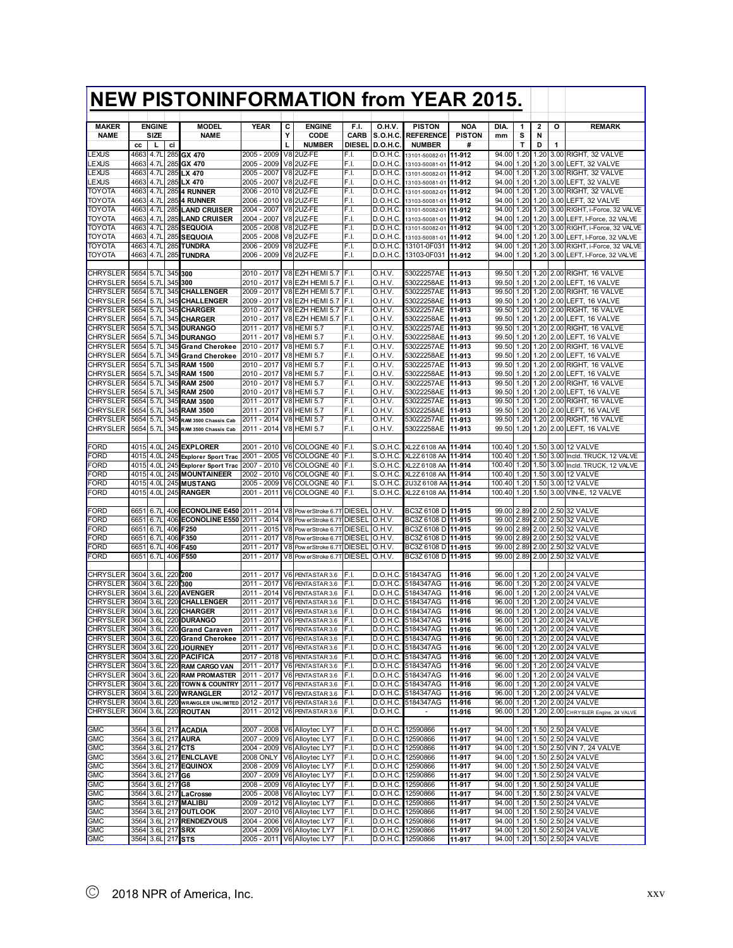|                                                 |                   |                       |                    | <b>NEW PISTONINFORMATION from YEAR 2015.</b> |                                |        |                                                         |                         |                           |                                                          |                             |                  |              |              |   |                                                                |
|-------------------------------------------------|-------------------|-----------------------|--------------------|----------------------------------------------|--------------------------------|--------|---------------------------------------------------------|-------------------------|---------------------------|----------------------------------------------------------|-----------------------------|------------------|--------------|--------------|---|----------------------------------------------------------------|
|                                                 |                   |                       |                    |                                              |                                |        |                                                         |                         |                           |                                                          |                             |                  |              |              |   |                                                                |
| <b>MAKER</b><br><b>NAME</b>                     |                   | <b>ENGINE</b><br>SIZE |                    | <b>MODEL</b><br><b>NAME</b>                  | <b>YEAR</b>                    | С<br>Υ | <b>ENGINE</b><br>CODE                                   | F.I.<br>CARB            | 0.H.V.<br><b>S.O.H.C.</b> | <b>PISTON</b><br><b>REFERENCE</b>                        | <b>NOA</b><br><b>PISTON</b> | DIA.<br>mm       | 1<br>s       | 2<br>N       | о | <b>REMARK</b>                                                  |
|                                                 | cc                | L                     | ci                 |                                              |                                | L      | <b>NUMBER</b>                                           | DIESEL                  | D.O.H.C                   | <b>NUMBER</b>                                            | #                           |                  | Т            | D            | 1 |                                                                |
| LEXUS                                           | 4663              | 4.7L                  |                    | 285 GX 470                                   | 2005 - 2009                    |        | V8 2UZ-FE                                               | F.I.                    | D.O.H.C.                  | 13101-50082-01                                           | 11-912                      | 94.00            | 1.20         | 1.20         |   | 3.00 RIGHT, 32 VALVE                                           |
| EXUS.                                           | 4663              | 4.7L                  |                    | 285 GX 470                                   | 2005 - 2009                    |        | V8 2UZ-FE                                               | F.I.                    | D.O.H.C.                  | 13103-50081-01                                           | 11-912                      | 94.00            | 1.20         | 1.20         |   | 3.00 LEFT, 32 VALVE                                            |
| LEXUS<br>EXUS.                                  | 4663<br>4663      | 4.7L<br>4.7L          |                    | 285 LX 470                                   | 2005 - 2007<br>2005 - 2007     |        | V8 2UZ-FE<br>V8 2UZ-FE                                  | F.I.<br>F.I.            | D.O.H.C.<br>D.O.H.C.      | 13101-50082-01                                           | 11-912                      | 94.00<br>94.00   | 1.20<br>1.20 | 1.20         |   | 1.20 3.00 RIGHT, 32 VALVE<br>3.00 LEFT, 32 VALVE               |
| TOYOTA                                          | 4663              | 4.7L                  |                    | 285 LX 470<br><b>285 4 RUNNER</b>            | 2006 - 2010                    |        | V8 2UZ-FE                                               | F.I.                    | D.O.H.C.                  | 13103-50081-01<br>13101-50082-01                         | 11-912<br>11-912            | 94.00            | 1.20         | 1.20         |   | 3.00 RIGHT, 32 VALVE                                           |
| TOYOTA                                          | 4663              | 4.7L                  |                    | <b>285 4 RUNNER</b>                          | 2006 - 2010                    |        | V8 2UZ-FE                                               | F.I.                    | D.O.H.C.                  | 13103-50081-01                                           | 11-912                      | 94.00            | 1.20         | 1.20         |   | 3.00 LEFT, 32 VALVE                                            |
| TOYOTA                                          | 4663              | 4.7L                  | 285                | <b>LAND CRUISER</b>                          | 2004 - 2007                    |        | V82UZ-FE                                                | F.I.                    | D.O.H.C.                  | 13101-50082-01                                           | 11-912                      | 94.00            | 1.20         | 1.20         |   | 3.00 RIGHT, i-Force, 32 VALVE                                  |
| TOYOTA<br>TOYOTA                                | 4663<br>4663      | 4.7L<br>4.7L          | 285                | <b>LAND CRUISER</b><br>285 SEQUOIA           | 2004 - 2007<br>2005 - 2008     |        | V8 2UZ-FE<br>V82UZ-FE                                   | F.I.<br>F.I.            | D.O.H.C.<br>D.O.H.C.      | 13103-50081-01                                           | 11-912<br>11-912            | 94.00<br>94.00   | 1.20<br>1.20 | 1.20<br>1.20 |   | 3.00 LEFT, I-Force, 32 VALVE<br>3.00 RIGHT, i-Force, 32 VALVE  |
| TOYOTA                                          | 4663              | 4.7L                  |                    | 285 SEQUOIA                                  | 2005 - 2008                    |        | V8 2UZ-FE                                               | F.I.                    | D.O.H.C.                  | 13101-50082-01<br>13103-50081-01                         | 11-912                      | 94.00            | 1.20         | 1.20         |   | 3.00 LEFT, I-Force, 32 VALVE                                   |
| TOYOTA                                          | 4663              | 4.7L                  | 285                | TUNDRA                                       | 2006 - 2009                    |        | V8 2UZ-FE                                               | F.I.                    | D.O.H.C.                  | 13101-0F031                                              | 11-912                      | 94.00            | 1.20         | 1.20         |   | 3.00 RIGHT, i-Force, 32 VALVE                                  |
| TOYOTA                                          | 4663              | 4.7L                  |                    | 285 TUNDRA                                   | 2006 - 2009                    |        | V8 2UZ-FE                                               | F.I.                    | D.O.H.C.                  | 13103-0F031                                              | 11-912                      | 94.00            | 1.20         | 1.20         |   | 3.00 LEFT, I-Force, 32 VALVE                                   |
| CHRYSLER                                        | 5654              | 5.7L                  | 345 300            |                                              | 2010 - 2017                    |        | V8 EZH HEMI 5.7 F.I.                                    |                         | O.H.V.                    | 53022257AE                                               | 11-913                      | 99.50            | 1.20         |              |   | 1.20 2.00 RIGHT, 16 VALVE                                      |
| <b>CHRYSLER</b>                                 | 5654              | 5.7L                  | 345                | 300                                          | 2010 - 2017                    |        | V8 EZH HEMI 5.7                                         | IF.I.                   | O.H.V.                    | 53022258AE                                               | 11-913                      | 99.50            | 1.20         |              |   | 1.20 2.00 LEFT, 16 VALVE                                       |
| <b>CHRYSLER</b>                                 | 5654              | 5.7L                  | 345                | <b>CHALLENGER</b>                            | 2009 - 2017                    |        | V8 EZH HEMI 5.7                                         | IF.I.                   | O.H.V.                    | 53022257AE                                               | 11-913                      | 99.50            | 1.20         |              |   | 1.20 2.00 RIGHT, 16 VALVE                                      |
| <b>CHRYSLER</b>                                 | 5654              | 5.7L                  | 345                | <b>CHALLENGER</b>                            | 2009 - 2017                    |        | V8 EZH HEMI 5.7                                         | F.I.                    | O.H.V                     | 53022258AE                                               | 11-913                      | 99.50            | 1.20         | 1.20         |   | 2.00 LEFT, 16 VALVE                                            |
| <b>CHRYSLER</b><br><b>CHRYSLER</b>              | 5654<br>5654      | 5.7L<br>5.7L          | 345                | <b>CHARGER</b><br>345 CHARGER                | 2010 - 2017<br>2010 - 2017     |        | V8 EZH HEMI 5.7<br>V8 EZH HEMI 5.7                      | IF.I.<br>F.I.           | O.H.V.<br>O.H.V.          | 53022257AE<br>53022258AE                                 | 11-913<br>11-913            | 99.50<br>99.50   | 1.20<br>1.20 |              |   | 1.20 2.00 RIGHT, 16 VALVE<br>1.20 2.00 LEFT, 16 VALVE          |
| <b>CHRYSLER</b>                                 | 5654              | 5.7L                  |                    | 345 DURANGO                                  | 2011 - 2017                    |        | <b>V8 HEMI 5.7</b>                                      | F.I.                    | O.H.V.                    | 53022257AE                                               | 11-913                      | 99.50            | 1.20         |              |   | 1.20 2.00 RIGHT, 16 VALVE                                      |
| <b>CHRYSLER</b>                                 | 5654              | 5.7L                  |                    | 345 DURANGO                                  | 2011 - 2017                    |        | <b>V8 HEMI 5.7</b>                                      | F.I.                    | O.H.V.                    | 53022258AE                                               | 11-913                      | 99.50            | 1.20         |              |   | 1.20 2.00 LEFT, 16 VALVE                                       |
| <b>CHRYSLER</b>                                 | 5654              | 5.7L                  | 345                | <b>Grand Cherokee</b>                        | 2010 - 2017                    |        | <b>V8 HEMI 5.7</b>                                      | F.I.                    | O.H.V.                    | 53022257AE                                               | 11-913                      | 99.50            | 1.20         | 1.20         |   | 2.00 RIGHT, 16 VALVE                                           |
| <b>CHRYSLER</b><br><b>CHRYSLER</b>              | 5654<br>5654      | 5.7L<br>5.7L          | 345                | 345 Grand Cherokee<br><b>RAM 1500</b>        | 2010 - 2017<br>2010 - 2017     |        | <b>V8 HEMI 5.7</b><br><b>V8 HEMI 5.7</b>                | F.I.<br>F.I.            | O.H.V.<br>O.H.V.          | 53022258AE<br>53022257AE                                 | 11-913<br>11-913            | 99.50<br>99.50   | 1.20<br>1.20 | 1.20<br>1.20 |   | 2.00 LEFT, 16 VALVE<br>2.00 RIGHT, 16 VALVE                    |
| <b>CHRYSLER</b>                                 | 5654              | 5.7L                  |                    | 345 RAM 1500                                 | 2010 - 2017                    |        | <b>V8 HEMI 5.7</b>                                      | F.I.                    | O.H.V                     | 53022258AE                                               | 11-913                      | 99.50            | 1.20         |              |   | 1.20 2.00 LEFT, 16 VALVE                                       |
| <b>CHRYSLER</b>                                 | 5654              | 5.7L                  |                    | 345 RAM 2500                                 | 2010 - 2017                    |        | <b>V8 HEMI 5.7</b>                                      | F.I.                    | O.H.V.                    | 53022257AE                                               | 11-913                      | 99.50            | 1.20         | 1.20         |   | 2.00 RIGHT, 16 VALVE                                           |
| <b>CHRYSLER</b>                                 | 5654              | 5.7L                  |                    | 345 RAM 2500                                 | 2010 - 2017                    |        | <b>V8 HEMI 5.7</b>                                      | F.I.                    | O.H.V.                    | 53022258AE                                               | 11-913                      | 99.50            | 1.20         |              |   | 1.20 2.00 LEFT, 16 VALVE                                       |
| <b>CHRYSLER</b><br><b>CHRYSLER</b>              | 5654<br>5654      | 5.7L<br>5.7L          | 345                | <b>RAM 3500</b><br>345 RAM 3500              | 2011 - 2017<br>2011 - 2017     |        | <b>V8 HEMI 5.7</b><br><b>V8 HEMI 5.7</b>                | F.I.<br>F.I.            | O.H.V.<br>O.H.V.          | 53022257AE<br>53022258AE                                 | 11-913<br>11-913            | 99.50<br>99.50   | 1.20<br>1.20 |              |   | 1.20 2.00 RIGHT, 16 VALVE<br>1.20 2.00 LEFT. 16 VALVE          |
| <b>CHRYSLER</b>                                 | 5654              | 5.7L                  | 345                | RAM 3500 Chassis Cab                         | 2011 - 2014                    |        | <b>V8 HEMI 5.7</b>                                      | F.I.                    | O.H.V.                    | 53022257AE                                               | 11-913                      | 99.50            | 1.20         | 1.20         |   | 2.00 RIGHT, 16 VALVE                                           |
| <b>CHRYSLER</b>                                 | 5654              | 5.7L                  | 345                | RAM 3500 Chassis Cab                         | 2011 - 2014                    |        | <b>V8 HEMI 5.7</b>                                      | F.I.                    | O.H.V.                    | 53022258AE                                               | 11-913                      | 99.50            | 1.20         |              |   | 1.20 2.00 LEFT, 16 VALVE                                       |
|                                                 |                   |                       |                    |                                              |                                |        |                                                         |                         |                           |                                                          |                             |                  |              |              |   |                                                                |
| FORD<br>FORD                                    | 4015 4.0L<br>4015 | 4.0L                  | 245                | 245 EXPLORER<br><b>Explorer Sport Trac</b>   | 2001 - 2010<br>2001<br>$-2005$ |        | V6 COLOGNE 40<br>V6 COLOGNE 40                          | IF.I.<br>F.I.           | S.O.H.C<br>S.O.H.C.       | XL2Z 6108 AA<br>XL2Z 6108 AA                             | 11-914<br>11-914            | 100.40<br>100.40 | 1.20<br>1.20 | 1.50         |   | 1.50 3.00 12 VALVE<br>3.00 Incld. TRUCK, 12 VALVE              |
| FORD                                            | 4015              | 4.0L                  | 245                | <b>Explorer Sport Trac</b>                   | $-2010$<br>2007                |        | V6 COLOGNE 40                                           | F.I                     | S.O.H.C                   | XL2Z 6108 AA                                             | 11-914                      | 100.40           | 1.20         | 1.50         |   | 3.00 Incld. TRUCK, 12 VALVE                                    |
| FORD                                            | 4015              | 4.0L                  | 245                | <b>MOUNTAINEER</b>                           | 2002<br>$-2010$                |        | V6 COLOGNE 40                                           | F.I.                    | S.O.H.C                   | XL2Z 6108 AA                                             | 11-914                      | 100.40           | 1.20         | 1.50         |   | 3.00 12 VALVE                                                  |
| FORD                                            | 4015              | 4.01                  |                    | 245 MUSTANG                                  | 2005<br>2009                   |        | V6 COLOGNE 40                                           | F.I.                    | S.O.H.C                   | 2U3Z 6108 AA                                             | 11-914                      | 100.40           | 1.20         | 1.50         |   | 3.00 12 VALVE                                                  |
| FORD                                            | 4015              | 4.01                  |                    | 245 RANGER                                   | 2001<br>$-2011$                |        | V6 COLOGNE 40                                           | F.I.                    | S.O.H.C                   | XL2Z 6108 AA                                             | 11-914                      | 100.40           | 1.20         | 1.50         |   | 3.00 VIN-E, 12 VALVE                                           |
| FORD                                            | 6651              | 6.7L                  | 406                | <b>ECONOLINE E450</b>                        | 2011 - 2014                    |        | V8 Pow erStroke 6.7T                                    | DIESEL O.H.V            |                           | BC3Z 6108 D <b>11-915</b>                                |                             | 99.00            | 2.89         |              |   | 2.00 2.50 32 VALVE                                             |
| FORD                                            | 6651              | 6.7L                  | 406                | <b>ECONOLINE E550</b>                        | $-2014$<br>2011                |        | V8 Pow erStroke 6.71                                    | DIESEL                  | O.H.V                     | BC3Z 6108 D <b>  11-915</b>                              |                             | 99.00            | 2.89         | 2.00         |   | 2.50 32 VALVE                                                  |
| FORD                                            | 6651              | 6.7L                  | 406                | F250                                         | 2011 - 2015                    |        | V8 Pow erStroke 6.7T                                    | <b>DIESEL</b>           | O.H.V.                    | BC3Z 6108 D 11-915                                       |                             | 99.00            | 2.89         |              |   | 2.00 2.50 32 VALVE                                             |
| FORD<br>FORD                                    | 6651<br>6651      | 6.7L<br>6.7L          | 406                | 406 F350<br>F450                             | 2011 - 2017<br>2011 - 2017     |        | V8 Pow erStroke 6.71<br>V8 Pow erStroke 6.7T            | DIESEL<br><b>DIESEL</b> | O.H.V<br>O.H.V.           | BC3Z 6108 D <b>  11-915</b><br>BC3Z 6108 D <b>11-915</b> |                             | 99.00<br>99.00   | 2.89<br>2.89 | 2.00         |   | 2.00 2.50 32 VALVE<br>2.50 32 VALVE                            |
| FORD                                            | 6651              | 6.7L                  | 406                | F550                                         | 2011 - 2017                    |        | V8 Pow erStroke 6.7T                                    | <b>DIESEL</b>           | O.H.V.                    | BC3Z 6108 D 11-915                                       |                             | 99.00            | 2.89         | 2.00         |   | 2.50 32 VALVE                                                  |
|                                                 |                   |                       |                    |                                              |                                |        |                                                         |                         |                           |                                                          |                             |                  |              |              |   |                                                                |
| <b>CHRYSLER</b><br><b>CHRYSLER</b>              | 3604              | 3.6L                  | 220 200<br>220 300 |                                              | 2011 - 2017<br>2011<br>$-2017$ |        | V6 PENTASTAR 3.6                                        | F.I.                    | D.O.H.C.                  | 5184347AG                                                | 11-916                      | 96.00<br>96.00   | 1.20<br>1.20 |              |   | 1.20 2.00 24 VALVE                                             |
| <b>CHRYSLER</b>                                 | 3604<br>3604      | 3.6L<br>3.6L          | 220                | <b>AVENGER</b>                               | 2014<br>2011                   | V6     | V6 PENTASTAR 3.6<br>PENTASTAR 3.6                       | F.I.<br>F.I             | D.O.H.C.<br>D.O.H.C       | 5184347AG<br>5184347AG                                   | 11-916<br>11-916            | 96.00            | 1.20         | 1.20         |   | 1.20 2.00 24 VALVE<br>2.00 24 VALVE                            |
| CHRYSLER                                        | 3604              | 3.6L                  | 220                | <b>CHALLENGER</b>                            | $-2017$<br>2011                |        | V6 PENTASTAR 3.6                                        | F.I.                    | D.O.H.C.                  | 5184347AG                                                | 11-916                      | 96.00            | 1.20         | 1.20         |   | 2.00 24 VALVE                                                  |
| <b>CHRYSLER</b>                                 | 3604 3.6L         |                       |                    | 220 CHARGER                                  | 2011 - 2017                    |        | V6 PENTASTAR 3.6                                        | F.I.                    |                           | D.O.H.C. 5184347AG                                       | 11-916                      | 96.00            |              |              |   | 1.20 1.20 2.00 24 VALVE                                        |
| CHRYSLER 3604 3.6L 220 DURANGO<br>CHRYSLER 3604 |                   | 3.6L                  |                    | 220 Grand Caraven                            | 2011                           |        | - 2017 V6 PENTASTAR 3.6<br>2011 - 2017 V6 PENTASTAR 3.6 | F.I.<br>F.I.            |                           | D.O.H.C. 5184347AG 11-916<br>D.O.H.C. 5184347AG          | 11-916                      |                  |              |              |   | 96.00 1.20 1.20 2.00 24 VALVE<br>96.00 1.20 1.20 2.00 24 VALVE |
| <b>CHRYSLER</b>                                 | 3604              | 3.6L                  |                    | 220 Grand Cherokee                           | 2011 - 2017                    |        | V6 PENTASTAR 3.6                                        | F.I.                    | D.O.H.C.                  | 5184347AG                                                | 11-916                      | 96.00            | 1.20         |              |   | 1.20 2.00 24 VALVE                                             |
| <b>CHRYSLER</b>                                 | 3604              | 3.6L                  |                    | 220 JOURNEY                                  | 2011 - 2017                    |        | V6 PENTASTAR 3.6                                        | F.I.                    | D.O.H.C.                  | 5184347AG                                                | 11-916                      | 96.00            | 1.20         |              |   | 1.20 2.00 24 VALVE                                             |
| <b>CHRYSLER</b>                                 |                   |                       |                    | 3604 3.6L 220 PACIFICA                       | 2017 - 2018                    |        | V6 PENTASTAR 3.6                                        | F.I.                    |                           | D.O.H.C. 5184347AG                                       | 11-916                      | 96.00            | 1.20         |              |   | 1.20 2.00 24 VALVE                                             |
| <b>CHRYSLER</b><br><b>CHRYSLER</b>              | 3604 3.6L<br>3604 | 3.6L                  |                    | 220 RAM CARGO VAN<br>220 RAM PROMASTER       | 2011 - 2017<br>$2011 - 2017$   |        | V6 PENTASTAR 3.6<br>V6 PENTASTAR 3.6                    | F.I.<br>F.I.            |                           | D.O.H.C. 5184347AG<br>D.O.H.C. 5184347AG                 | 11-916<br>11-916            | 96.00<br>96.00   | 1.20<br>1.20 |              |   | 1.20 2.00 24 VALVE<br>1.20 2.00 24 VALVE                       |
| <b>CHRYSLER</b>                                 | 3604              | 3.6L                  |                    | 220 TOWN & COUNTRY                           | 2011 - 2017                    |        | V6 PENTASTAR 3.6                                        | F.I.                    | D.O.H.C.                  | 5184347AG                                                | 11-916                      | 96.00            | 1.20         |              |   | 1.20 2.00 24 VALVE                                             |
| CHRYSLER<br>CHRYSLER                            | 3604              | 3.6L                  |                    | 220 WRANGLER                                 | 2012 - 2017                    |        | V6 PENTASTAR 3.6                                        | F.I.                    |                           | D.O.H.C. 5184347AG                                       | 11-916                      | 96.00            | 1.20         | 1.20         |   | 2.00 24 VALVE                                                  |
|                                                 | 3604 3.6L         |                       |                    | 220 WRANGLER UNLIMITED                       | 2012 - 2017                    |        | V6 PENTASTAR 3.6                                        | F.I.                    | D.O.H.C.                  | 5184347AG                                                | 11-916                      | 96.00            | 1.20         |              |   | 1.20 2.00 24 VALVE                                             |
| <b>CHRYSLER</b>                                 | 3604              | 3.6L                  |                    | 220 ROUTAN                                   | $2011 - 2012$                  |        | V6 PENTASTAR 3.6                                        | F.I.                    | D.O.H.C                   |                                                          | 11-916                      | 96.00            | 1.20         |              |   | 1.20 2.00 CHRYSLER Engine, 24 VALVE                            |
| GMC                                             | 3564              |                       |                    | 3.6L 217 ACADIA                              |                                |        | 2007 - 2008   V6 Alloytec LY7                           | F.I.                    | D.O.H.C.                  | 12590866                                                 | 11-917                      | 94.00            |              |              |   | 1.20 1.50 2.50 24 VALVE                                        |
| GMC                                             | 3564              |                       |                    | 3.6L 217 AURA                                | 2007 - 2009                    |        | V6 Alloytec LY7                                         | F.I.                    | D.O.H.C.                  | 12590866                                                 | 11-917                      | 94.00            | 1.20         |              |   | 1.50 2.50 24 VALVE                                             |
| GMC                                             | 3564              |                       |                    | 3.6L 217 CTS                                 | 2004 - 2009                    |        | V6 Alloytec LY7                                         | F.I.                    | D.O.H.C                   | 12590866                                                 | 11-917                      | 94.00            |              |              |   | 1.20 1.50 2.50 VIN 7, 24 VALVE                                 |
| GMC<br>GMC                                      | 3564              |                       |                    | 3.6L 217 ENLCLAVE<br>3564 3.6L 217 EQUINOX   | 2008 ONLY<br>2008 - 2009       |        | V6 Alloytec LY7<br>V6 Alloytec LY7                      | F.I.<br>F.I.            | D.O.H.C.<br>D.O.H.C       | 12590866<br>12590866                                     | 11-917<br>11-917            | 94.00<br>94.00   | 1.20<br>1.20 |              |   | 1.50 2.50 24 VALVE<br>1.50 2.50 24 VALVE                       |
| GMC                                             | 3564              | 3.6L 217 G6           |                    |                                              | 2007 - 2009                    |        | V6 Alloytec LY7                                         | F.I.                    | D.O.H.C.                  | 12590866                                                 | 11-917                      | 94.00            |              |              |   | 1.20 1.50 2.50 24 VALVE                                        |
| GMC                                             | 3564 3.6L 217 G8  |                       |                    |                                              | 2008 - 2009                    |        | V6 Alloytec LY7                                         | F.I.                    | D.O.H.C.                  | 12590866                                                 | 11-917                      | 94.00            | 1.20         |              |   | 1.50 2.50 24 VALUE                                             |
| GMC                                             | 3564              | 3.6L                  |                    | 217 LaCrosse                                 | 2005 - 2008                    |        | V6 Alloytec LY7                                         | F.I.                    | D.O.H.C.                  | 12590866                                                 | 11-917                      | 94.00            | 1.20         |              |   | 1.50 2.50 24 VALVE                                             |
| GMC<br>GMC                                      | 3564<br>3564      | 3.6L<br>3.6L          |                    | 217 MALIBU<br>217 OUTLOOK                    | 2007 - 2010                    |        | 2009 - 2012 V6 Alloytec LY7<br>V6 Alloytec LY7          | F.I.<br>F.I.            | D.O.H.C.<br>D.O.H.C.      | 12590866<br>12590866                                     | 11-917<br>11-917            | 94.00<br>94.00   | 1.20<br>1.20 |              |   | 1.50 2.50 24 VALVE<br>1.50 2.50 24 VALVE                       |
| GMC                                             |                   |                       |                    | 3564 3.6L 217 RENDEZVOUS                     |                                |        | 2004 - 2006 V6 Alloytec LY7                             | F.I.                    | D.O.H.C.                  | 12590866                                                 | 11-917                      | 94.00            |              |              |   | 1.20 1.50 2.50 24 VALVE                                        |
| GMC                                             |                   |                       |                    | 3564 3.6L 217 SRX                            |                                |        | 2004 - 2009   V6 Alloytec LY7                           | F.I.                    |                           | D.O.H.C. 12590866                                        | 11-917                      |                  |              |              |   | 94.00 1.20 1.50 2.50 24 VALVE                                  |
| GMC                                             | 3564 3.6L 217 STS |                       |                    |                                              |                                |        | 2005 - 2011   V6 Alloytec LY7                           | F.I.                    | D.O.H.C.                  | 12590866                                                 | 11-917                      |                  |              |              |   | 94.00 1.20 1.50 2.50 24 VALVE                                  |